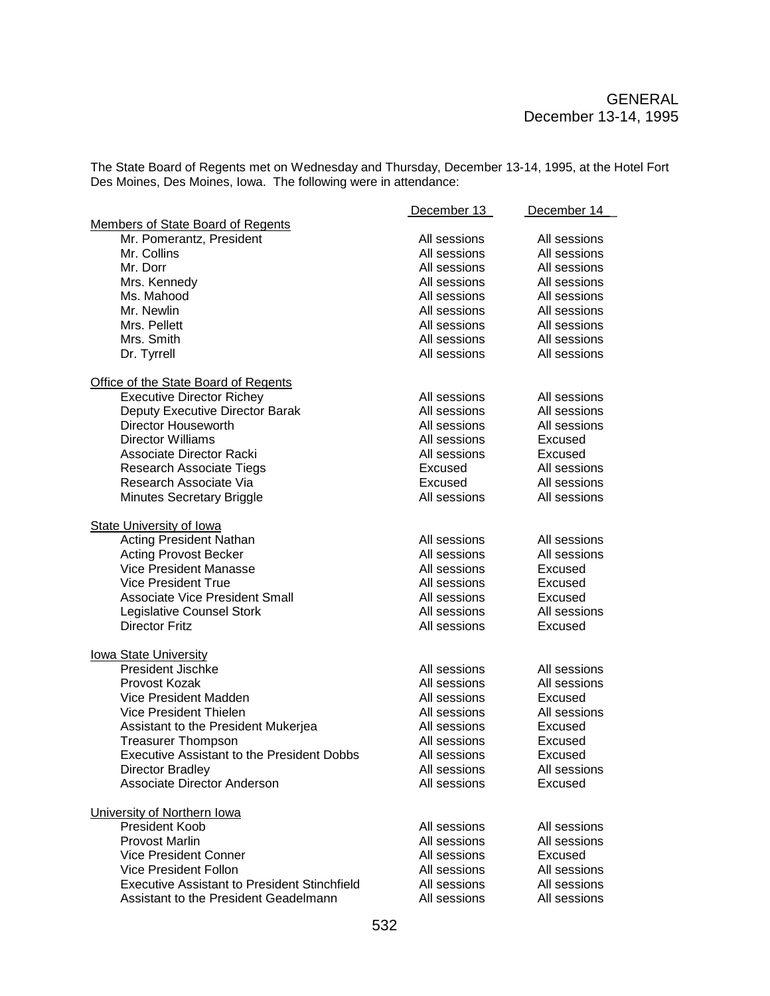The State Board of Regents met on Wednesday and Thursday, December 13-14, 1995, at the Hotel Fort Des Moines, Des Moines, Iowa. The following were in attendance:

|                                                     | December 13  | December 14    |
|-----------------------------------------------------|--------------|----------------|
| Members of State Board of Regents                   |              |                |
| Mr. Pomerantz, President                            | All sessions | All sessions   |
| Mr. Collins                                         | All sessions | All sessions   |
| Mr. Dorr                                            | All sessions | All sessions   |
| Mrs. Kennedy                                        | All sessions | All sessions   |
| Ms. Mahood                                          | All sessions | All sessions   |
| Mr. Newlin                                          | All sessions | All sessions   |
| Mrs. Pellett                                        | All sessions | All sessions   |
| Mrs. Smith                                          | All sessions | All sessions   |
| Dr. Tyrrell                                         | All sessions | All sessions   |
|                                                     |              |                |
| Office of the State Board of Regents                |              |                |
| <b>Executive Director Richey</b>                    | All sessions | All sessions   |
| Deputy Executive Director Barak                     | All sessions | All sessions   |
| Director Houseworth                                 | All sessions | All sessions   |
| <b>Director Williams</b>                            | All sessions | Excused        |
|                                                     |              |                |
| Associate Director Racki                            | All sessions | <b>Excused</b> |
| <b>Research Associate Tiegs</b>                     | Excused      | All sessions   |
| Research Associate Via                              | Excused      | All sessions   |
| Minutes Secretary Briggle                           | All sessions | All sessions   |
|                                                     |              |                |
| <b>State University of Iowa</b>                     |              |                |
| <b>Acting President Nathan</b>                      | All sessions | All sessions   |
| <b>Acting Provost Becker</b>                        | All sessions | All sessions   |
| Vice President Manasse                              | All sessions | Excused        |
| <b>Vice President True</b>                          | All sessions | Excused        |
| <b>Associate Vice President Small</b>               | All sessions | Excused        |
| Legislative Counsel Stork                           | All sessions | All sessions   |
| <b>Director Fritz</b>                               | All sessions | Excused        |
|                                                     |              |                |
| <b>lowa State University</b>                        |              |                |
| <b>President Jischke</b>                            | All sessions | All sessions   |
| Provost Kozak                                       | All sessions | All sessions   |
| Vice President Madden                               | All sessions | Excused        |
| Vice President Thielen                              | All sessions | All sessions   |
| Assistant to the President Mukerjea                 | All sessions | Excused        |
| <b>Treasurer Thompson</b>                           | All sessions | Excused        |
| <b>Executive Assistant to the President Dobbs</b>   | All sessions | Excused        |
| Director Bradley                                    | All sessions | All sessions   |
| Associate Director Anderson                         | All sessions | Excused        |
|                                                     |              |                |
| University of Northern Iowa                         |              |                |
| President Koob                                      | All sessions | All sessions   |
| Provost Marlin                                      | All sessions | All sessions   |
| <b>Vice President Conner</b>                        | All sessions | Excused        |
| Vice President Follon                               | All sessions | All sessions   |
| <b>Executive Assistant to President Stinchfield</b> | All sessions | All sessions   |
| Assistant to the President Geadelmann               | All sessions | All sessions   |
|                                                     |              |                |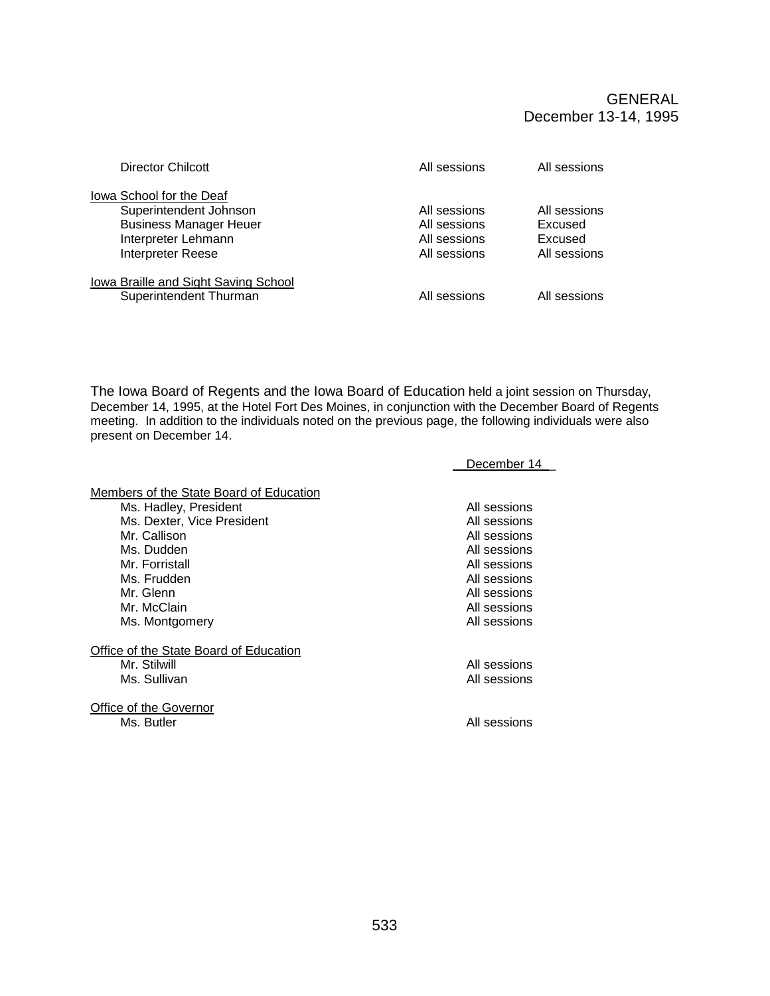GENERAL December 13-14, 1995

| Director Chilcott                                                                                                               | All sessions                                                 | All sessions                                       |
|---------------------------------------------------------------------------------------------------------------------------------|--------------------------------------------------------------|----------------------------------------------------|
| lowa School for the Deaf<br>Superintendent Johnson<br><b>Business Manager Heuer</b><br>Interpreter Lehmann<br>Interpreter Reese | All sessions<br>All sessions<br>All sessions<br>All sessions | All sessions<br>Excused<br>Excused<br>All sessions |
| Iowa Braille and Sight Saving School<br>Superintendent Thurman                                                                  | All sessions                                                 | All sessions                                       |

The Iowa Board of Regents and the Iowa Board of Education held a joint session on Thursday, December 14, 1995, at the Hotel Fort Des Moines, in conjunction with the December Board of Regents meeting. In addition to the individuals noted on the previous page, the following individuals were also present on December 14.

|                                         | December 14  |
|-----------------------------------------|--------------|
| Members of the State Board of Education |              |
| Ms. Hadley, President                   | All sessions |
| Ms. Dexter, Vice President              | All sessions |
| Mr. Callison                            | All sessions |
| Ms. Dudden                              | All sessions |
| Mr. Forristall                          | All sessions |
| Ms. Frudden                             | All sessions |
| Mr. Glenn                               | All sessions |
| Mr. McClain                             | All sessions |
| Ms. Montgomery                          | All sessions |
| Office of the State Board of Education  |              |
| Mr. Stilwill                            | All sessions |
| Ms. Sullivan                            | All sessions |
|                                         |              |
| Office of the Governor                  |              |
| Ms. Butler                              | All sessions |
|                                         |              |
|                                         |              |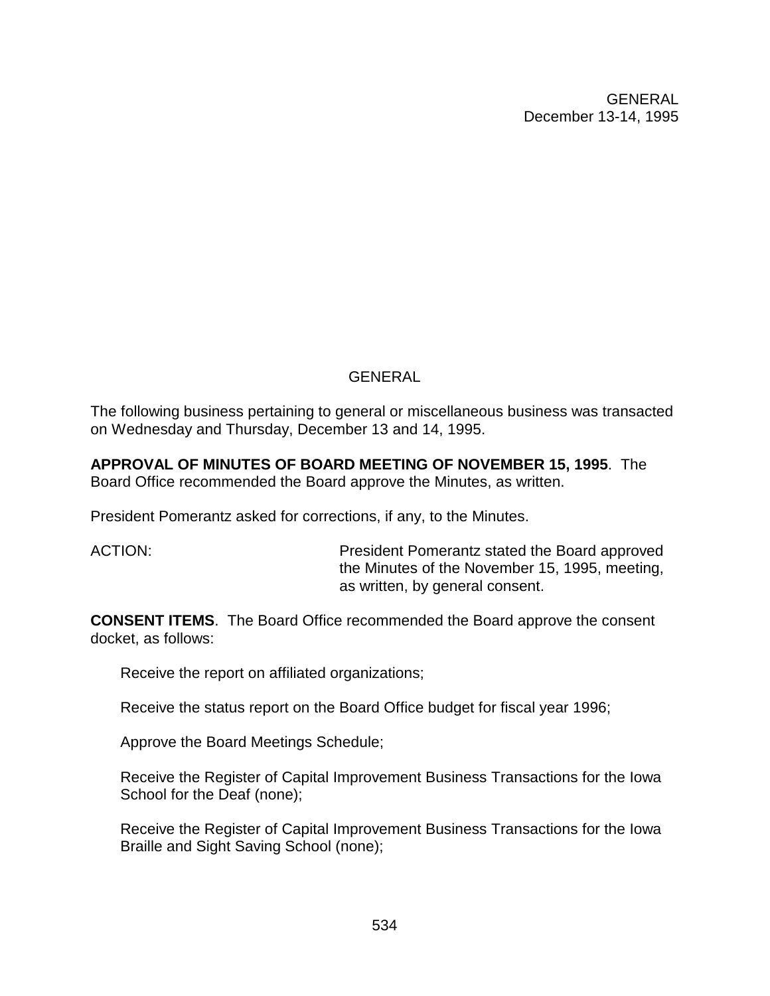GENERAL December 13-14, 1995

### **GENERAL**

The following business pertaining to general or miscellaneous business was transacted on Wednesday and Thursday, December 13 and 14, 1995.

**APPROVAL OF MINUTES OF BOARD MEETING OF NOVEMBER 15, 1995**. The Board Office recommended the Board approve the Minutes, as written.

President Pomerantz asked for corrections, if any, to the Minutes.

ACTION: President Pomerantz stated the Board approved the Minutes of the November 15, 1995, meeting, as written, by general consent.

**CONSENT ITEMS**. The Board Office recommended the Board approve the consent docket, as follows:

Receive the report on affiliated organizations;

Receive the status report on the Board Office budget for fiscal year 1996;

Approve the Board Meetings Schedule;

Receive the Register of Capital Improvement Business Transactions for the Iowa School for the Deaf (none);

Receive the Register of Capital Improvement Business Transactions for the Iowa Braille and Sight Saving School (none);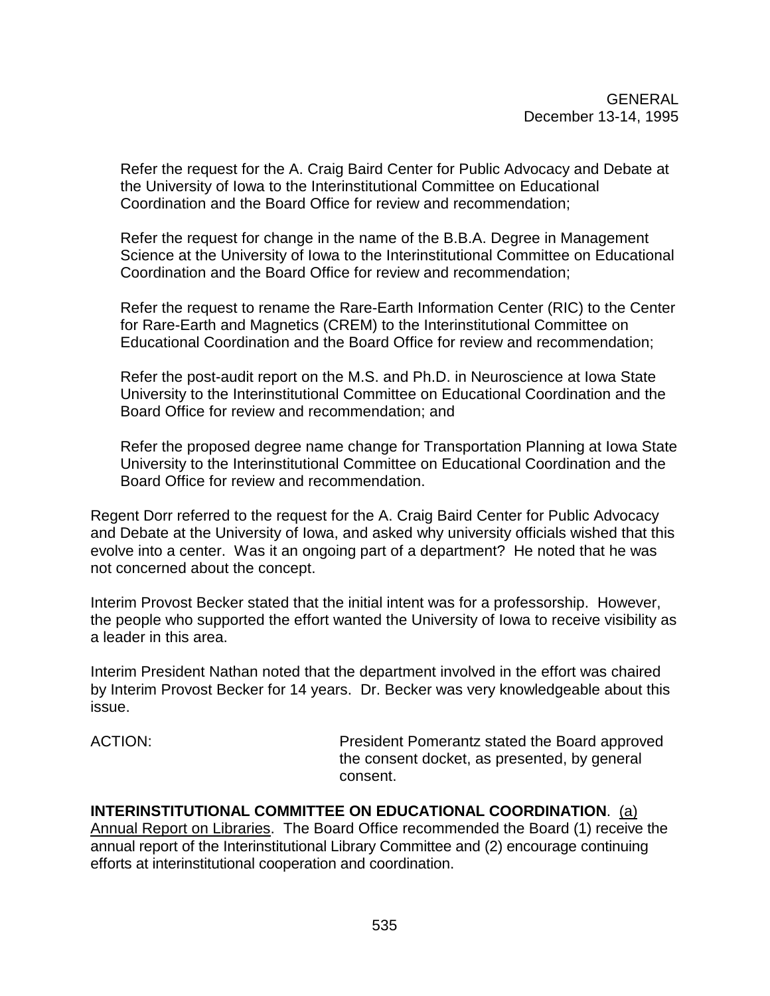Refer the request for the A. Craig Baird Center for Public Advocacy and Debate at the University of Iowa to the Interinstitutional Committee on Educational Coordination and the Board Office for review and recommendation;

Refer the request for change in the name of the B.B.A. Degree in Management Science at the University of Iowa to the Interinstitutional Committee on Educational Coordination and the Board Office for review and recommendation;

Refer the request to rename the Rare-Earth Information Center (RIC) to the Center for Rare-Earth and Magnetics (CREM) to the Interinstitutional Committee on Educational Coordination and the Board Office for review and recommendation;

Refer the post-audit report on the M.S. and Ph.D. in Neuroscience at Iowa State University to the Interinstitutional Committee on Educational Coordination and the Board Office for review and recommendation; and

Refer the proposed degree name change for Transportation Planning at Iowa State University to the Interinstitutional Committee on Educational Coordination and the Board Office for review and recommendation.

Regent Dorr referred to the request for the A. Craig Baird Center for Public Advocacy and Debate at the University of Iowa, and asked why university officials wished that this evolve into a center. Was it an ongoing part of a department? He noted that he was not concerned about the concept.

Interim Provost Becker stated that the initial intent was for a professorship. However, the people who supported the effort wanted the University of Iowa to receive visibility as a leader in this area.

Interim President Nathan noted that the department involved in the effort was chaired by Interim Provost Becker for 14 years. Dr. Becker was very knowledgeable about this issue.

ACTION: President Pomerantz stated the Board approved the consent docket, as presented, by general consent.

**INTERINSTITUTIONAL COMMITTEE ON EDUCATIONAL COORDINATION**. (a) Annual Report on Libraries. The Board Office recommended the Board (1) receive the annual report of the Interinstitutional Library Committee and (2) encourage continuing efforts at interinstitutional cooperation and coordination.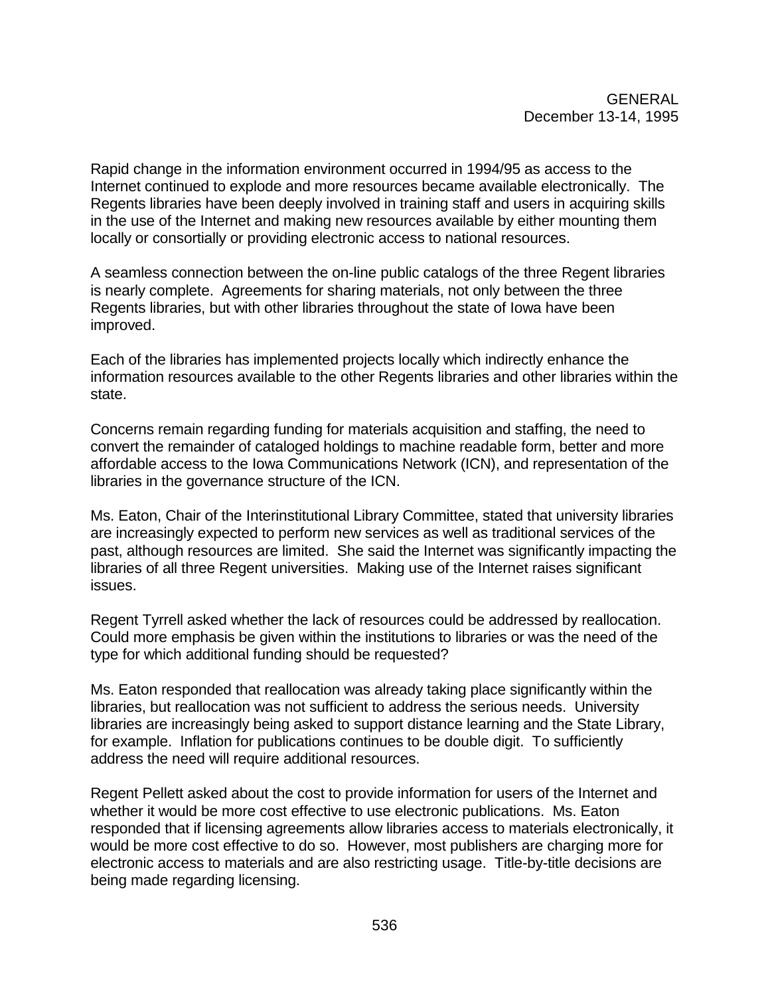Rapid change in the information environment occurred in 1994/95 as access to the Internet continued to explode and more resources became available electronically. The Regents libraries have been deeply involved in training staff and users in acquiring skills in the use of the Internet and making new resources available by either mounting them locally or consortially or providing electronic access to national resources.

A seamless connection between the on-line public catalogs of the three Regent libraries is nearly complete. Agreements for sharing materials, not only between the three Regents libraries, but with other libraries throughout the state of Iowa have been improved.

Each of the libraries has implemented projects locally which indirectly enhance the information resources available to the other Regents libraries and other libraries within the state.

Concerns remain regarding funding for materials acquisition and staffing, the need to convert the remainder of cataloged holdings to machine readable form, better and more affordable access to the Iowa Communications Network (ICN), and representation of the libraries in the governance structure of the ICN.

Ms. Eaton, Chair of the Interinstitutional Library Committee, stated that university libraries are increasingly expected to perform new services as well as traditional services of the past, although resources are limited. She said the Internet was significantly impacting the libraries of all three Regent universities. Making use of the Internet raises significant issues.

Regent Tyrrell asked whether the lack of resources could be addressed by reallocation. Could more emphasis be given within the institutions to libraries or was the need of the type for which additional funding should be requested?

Ms. Eaton responded that reallocation was already taking place significantly within the libraries, but reallocation was not sufficient to address the serious needs. University libraries are increasingly being asked to support distance learning and the State Library, for example. Inflation for publications continues to be double digit. To sufficiently address the need will require additional resources.

Regent Pellett asked about the cost to provide information for users of the Internet and whether it would be more cost effective to use electronic publications. Ms. Eaton responded that if licensing agreements allow libraries access to materials electronically, it would be more cost effective to do so. However, most publishers are charging more for electronic access to materials and are also restricting usage. Title-by-title decisions are being made regarding licensing.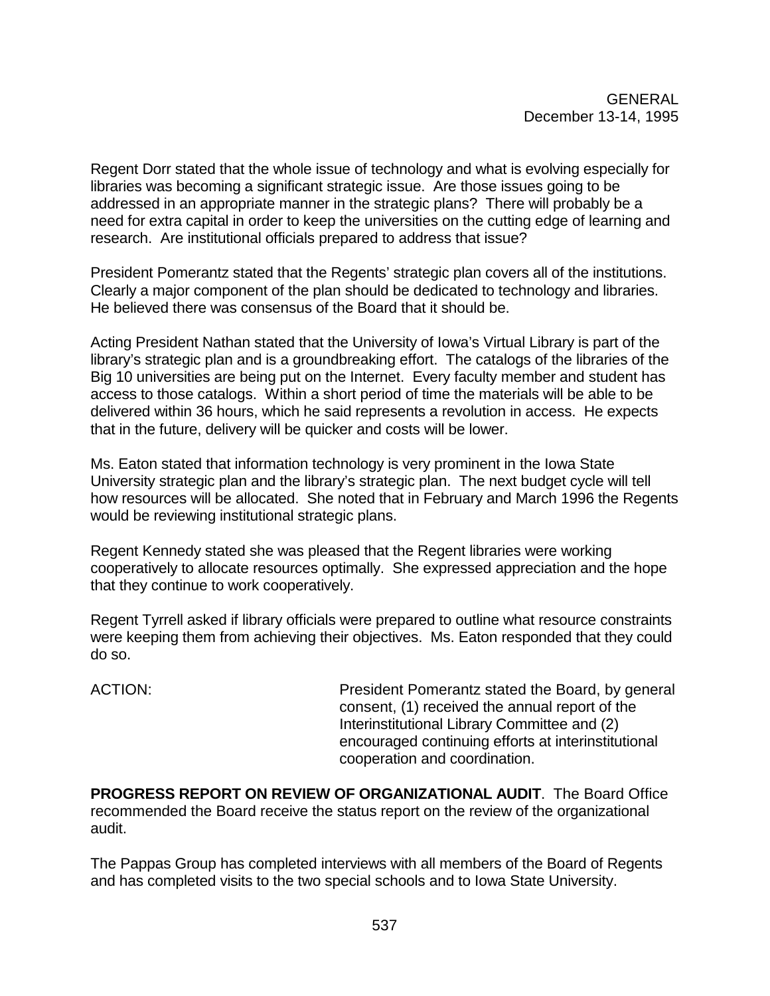Regent Dorr stated that the whole issue of technology and what is evolving especially for libraries was becoming a significant strategic issue. Are those issues going to be addressed in an appropriate manner in the strategic plans? There will probably be a need for extra capital in order to keep the universities on the cutting edge of learning and research. Are institutional officials prepared to address that issue?

President Pomerantz stated that the Regents' strategic plan covers all of the institutions. Clearly a major component of the plan should be dedicated to technology and libraries. He believed there was consensus of the Board that it should be.

Acting President Nathan stated that the University of Iowa's Virtual Library is part of the library's strategic plan and is a groundbreaking effort. The catalogs of the libraries of the Big 10 universities are being put on the Internet. Every faculty member and student has access to those catalogs. Within a short period of time the materials will be able to be delivered within 36 hours, which he said represents a revolution in access. He expects that in the future, delivery will be quicker and costs will be lower.

Ms. Eaton stated that information technology is very prominent in the Iowa State University strategic plan and the library's strategic plan. The next budget cycle will tell how resources will be allocated. She noted that in February and March 1996 the Regents would be reviewing institutional strategic plans.

Regent Kennedy stated she was pleased that the Regent libraries were working cooperatively to allocate resources optimally. She expressed appreciation and the hope that they continue to work cooperatively.

Regent Tyrrell asked if library officials were prepared to outline what resource constraints were keeping them from achieving their objectives. Ms. Eaton responded that they could do so.

ACTION: President Pomerantz stated the Board, by general consent, (1) received the annual report of the Interinstitutional Library Committee and (2) encouraged continuing efforts at interinstitutional cooperation and coordination.

**PROGRESS REPORT ON REVIEW OF ORGANIZATIONAL AUDIT**. The Board Office recommended the Board receive the status report on the review of the organizational audit.

The Pappas Group has completed interviews with all members of the Board of Regents and has completed visits to the two special schools and to Iowa State University.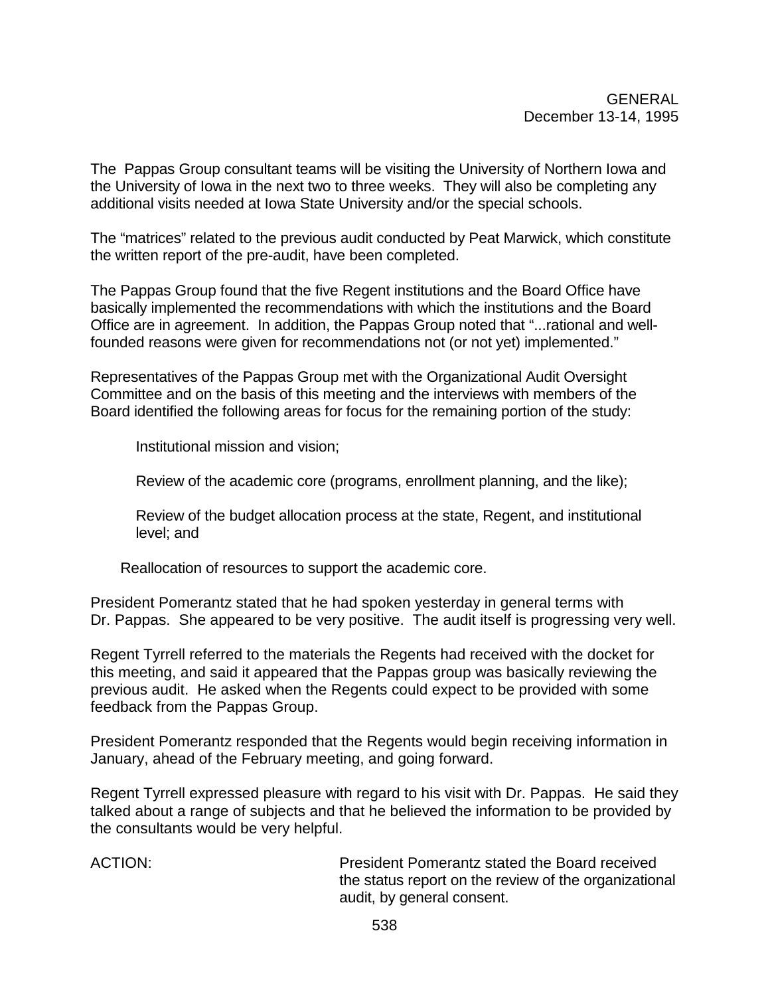The Pappas Group consultant teams will be visiting the University of Northern Iowa and the University of Iowa in the next two to three weeks. They will also be completing any additional visits needed at Iowa State University and/or the special schools.

The "matrices" related to the previous audit conducted by Peat Marwick, which constitute the written report of the pre-audit, have been completed.

The Pappas Group found that the five Regent institutions and the Board Office have basically implemented the recommendations with which the institutions and the Board Office are in agreement. In addition, the Pappas Group noted that "...rational and wellfounded reasons were given for recommendations not (or not yet) implemented."

Representatives of the Pappas Group met with the Organizational Audit Oversight Committee and on the basis of this meeting and the interviews with members of the Board identified the following areas for focus for the remaining portion of the study:

Institutional mission and vision;

Review of the academic core (programs, enrollment planning, and the like);

Review of the budget allocation process at the state, Regent, and institutional level; and

Reallocation of resources to support the academic core.

President Pomerantz stated that he had spoken yesterday in general terms with Dr. Pappas. She appeared to be very positive. The audit itself is progressing very well.

Regent Tyrrell referred to the materials the Regents had received with the docket for this meeting, and said it appeared that the Pappas group was basically reviewing the previous audit. He asked when the Regents could expect to be provided with some feedback from the Pappas Group.

President Pomerantz responded that the Regents would begin receiving information in January, ahead of the February meeting, and going forward.

Regent Tyrrell expressed pleasure with regard to his visit with Dr. Pappas. He said they talked about a range of subjects and that he believed the information to be provided by the consultants would be very helpful.

ACTION: President Pomerantz stated the Board received the status report on the review of the organizational audit, by general consent.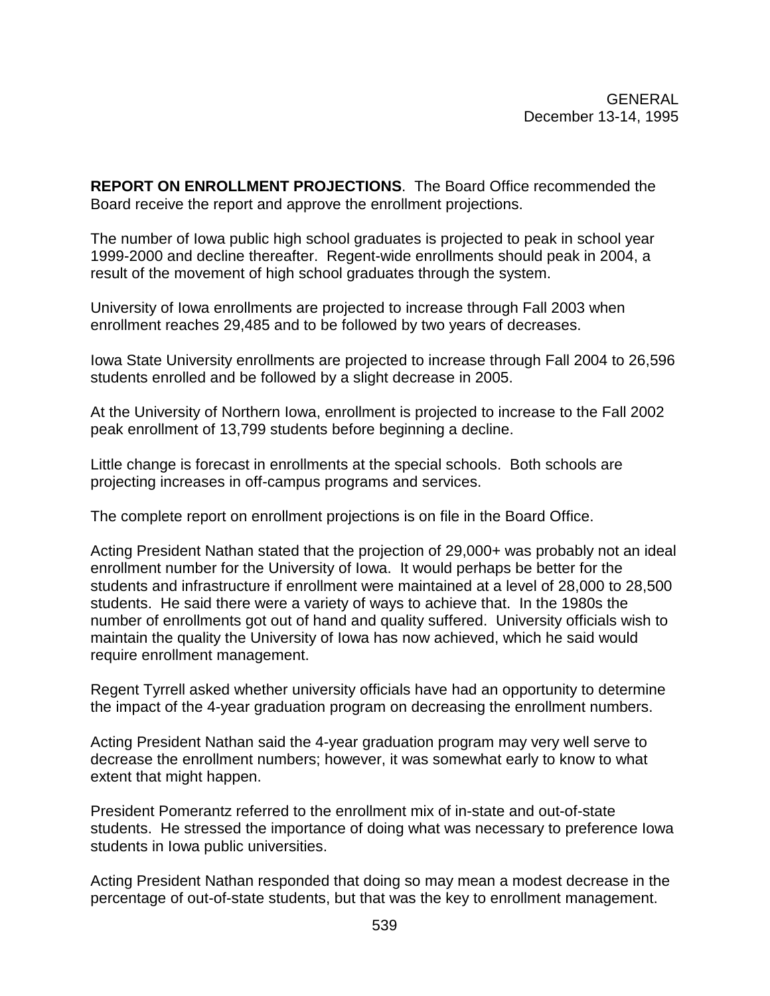**REPORT ON ENROLLMENT PROJECTIONS**. The Board Office recommended the Board receive the report and approve the enrollment projections.

The number of Iowa public high school graduates is projected to peak in school year 1999-2000 and decline thereafter. Regent-wide enrollments should peak in 2004, a result of the movement of high school graduates through the system.

University of Iowa enrollments are projected to increase through Fall 2003 when enrollment reaches 29,485 and to be followed by two years of decreases.

Iowa State University enrollments are projected to increase through Fall 2004 to 26,596 students enrolled and be followed by a slight decrease in 2005.

At the University of Northern Iowa, enrollment is projected to increase to the Fall 2002 peak enrollment of 13,799 students before beginning a decline.

Little change is forecast in enrollments at the special schools. Both schools are projecting increases in off-campus programs and services.

The complete report on enrollment projections is on file in the Board Office.

Acting President Nathan stated that the projection of 29,000+ was probably not an ideal enrollment number for the University of Iowa. It would perhaps be better for the students and infrastructure if enrollment were maintained at a level of 28,000 to 28,500 students. He said there were a variety of ways to achieve that. In the 1980s the number of enrollments got out of hand and quality suffered. University officials wish to maintain the quality the University of Iowa has now achieved, which he said would require enrollment management.

Regent Tyrrell asked whether university officials have had an opportunity to determine the impact of the 4-year graduation program on decreasing the enrollment numbers.

Acting President Nathan said the 4-year graduation program may very well serve to decrease the enrollment numbers; however, it was somewhat early to know to what extent that might happen.

President Pomerantz referred to the enrollment mix of in-state and out-of-state students. He stressed the importance of doing what was necessary to preference Iowa students in Iowa public universities.

Acting President Nathan responded that doing so may mean a modest decrease in the percentage of out-of-state students, but that was the key to enrollment management.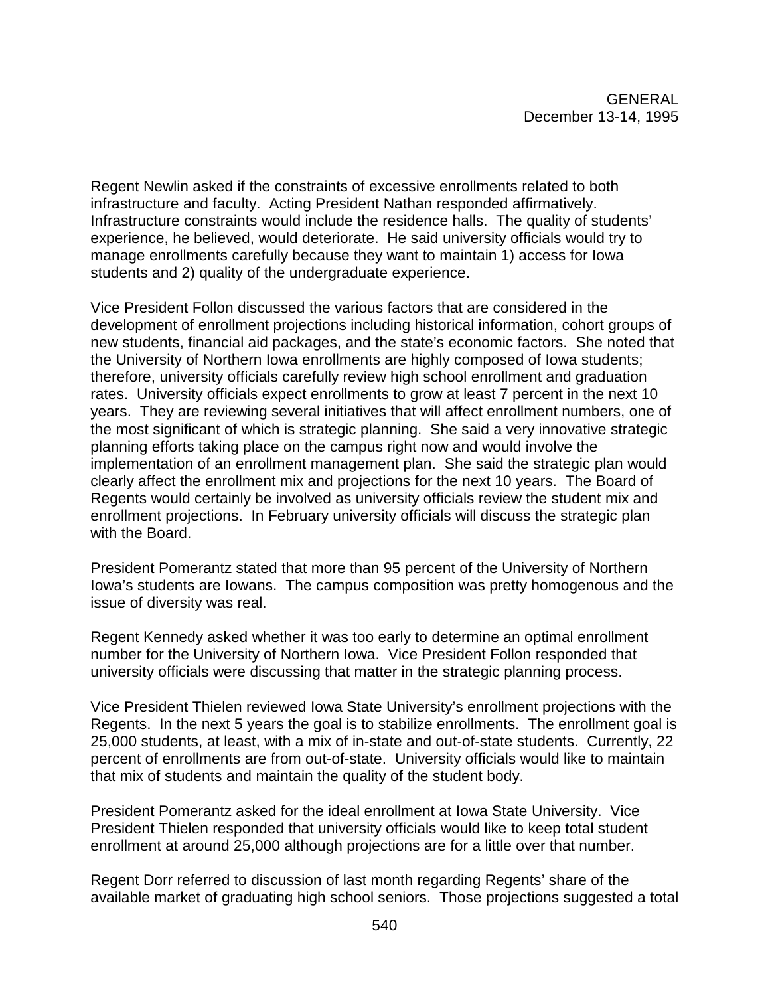Regent Newlin asked if the constraints of excessive enrollments related to both infrastructure and faculty. Acting President Nathan responded affirmatively. Infrastructure constraints would include the residence halls. The quality of students' experience, he believed, would deteriorate. He said university officials would try to manage enrollments carefully because they want to maintain 1) access for Iowa students and 2) quality of the undergraduate experience.

Vice President Follon discussed the various factors that are considered in the development of enrollment projections including historical information, cohort groups of new students, financial aid packages, and the state's economic factors. She noted that the University of Northern Iowa enrollments are highly composed of Iowa students; therefore, university officials carefully review high school enrollment and graduation rates. University officials expect enrollments to grow at least 7 percent in the next 10 years. They are reviewing several initiatives that will affect enrollment numbers, one of the most significant of which is strategic planning. She said a very innovative strategic planning efforts taking place on the campus right now and would involve the implementation of an enrollment management plan. She said the strategic plan would clearly affect the enrollment mix and projections for the next 10 years. The Board of Regents would certainly be involved as university officials review the student mix and enrollment projections. In February university officials will discuss the strategic plan with the Board.

President Pomerantz stated that more than 95 percent of the University of Northern Iowa's students are Iowans. The campus composition was pretty homogenous and the issue of diversity was real.

Regent Kennedy asked whether it was too early to determine an optimal enrollment number for the University of Northern Iowa. Vice President Follon responded that university officials were discussing that matter in the strategic planning process.

Vice President Thielen reviewed Iowa State University's enrollment projections with the Regents. In the next 5 years the goal is to stabilize enrollments. The enrollment goal is 25,000 students, at least, with a mix of in-state and out-of-state students. Currently, 22 percent of enrollments are from out-of-state. University officials would like to maintain that mix of students and maintain the quality of the student body.

President Pomerantz asked for the ideal enrollment at Iowa State University. Vice President Thielen responded that university officials would like to keep total student enrollment at around 25,000 although projections are for a little over that number.

Regent Dorr referred to discussion of last month regarding Regents' share of the available market of graduating high school seniors. Those projections suggested a total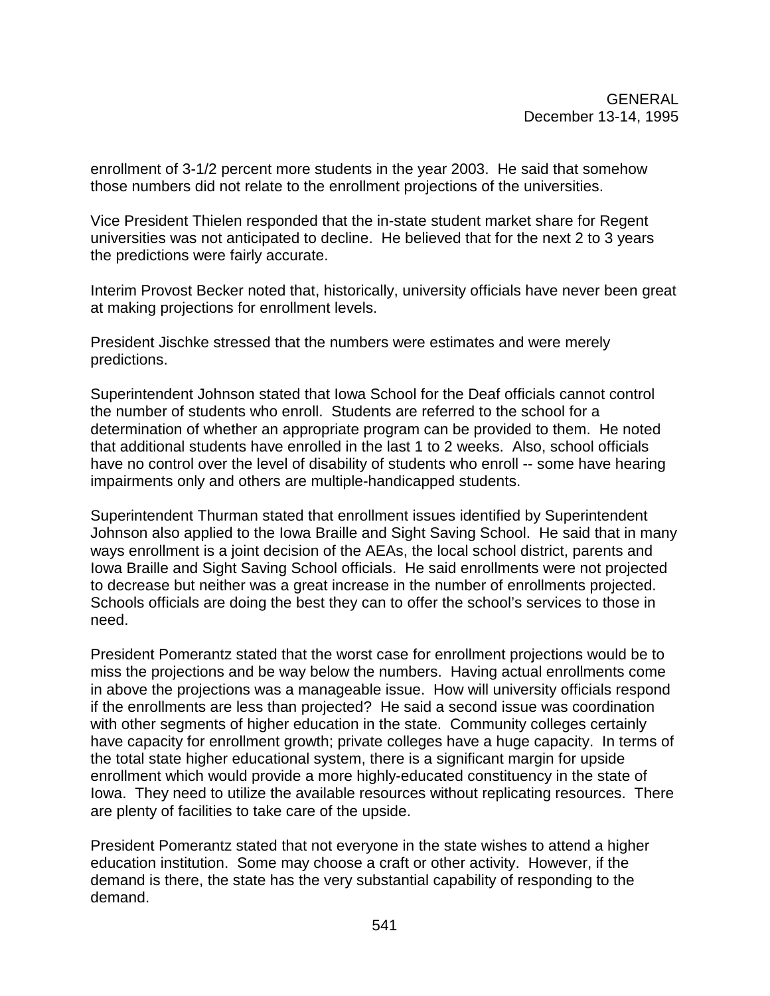enrollment of 3-1/2 percent more students in the year 2003. He said that somehow those numbers did not relate to the enrollment projections of the universities.

Vice President Thielen responded that the in-state student market share for Regent universities was not anticipated to decline. He believed that for the next 2 to 3 years the predictions were fairly accurate.

Interim Provost Becker noted that, historically, university officials have never been great at making projections for enrollment levels.

President Jischke stressed that the numbers were estimates and were merely predictions.

Superintendent Johnson stated that Iowa School for the Deaf officials cannot control the number of students who enroll. Students are referred to the school for a determination of whether an appropriate program can be provided to them. He noted that additional students have enrolled in the last 1 to 2 weeks. Also, school officials have no control over the level of disability of students who enroll -- some have hearing impairments only and others are multiple-handicapped students.

Superintendent Thurman stated that enrollment issues identified by Superintendent Johnson also applied to the Iowa Braille and Sight Saving School. He said that in many ways enrollment is a joint decision of the AEAs, the local school district, parents and Iowa Braille and Sight Saving School officials. He said enrollments were not projected to decrease but neither was a great increase in the number of enrollments projected. Schools officials are doing the best they can to offer the school's services to those in need.

President Pomerantz stated that the worst case for enrollment projections would be to miss the projections and be way below the numbers. Having actual enrollments come in above the projections was a manageable issue. How will university officials respond if the enrollments are less than projected? He said a second issue was coordination with other segments of higher education in the state. Community colleges certainly have capacity for enrollment growth; private colleges have a huge capacity. In terms of the total state higher educational system, there is a significant margin for upside enrollment which would provide a more highly-educated constituency in the state of Iowa. They need to utilize the available resources without replicating resources. There are plenty of facilities to take care of the upside.

President Pomerantz stated that not everyone in the state wishes to attend a higher education institution. Some may choose a craft or other activity. However, if the demand is there, the state has the very substantial capability of responding to the demand.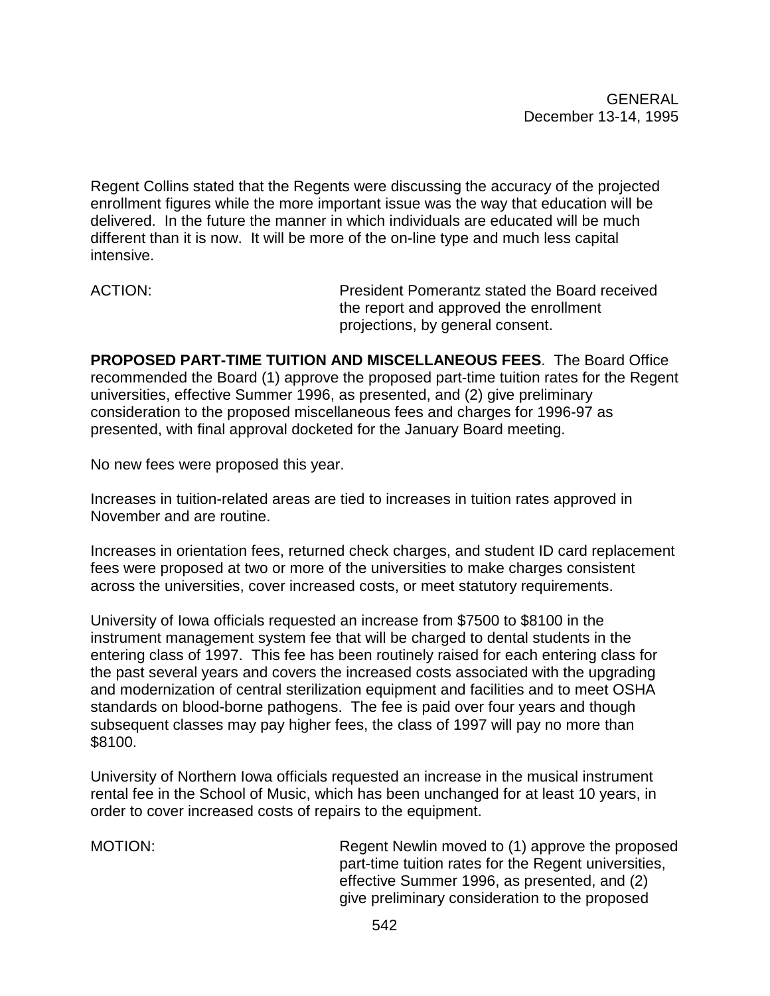Regent Collins stated that the Regents were discussing the accuracy of the projected enrollment figures while the more important issue was the way that education will be delivered. In the future the manner in which individuals are educated will be much different than it is now. It will be more of the on-line type and much less capital intensive.

ACTION: President Pomerantz stated the Board received the report and approved the enrollment projections, by general consent.

**PROPOSED PART-TIME TUITION AND MISCELLANEOUS FEES**. The Board Office recommended the Board (1) approve the proposed part-time tuition rates for the Regent universities, effective Summer 1996, as presented, and (2) give preliminary consideration to the proposed miscellaneous fees and charges for 1996-97 as presented, with final approval docketed for the January Board meeting.

No new fees were proposed this year.

Increases in tuition-related areas are tied to increases in tuition rates approved in November and are routine.

Increases in orientation fees, returned check charges, and student ID card replacement fees were proposed at two or more of the universities to make charges consistent across the universities, cover increased costs, or meet statutory requirements.

University of Iowa officials requested an increase from \$7500 to \$8100 in the instrument management system fee that will be charged to dental students in the entering class of 1997. This fee has been routinely raised for each entering class for the past several years and covers the increased costs associated with the upgrading and modernization of central sterilization equipment and facilities and to meet OSHA standards on blood-borne pathogens. The fee is paid over four years and though subsequent classes may pay higher fees, the class of 1997 will pay no more than \$8100.

University of Northern Iowa officials requested an increase in the musical instrument rental fee in the School of Music, which has been unchanged for at least 10 years, in order to cover increased costs of repairs to the equipment.

MOTION: Regent Newlin moved to (1) approve the proposed part-time tuition rates for the Regent universities, effective Summer 1996, as presented, and (2) give preliminary consideration to the proposed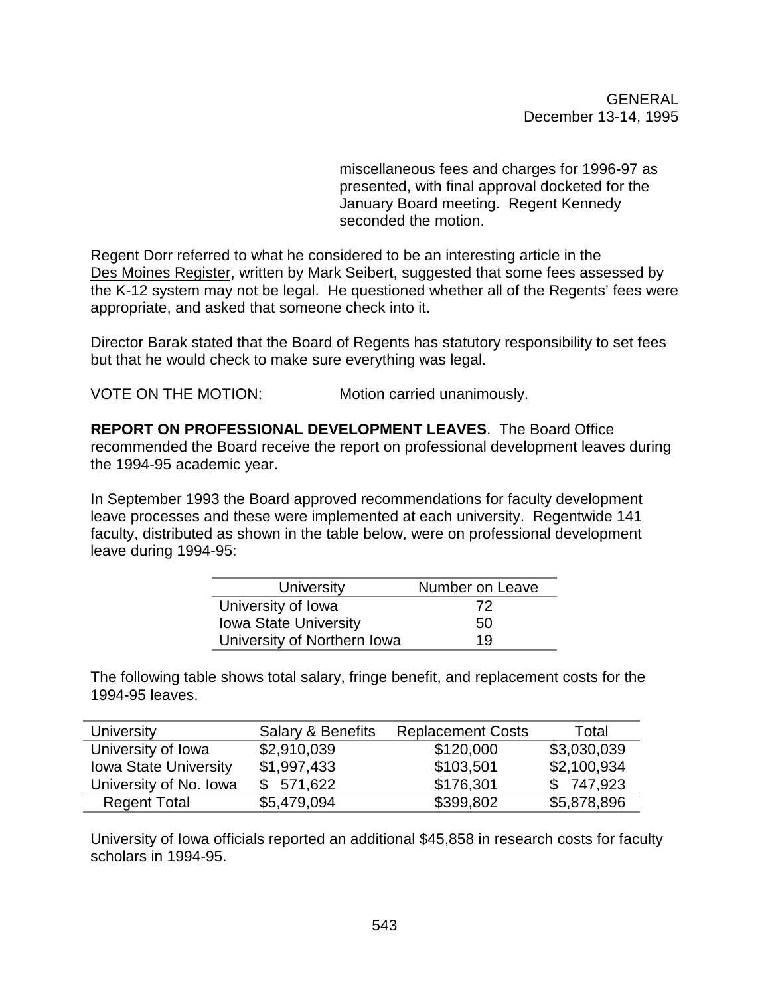miscellaneous fees and charges for 1996-97 as presented, with final approval docketed for the January Board meeting. Regent Kennedy seconded the motion.

Regent Dorr referred to what he considered to be an interesting article in the Des Moines Register, written by Mark Seibert, suggested that some fees assessed by the K-12 system may not be legal. He questioned whether all of the Regents' fees were appropriate, and asked that someone check into it.

Director Barak stated that the Board of Regents has statutory responsibility to set fees but that he would check to make sure everything was legal.

VOTE ON THE MOTION: Motion carried unanimously.

**REPORT ON PROFESSIONAL DEVELOPMENT LEAVES**. The Board Office recommended the Board receive the report on professional development leaves during the 1994-95 academic year.

In September 1993 the Board approved recommendations for faculty development leave processes and these were implemented at each university. Regentwide 141 faculty, distributed as shown in the table below, were on professional development leave during 1994-95:

| University                   | Number on Leave |
|------------------------------|-----------------|
| University of Iowa           | 72              |
| <b>Iowa State University</b> | 50              |
| University of Northern Iowa  | 19              |

The following table shows total salary, fringe benefit, and replacement costs for the 1994-95 leaves.

| University                   | Salary & Benefits | <b>Replacement Costs</b> | Total       |
|------------------------------|-------------------|--------------------------|-------------|
| University of Iowa           | \$2,910,039       | \$120,000                | \$3,030,039 |
| <b>Iowa State University</b> | \$1,997,433       | \$103,501                | \$2,100,934 |
| University of No. Iowa       | \$571,622         | \$176,301                | \$747,923   |
| <b>Regent Total</b>          | \$5,479,094       | \$399,802                | \$5,878,896 |

University of Iowa officials reported an additional \$45,858 in research costs for faculty scholars in 1994-95.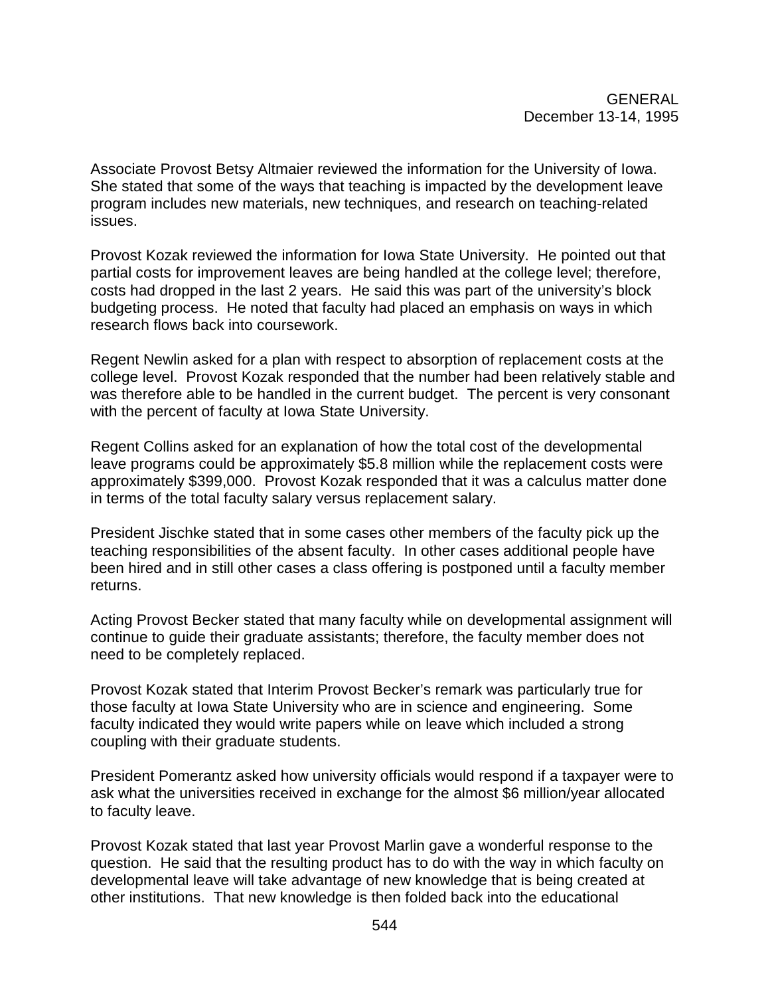Associate Provost Betsy Altmaier reviewed the information for the University of Iowa. She stated that some of the ways that teaching is impacted by the development leave program includes new materials, new techniques, and research on teaching-related issues.

Provost Kozak reviewed the information for Iowa State University. He pointed out that partial costs for improvement leaves are being handled at the college level; therefore, costs had dropped in the last 2 years. He said this was part of the university's block budgeting process. He noted that faculty had placed an emphasis on ways in which research flows back into coursework.

Regent Newlin asked for a plan with respect to absorption of replacement costs at the college level. Provost Kozak responded that the number had been relatively stable and was therefore able to be handled in the current budget. The percent is very consonant with the percent of faculty at Iowa State University.

Regent Collins asked for an explanation of how the total cost of the developmental leave programs could be approximately \$5.8 million while the replacement costs were approximately \$399,000. Provost Kozak responded that it was a calculus matter done in terms of the total faculty salary versus replacement salary.

President Jischke stated that in some cases other members of the faculty pick up the teaching responsibilities of the absent faculty. In other cases additional people have been hired and in still other cases a class offering is postponed until a faculty member returns.

Acting Provost Becker stated that many faculty while on developmental assignment will continue to guide their graduate assistants; therefore, the faculty member does not need to be completely replaced.

Provost Kozak stated that Interim Provost Becker's remark was particularly true for those faculty at Iowa State University who are in science and engineering. Some faculty indicated they would write papers while on leave which included a strong coupling with their graduate students.

President Pomerantz asked how university officials would respond if a taxpayer were to ask what the universities received in exchange for the almost \$6 million/year allocated to faculty leave.

Provost Kozak stated that last year Provost Marlin gave a wonderful response to the question. He said that the resulting product has to do with the way in which faculty on developmental leave will take advantage of new knowledge that is being created at other institutions. That new knowledge is then folded back into the educational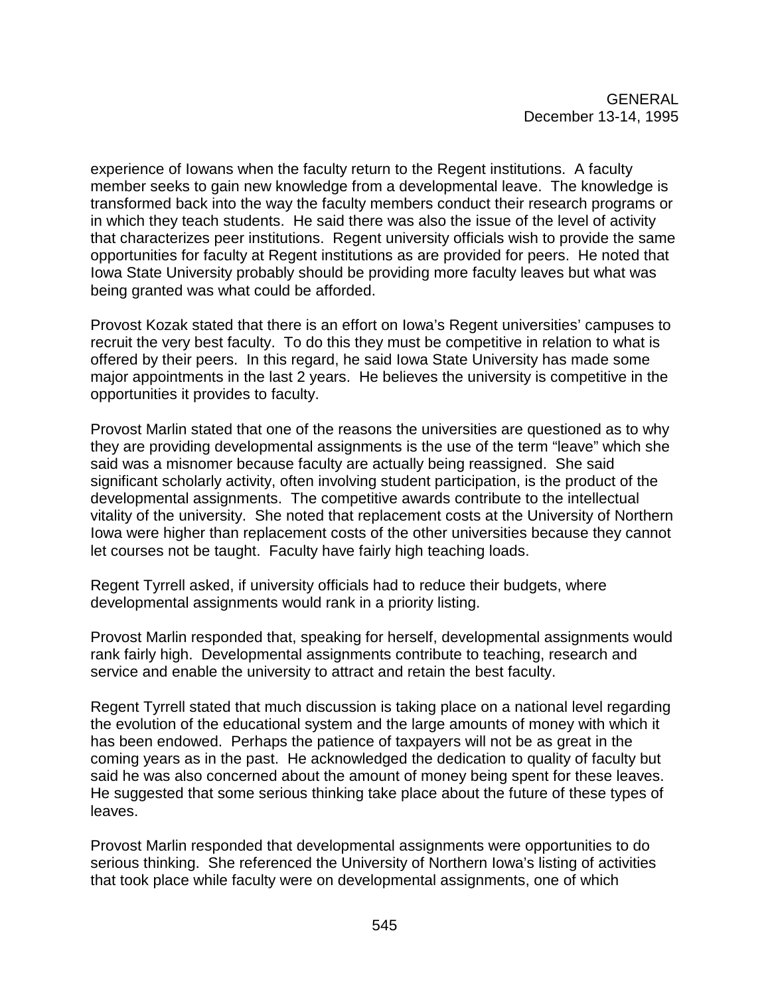experience of Iowans when the faculty return to the Regent institutions. A faculty member seeks to gain new knowledge from a developmental leave. The knowledge is transformed back into the way the faculty members conduct their research programs or in which they teach students. He said there was also the issue of the level of activity that characterizes peer institutions. Regent university officials wish to provide the same opportunities for faculty at Regent institutions as are provided for peers. He noted that Iowa State University probably should be providing more faculty leaves but what was being granted was what could be afforded.

Provost Kozak stated that there is an effort on Iowa's Regent universities' campuses to recruit the very best faculty. To do this they must be competitive in relation to what is offered by their peers. In this regard, he said Iowa State University has made some major appointments in the last 2 years. He believes the university is competitive in the opportunities it provides to faculty.

Provost Marlin stated that one of the reasons the universities are questioned as to why they are providing developmental assignments is the use of the term "leave" which she said was a misnomer because faculty are actually being reassigned. She said significant scholarly activity, often involving student participation, is the product of the developmental assignments. The competitive awards contribute to the intellectual vitality of the university. She noted that replacement costs at the University of Northern Iowa were higher than replacement costs of the other universities because they cannot let courses not be taught. Faculty have fairly high teaching loads.

Regent Tyrrell asked, if university officials had to reduce their budgets, where developmental assignments would rank in a priority listing.

Provost Marlin responded that, speaking for herself, developmental assignments would rank fairly high. Developmental assignments contribute to teaching, research and service and enable the university to attract and retain the best faculty.

Regent Tyrrell stated that much discussion is taking place on a national level regarding the evolution of the educational system and the large amounts of money with which it has been endowed. Perhaps the patience of taxpayers will not be as great in the coming years as in the past. He acknowledged the dedication to quality of faculty but said he was also concerned about the amount of money being spent for these leaves. He suggested that some serious thinking take place about the future of these types of leaves.

Provost Marlin responded that developmental assignments were opportunities to do serious thinking. She referenced the University of Northern Iowa's listing of activities that took place while faculty were on developmental assignments, one of which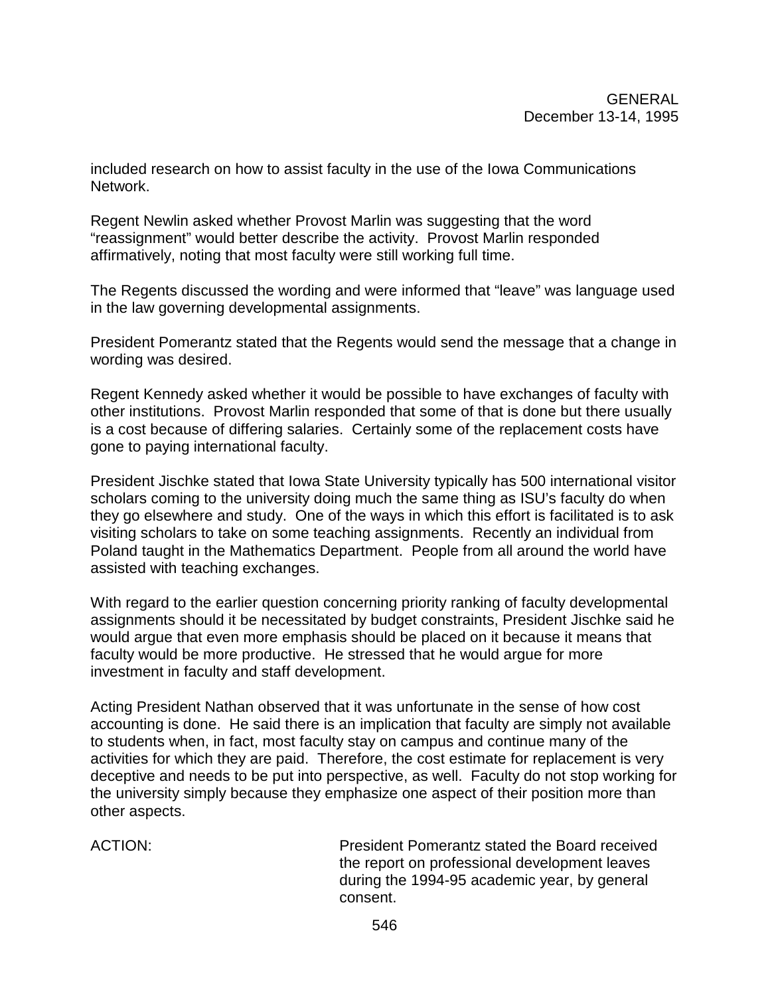included research on how to assist faculty in the use of the Iowa Communications Network.

Regent Newlin asked whether Provost Marlin was suggesting that the word "reassignment" would better describe the activity. Provost Marlin responded affirmatively, noting that most faculty were still working full time.

The Regents discussed the wording and were informed that "leave" was language used in the law governing developmental assignments.

President Pomerantz stated that the Regents would send the message that a change in wording was desired.

Regent Kennedy asked whether it would be possible to have exchanges of faculty with other institutions. Provost Marlin responded that some of that is done but there usually is a cost because of differing salaries. Certainly some of the replacement costs have gone to paying international faculty.

President Jischke stated that Iowa State University typically has 500 international visitor scholars coming to the university doing much the same thing as ISU's faculty do when they go elsewhere and study. One of the ways in which this effort is facilitated is to ask visiting scholars to take on some teaching assignments. Recently an individual from Poland taught in the Mathematics Department. People from all around the world have assisted with teaching exchanges.

With regard to the earlier question concerning priority ranking of faculty developmental assignments should it be necessitated by budget constraints, President Jischke said he would argue that even more emphasis should be placed on it because it means that faculty would be more productive. He stressed that he would argue for more investment in faculty and staff development.

Acting President Nathan observed that it was unfortunate in the sense of how cost accounting is done. He said there is an implication that faculty are simply not available to students when, in fact, most faculty stay on campus and continue many of the activities for which they are paid. Therefore, the cost estimate for replacement is very deceptive and needs to be put into perspective, as well. Faculty do not stop working for the university simply because they emphasize one aspect of their position more than other aspects.

ACTION: President Pomerantz stated the Board received the report on professional development leaves during the 1994-95 academic year, by general consent.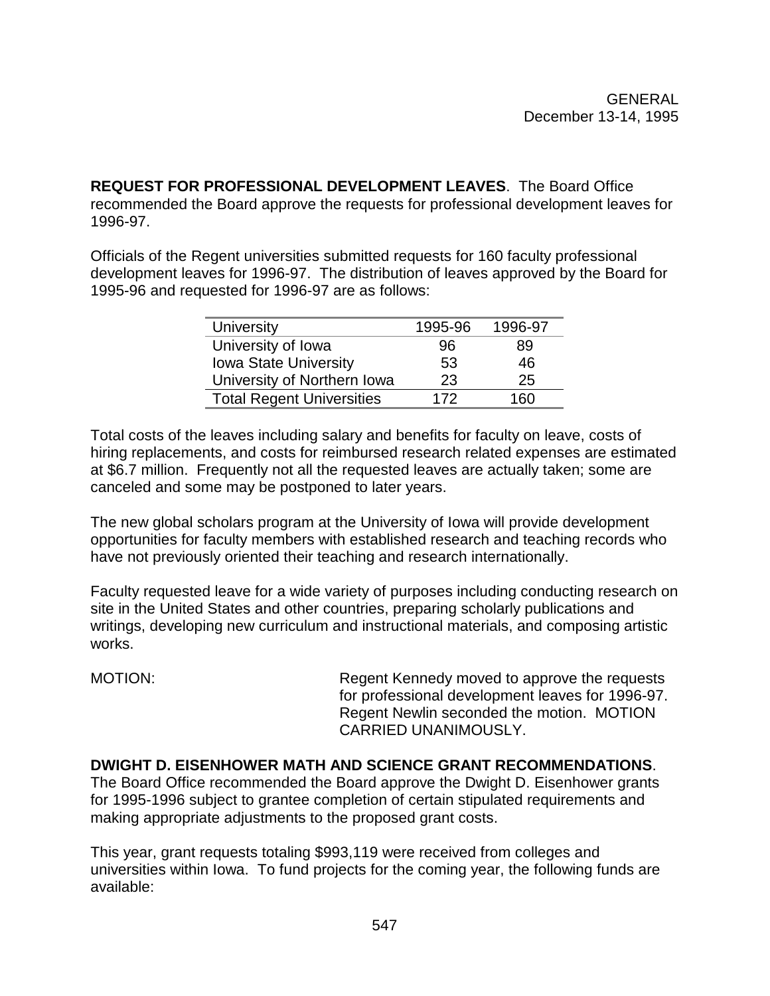**REQUEST FOR PROFESSIONAL DEVELOPMENT LEAVES**. The Board Office recommended the Board approve the requests for professional development leaves for 1996-97.

Officials of the Regent universities submitted requests for 160 faculty professional development leaves for 1996-97. The distribution of leaves approved by the Board for 1995-96 and requested for 1996-97 are as follows:

| University                       | 1995-96 | 1996-97 |
|----------------------------------|---------|---------|
| University of Iowa               | 96      | 89      |
| <b>Iowa State University</b>     | 53      | 46      |
| University of Northern Iowa      | 23      | 25      |
| <b>Total Regent Universities</b> | 172     | 160     |

Total costs of the leaves including salary and benefits for faculty on leave, costs of hiring replacements, and costs for reimbursed research related expenses are estimated at \$6.7 million. Frequently not all the requested leaves are actually taken; some are canceled and some may be postponed to later years.

The new global scholars program at the University of Iowa will provide development opportunities for faculty members with established research and teaching records who have not previously oriented their teaching and research internationally.

Faculty requested leave for a wide variety of purposes including conducting research on site in the United States and other countries, preparing scholarly publications and writings, developing new curriculum and instructional materials, and composing artistic works.

MOTION: Regent Kennedy moved to approve the requests for professional development leaves for 1996-97. Regent Newlin seconded the motion. MOTION CARRIED UNANIMOUSLY.

# **DWIGHT D. EISENHOWER MATH AND SCIENCE GRANT RECOMMENDATIONS**.

The Board Office recommended the Board approve the Dwight D. Eisenhower grants for 1995-1996 subject to grantee completion of certain stipulated requirements and making appropriate adjustments to the proposed grant costs.

This year, grant requests totaling \$993,119 were received from colleges and universities within Iowa. To fund projects for the coming year, the following funds are available: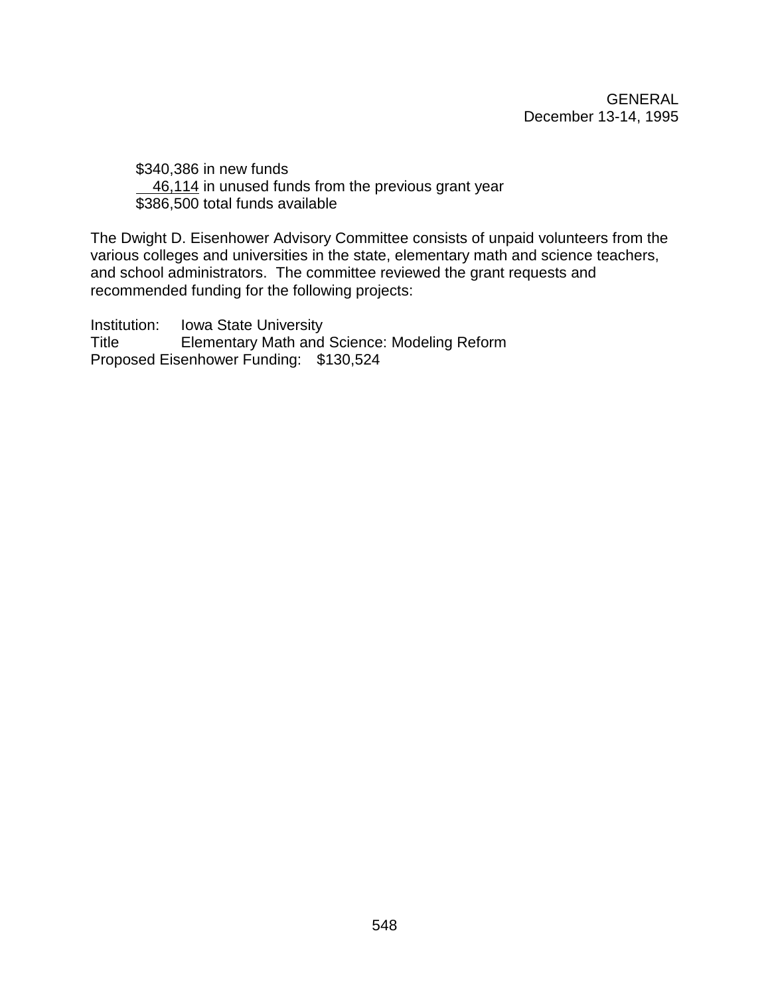\$340,386 in new funds 46,114 in unused funds from the previous grant year \$386,500 total funds available

The Dwight D. Eisenhower Advisory Committee consists of unpaid volunteers from the various colleges and universities in the state, elementary math and science teachers, and school administrators. The committee reviewed the grant requests and recommended funding for the following projects:

Institution: Iowa State University Title Elementary Math and Science: Modeling Reform Proposed Eisenhower Funding: \$130,524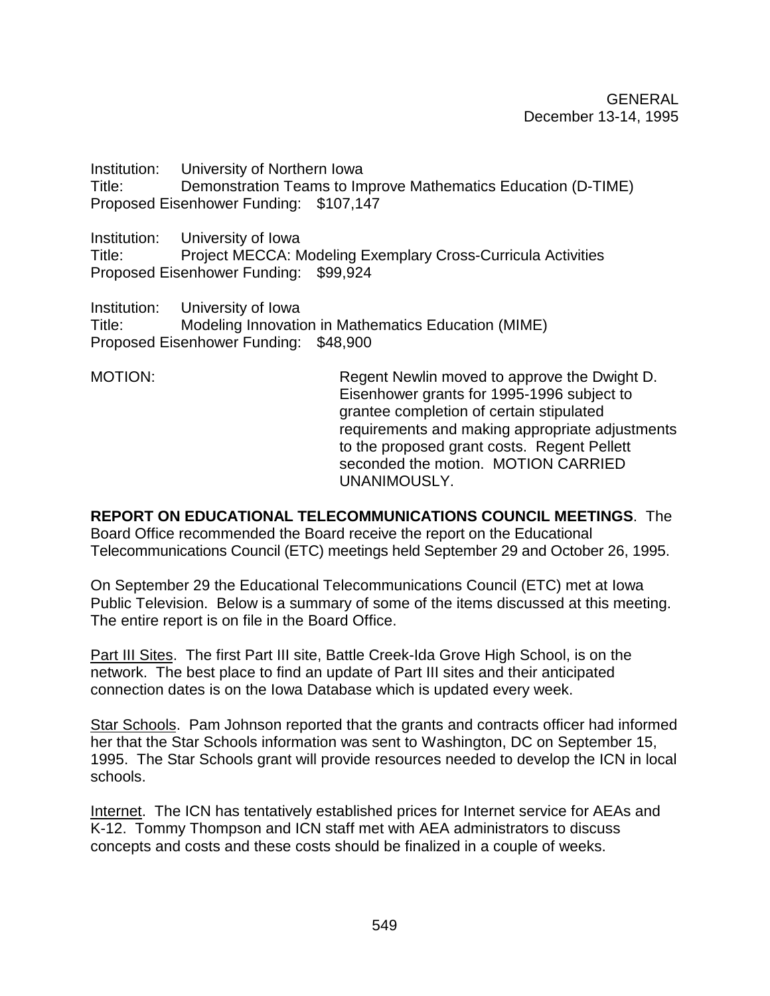Institution: University of Northern Iowa Title: Demonstration Teams to Improve Mathematics Education (D-TIME) Proposed Eisenhower Funding: \$107,147

Institution: University of Iowa Title: Project MECCA: Modeling Exemplary Cross-Curricula Activities Proposed Eisenhower Funding: \$99,924

Institution: University of Iowa Title: Modeling Innovation in Mathematics Education (MIME) Proposed Eisenhower Funding: \$48,900

MOTION: MOTION: Regent Newlin moved to approve the Dwight D. Eisenhower grants for 1995-1996 subject to grantee completion of certain stipulated requirements and making appropriate adjustments to the proposed grant costs. Regent Pellett seconded the motion. MOTION CARRIED UNANIMOUSLY.

**REPORT ON EDUCATIONAL TELECOMMUNICATIONS COUNCIL MEETINGS**. The Board Office recommended the Board receive the report on the Educational Telecommunications Council (ETC) meetings held September 29 and October 26, 1995.

On September 29 the Educational Telecommunications Council (ETC) met at Iowa Public Television. Below is a summary of some of the items discussed at this meeting. The entire report is on file in the Board Office.

Part III Sites. The first Part III site, Battle Creek-Ida Grove High School, is on the network. The best place to find an update of Part III sites and their anticipated connection dates is on the Iowa Database which is updated every week.

Star Schools. Pam Johnson reported that the grants and contracts officer had informed her that the Star Schools information was sent to Washington, DC on September 15, 1995. The Star Schools grant will provide resources needed to develop the ICN in local schools.

Internet. The ICN has tentatively established prices for Internet service for AEAs and K-12. Tommy Thompson and ICN staff met with AEA administrators to discuss concepts and costs and these costs should be finalized in a couple of weeks.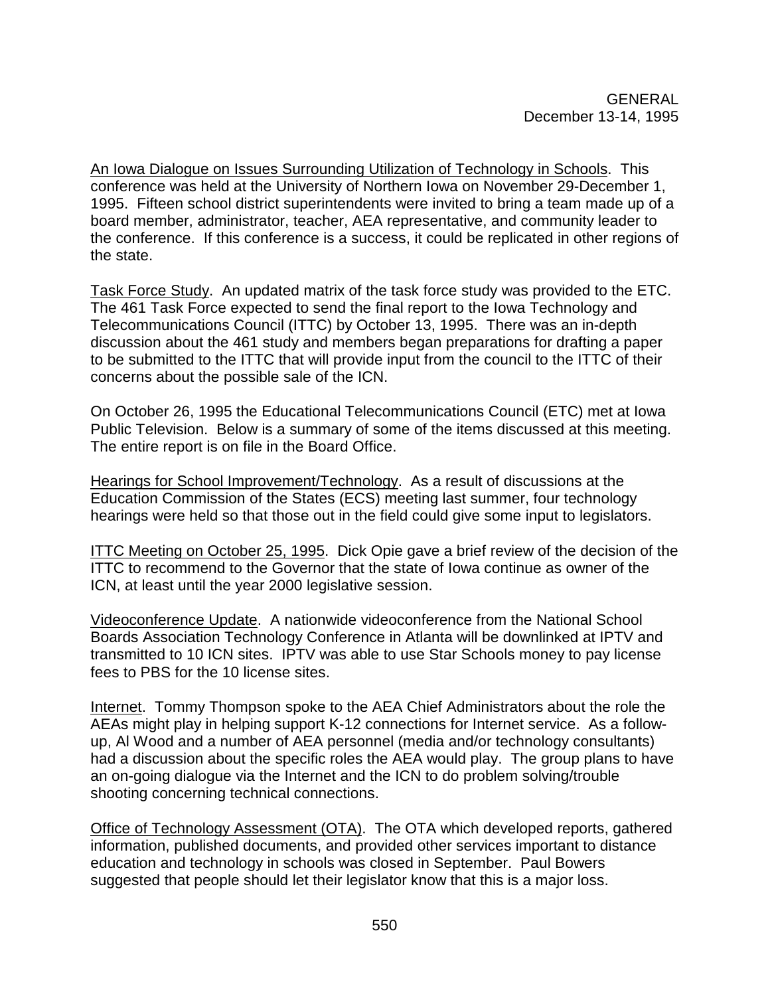An Iowa Dialogue on Issues Surrounding Utilization of Technology in Schools. This conference was held at the University of Northern Iowa on November 29-December 1, 1995. Fifteen school district superintendents were invited to bring a team made up of a board member, administrator, teacher, AEA representative, and community leader to the conference. If this conference is a success, it could be replicated in other regions of the state.

Task Force Study. An updated matrix of the task force study was provided to the ETC. The 461 Task Force expected to send the final report to the Iowa Technology and Telecommunications Council (ITTC) by October 13, 1995. There was an in-depth discussion about the 461 study and members began preparations for drafting a paper to be submitted to the ITTC that will provide input from the council to the ITTC of their concerns about the possible sale of the ICN.

On October 26, 1995 the Educational Telecommunications Council (ETC) met at Iowa Public Television. Below is a summary of some of the items discussed at this meeting. The entire report is on file in the Board Office.

Hearings for School Improvement/Technology. As a result of discussions at the Education Commission of the States (ECS) meeting last summer, four technology hearings were held so that those out in the field could give some input to legislators.

ITTC Meeting on October 25, 1995. Dick Opie gave a brief review of the decision of the ITTC to recommend to the Governor that the state of Iowa continue as owner of the ICN, at least until the year 2000 legislative session.

Videoconference Update. A nationwide videoconference from the National School Boards Association Technology Conference in Atlanta will be downlinked at IPTV and transmitted to 10 ICN sites. IPTV was able to use Star Schools money to pay license fees to PBS for the 10 license sites.

Internet. Tommy Thompson spoke to the AEA Chief Administrators about the role the AEAs might play in helping support K-12 connections for Internet service. As a followup, Al Wood and a number of AEA personnel (media and/or technology consultants) had a discussion about the specific roles the AEA would play. The group plans to have an on-going dialogue via the Internet and the ICN to do problem solving/trouble shooting concerning technical connections.

Office of Technology Assessment (OTA). The OTA which developed reports, gathered information, published documents, and provided other services important to distance education and technology in schools was closed in September. Paul Bowers suggested that people should let their legislator know that this is a major loss.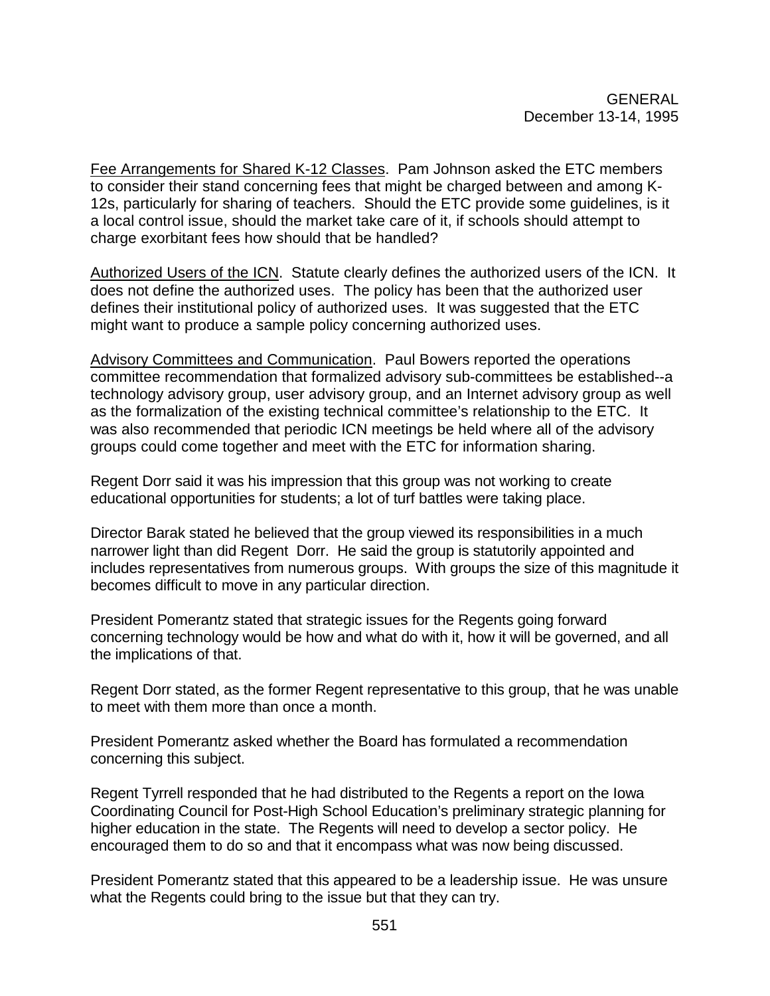Fee Arrangements for Shared K-12 Classes. Pam Johnson asked the ETC members to consider their stand concerning fees that might be charged between and among K-12s, particularly for sharing of teachers. Should the ETC provide some guidelines, is it a local control issue, should the market take care of it, if schools should attempt to charge exorbitant fees how should that be handled?

Authorized Users of the ICN. Statute clearly defines the authorized users of the ICN. It does not define the authorized uses. The policy has been that the authorized user defines their institutional policy of authorized uses. It was suggested that the ETC might want to produce a sample policy concerning authorized uses.

Advisory Committees and Communication. Paul Bowers reported the operations committee recommendation that formalized advisory sub-committees be established--a technology advisory group, user advisory group, and an Internet advisory group as well as the formalization of the existing technical committee's relationship to the ETC. It was also recommended that periodic ICN meetings be held where all of the advisory groups could come together and meet with the ETC for information sharing.

Regent Dorr said it was his impression that this group was not working to create educational opportunities for students; a lot of turf battles were taking place.

Director Barak stated he believed that the group viewed its responsibilities in a much narrower light than did Regent Dorr. He said the group is statutorily appointed and includes representatives from numerous groups. With groups the size of this magnitude it becomes difficult to move in any particular direction.

President Pomerantz stated that strategic issues for the Regents going forward concerning technology would be how and what do with it, how it will be governed, and all the implications of that.

Regent Dorr stated, as the former Regent representative to this group, that he was unable to meet with them more than once a month.

President Pomerantz asked whether the Board has formulated a recommendation concerning this subject.

Regent Tyrrell responded that he had distributed to the Regents a report on the Iowa Coordinating Council for Post-High School Education's preliminary strategic planning for higher education in the state. The Regents will need to develop a sector policy. He encouraged them to do so and that it encompass what was now being discussed.

President Pomerantz stated that this appeared to be a leadership issue. He was unsure what the Regents could bring to the issue but that they can try.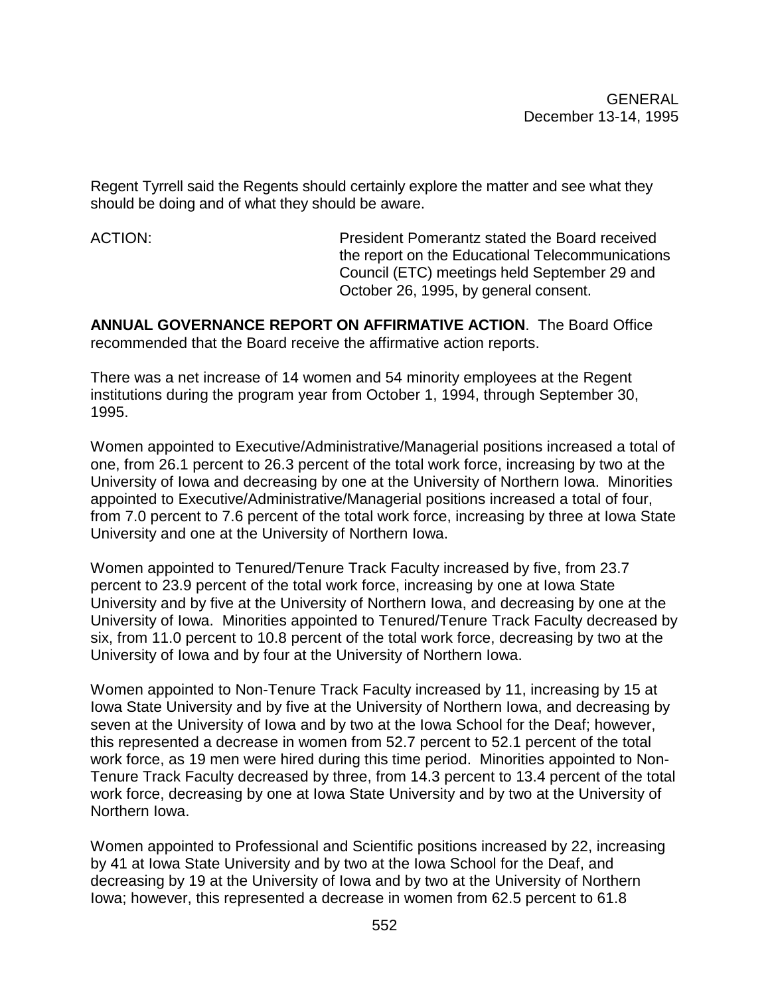Regent Tyrrell said the Regents should certainly explore the matter and see what they should be doing and of what they should be aware.

ACTION: President Pomerantz stated the Board received the report on the Educational Telecommunications Council (ETC) meetings held September 29 and October 26, 1995, by general consent.

**ANNUAL GOVERNANCE REPORT ON AFFIRMATIVE ACTION**. The Board Office recommended that the Board receive the affirmative action reports.

There was a net increase of 14 women and 54 minority employees at the Regent institutions during the program year from October 1, 1994, through September 30, 1995.

Women appointed to Executive/Administrative/Managerial positions increased a total of one, from 26.1 percent to 26.3 percent of the total work force, increasing by two at the University of Iowa and decreasing by one at the University of Northern Iowa. Minorities appointed to Executive/Administrative/Managerial positions increased a total of four, from 7.0 percent to 7.6 percent of the total work force, increasing by three at Iowa State University and one at the University of Northern Iowa.

Women appointed to Tenured/Tenure Track Faculty increased by five, from 23.7 percent to 23.9 percent of the total work force, increasing by one at Iowa State University and by five at the University of Northern Iowa, and decreasing by one at the University of Iowa. Minorities appointed to Tenured/Tenure Track Faculty decreased by six, from 11.0 percent to 10.8 percent of the total work force, decreasing by two at the University of Iowa and by four at the University of Northern Iowa.

Women appointed to Non-Tenure Track Faculty increased by 11, increasing by 15 at Iowa State University and by five at the University of Northern Iowa, and decreasing by seven at the University of Iowa and by two at the Iowa School for the Deaf; however, this represented a decrease in women from 52.7 percent to 52.1 percent of the total work force, as 19 men were hired during this time period. Minorities appointed to Non-Tenure Track Faculty decreased by three, from 14.3 percent to 13.4 percent of the total work force, decreasing by one at Iowa State University and by two at the University of Northern Iowa.

Women appointed to Professional and Scientific positions increased by 22, increasing by 41 at Iowa State University and by two at the Iowa School for the Deaf, and decreasing by 19 at the University of Iowa and by two at the University of Northern Iowa; however, this represented a decrease in women from 62.5 percent to 61.8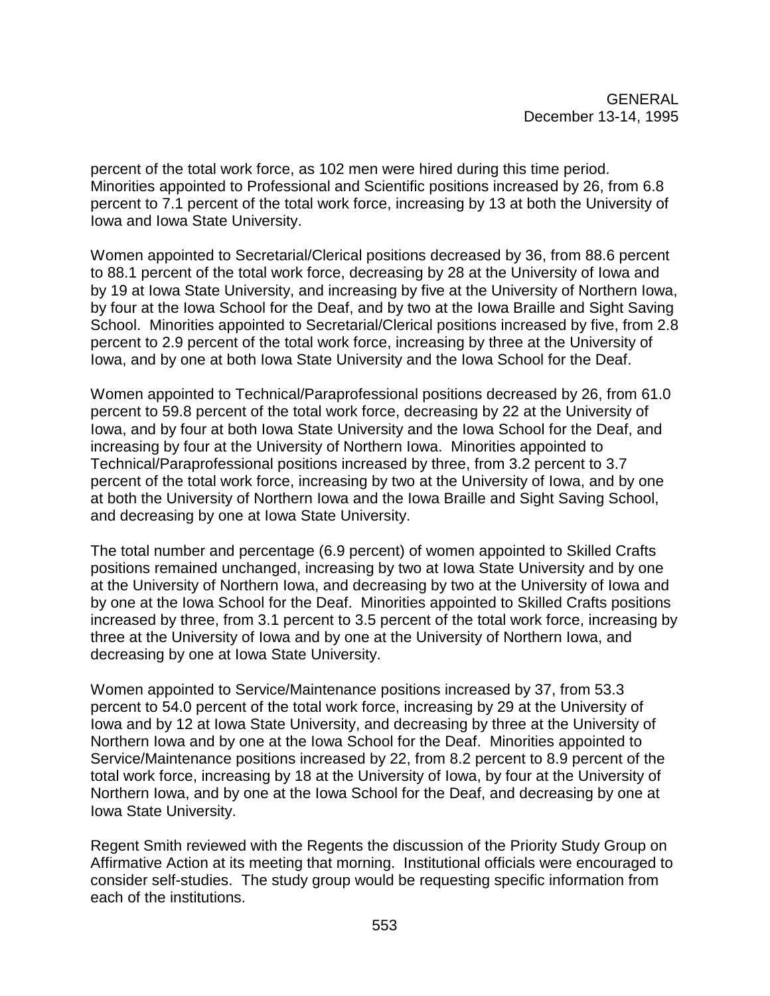percent of the total work force, as 102 men were hired during this time period. Minorities appointed to Professional and Scientific positions increased by 26, from 6.8 percent to 7.1 percent of the total work force, increasing by 13 at both the University of Iowa and Iowa State University.

Women appointed to Secretarial/Clerical positions decreased by 36, from 88.6 percent to 88.1 percent of the total work force, decreasing by 28 at the University of Iowa and by 19 at Iowa State University, and increasing by five at the University of Northern Iowa, by four at the Iowa School for the Deaf, and by two at the Iowa Braille and Sight Saving School. Minorities appointed to Secretarial/Clerical positions increased by five, from 2.8 percent to 2.9 percent of the total work force, increasing by three at the University of Iowa, and by one at both Iowa State University and the Iowa School for the Deaf.

Women appointed to Technical/Paraprofessional positions decreased by 26, from 61.0 percent to 59.8 percent of the total work force, decreasing by 22 at the University of Iowa, and by four at both Iowa State University and the Iowa School for the Deaf, and increasing by four at the University of Northern Iowa. Minorities appointed to Technical/Paraprofessional positions increased by three, from 3.2 percent to 3.7 percent of the total work force, increasing by two at the University of Iowa, and by one at both the University of Northern Iowa and the Iowa Braille and Sight Saving School, and decreasing by one at Iowa State University.

The total number and percentage (6.9 percent) of women appointed to Skilled Crafts positions remained unchanged, increasing by two at Iowa State University and by one at the University of Northern Iowa, and decreasing by two at the University of Iowa and by one at the Iowa School for the Deaf. Minorities appointed to Skilled Crafts positions increased by three, from 3.1 percent to 3.5 percent of the total work force, increasing by three at the University of Iowa and by one at the University of Northern Iowa, and decreasing by one at Iowa State University.

Women appointed to Service/Maintenance positions increased by 37, from 53.3 percent to 54.0 percent of the total work force, increasing by 29 at the University of Iowa and by 12 at Iowa State University, and decreasing by three at the University of Northern Iowa and by one at the Iowa School for the Deaf. Minorities appointed to Service/Maintenance positions increased by 22, from 8.2 percent to 8.9 percent of the total work force, increasing by 18 at the University of Iowa, by four at the University of Northern Iowa, and by one at the Iowa School for the Deaf, and decreasing by one at Iowa State University.

Regent Smith reviewed with the Regents the discussion of the Priority Study Group on Affirmative Action at its meeting that morning. Institutional officials were encouraged to consider self-studies. The study group would be requesting specific information from each of the institutions.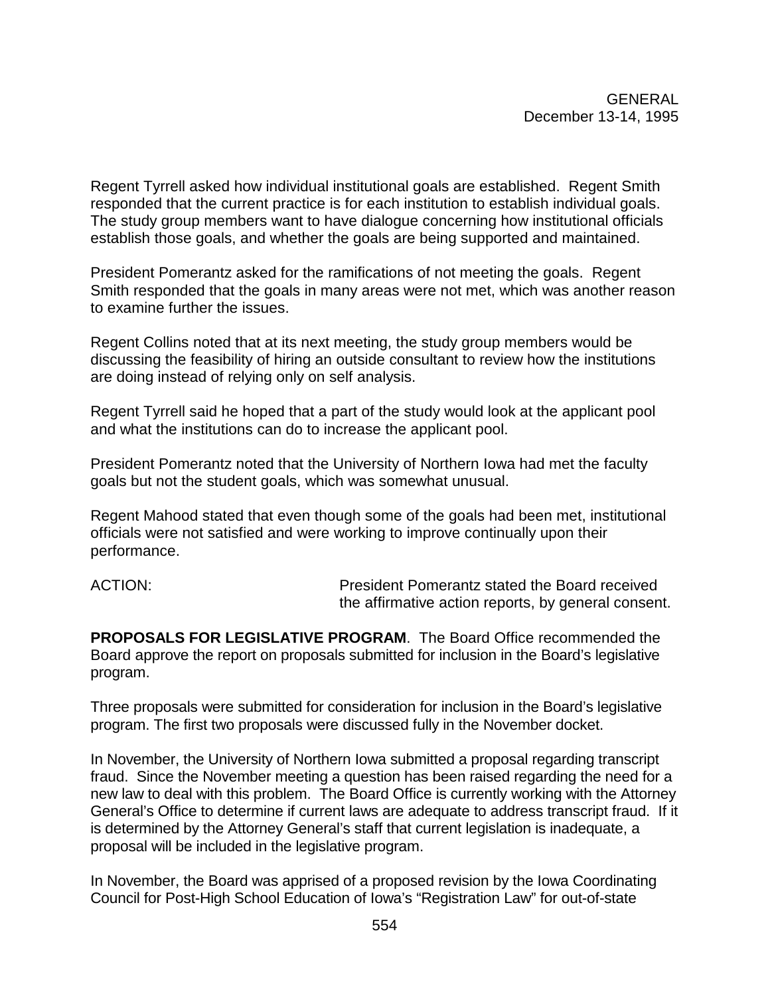Regent Tyrrell asked how individual institutional goals are established. Regent Smith responded that the current practice is for each institution to establish individual goals. The study group members want to have dialogue concerning how institutional officials establish those goals, and whether the goals are being supported and maintained.

President Pomerantz asked for the ramifications of not meeting the goals. Regent Smith responded that the goals in many areas were not met, which was another reason to examine further the issues.

Regent Collins noted that at its next meeting, the study group members would be discussing the feasibility of hiring an outside consultant to review how the institutions are doing instead of relying only on self analysis.

Regent Tyrrell said he hoped that a part of the study would look at the applicant pool and what the institutions can do to increase the applicant pool.

President Pomerantz noted that the University of Northern Iowa had met the faculty goals but not the student goals, which was somewhat unusual.

Regent Mahood stated that even though some of the goals had been met, institutional officials were not satisfied and were working to improve continually upon their performance.

ACTION: President Pomerantz stated the Board received the affirmative action reports, by general consent.

**PROPOSALS FOR LEGISLATIVE PROGRAM**. The Board Office recommended the Board approve the report on proposals submitted for inclusion in the Board's legislative program.

Three proposals were submitted for consideration for inclusion in the Board's legislative program. The first two proposals were discussed fully in the November docket.

In November, the University of Northern Iowa submitted a proposal regarding transcript fraud. Since the November meeting a question has been raised regarding the need for a new law to deal with this problem. The Board Office is currently working with the Attorney General's Office to determine if current laws are adequate to address transcript fraud. If it is determined by the Attorney General's staff that current legislation is inadequate, a proposal will be included in the legislative program.

In November, the Board was apprised of a proposed revision by the Iowa Coordinating Council for Post-High School Education of Iowa's "Registration Law" for out-of-state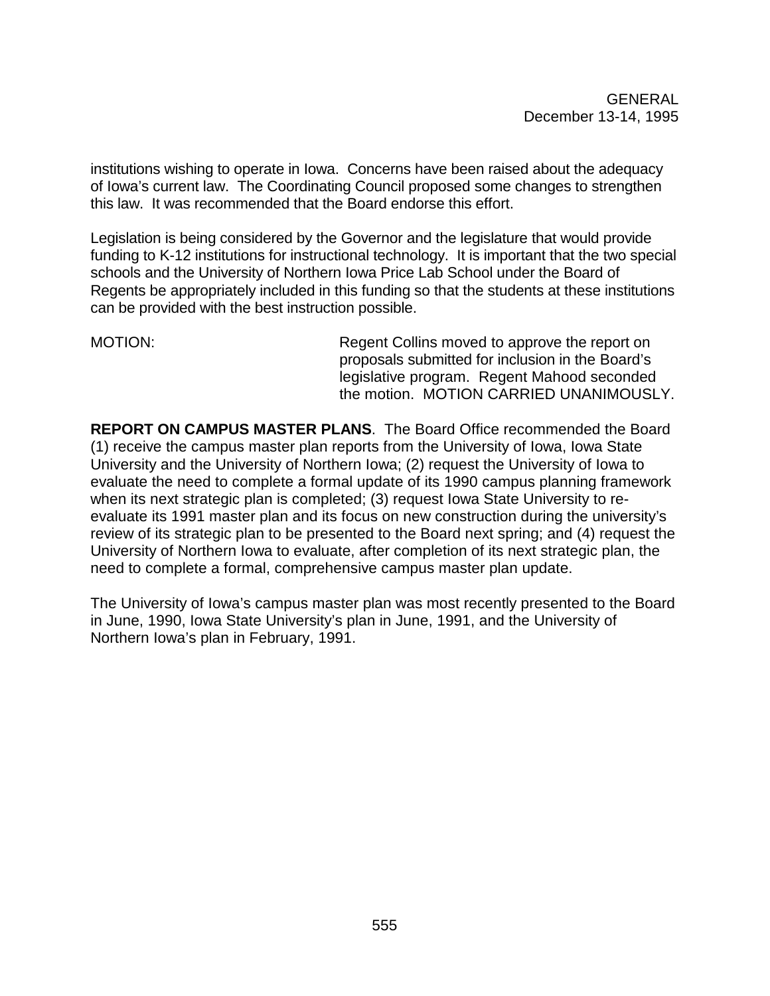institutions wishing to operate in Iowa. Concerns have been raised about the adequacy of Iowa's current law. The Coordinating Council proposed some changes to strengthen this law. It was recommended that the Board endorse this effort.

Legislation is being considered by the Governor and the legislature that would provide funding to K-12 institutions for instructional technology. It is important that the two special schools and the University of Northern Iowa Price Lab School under the Board of Regents be appropriately included in this funding so that the students at these institutions can be provided with the best instruction possible.

MOTION: MOTION: Regent Collins moved to approve the report on proposals submitted for inclusion in the Board's legislative program. Regent Mahood seconded the motion. MOTION CARRIED UNANIMOUSLY.

**REPORT ON CAMPUS MASTER PLANS**. The Board Office recommended the Board (1) receive the campus master plan reports from the University of Iowa, Iowa State University and the University of Northern Iowa; (2) request the University of Iowa to evaluate the need to complete a formal update of its 1990 campus planning framework when its next strategic plan is completed; (3) request Iowa State University to reevaluate its 1991 master plan and its focus on new construction during the university's review of its strategic plan to be presented to the Board next spring; and (4) request the University of Northern Iowa to evaluate, after completion of its next strategic plan, the need to complete a formal, comprehensive campus master plan update.

The University of Iowa's campus master plan was most recently presented to the Board in June, 1990, Iowa State University's plan in June, 1991, and the University of Northern Iowa's plan in February, 1991.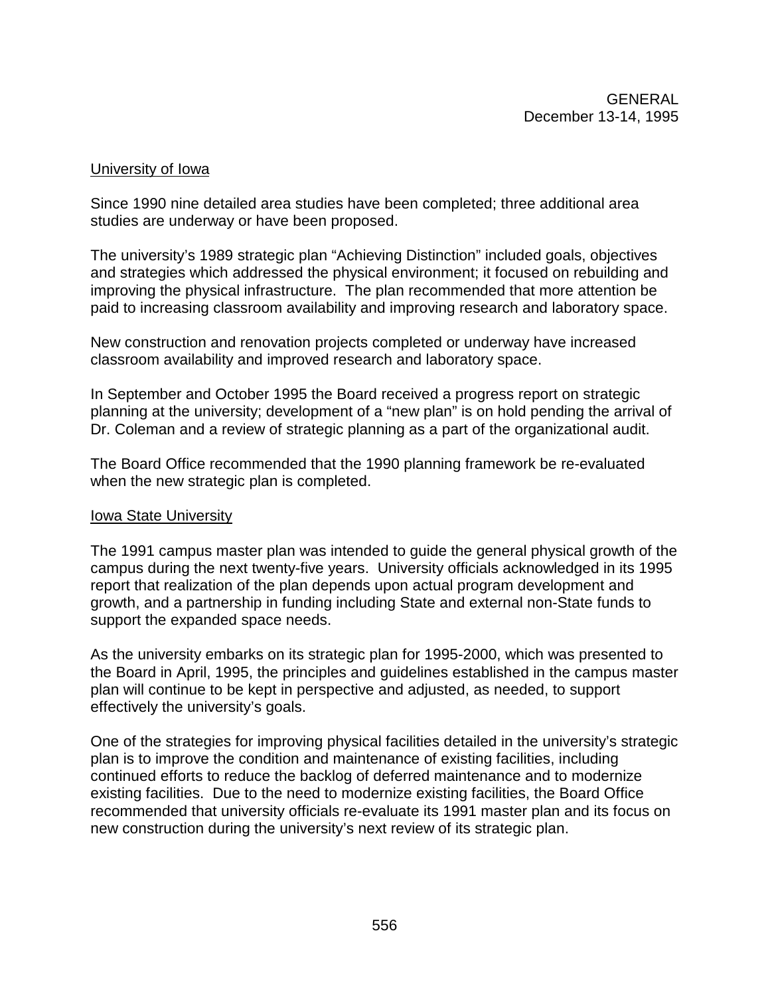#### University of Iowa

Since 1990 nine detailed area studies have been completed; three additional area studies are underway or have been proposed.

The university's 1989 strategic plan "Achieving Distinction" included goals, objectives and strategies which addressed the physical environment; it focused on rebuilding and improving the physical infrastructure. The plan recommended that more attention be paid to increasing classroom availability and improving research and laboratory space.

New construction and renovation projects completed or underway have increased classroom availability and improved research and laboratory space.

In September and October 1995 the Board received a progress report on strategic planning at the university; development of a "new plan" is on hold pending the arrival of Dr. Coleman and a review of strategic planning as a part of the organizational audit.

The Board Office recommended that the 1990 planning framework be re-evaluated when the new strategic plan is completed.

#### **Iowa State University**

The 1991 campus master plan was intended to guide the general physical growth of the campus during the next twenty-five years. University officials acknowledged in its 1995 report that realization of the plan depends upon actual program development and growth, and a partnership in funding including State and external non-State funds to support the expanded space needs.

As the university embarks on its strategic plan for 1995-2000, which was presented to the Board in April, 1995, the principles and guidelines established in the campus master plan will continue to be kept in perspective and adjusted, as needed, to support effectively the university's goals.

One of the strategies for improving physical facilities detailed in the university's strategic plan is to improve the condition and maintenance of existing facilities, including continued efforts to reduce the backlog of deferred maintenance and to modernize existing facilities. Due to the need to modernize existing facilities, the Board Office recommended that university officials re-evaluate its 1991 master plan and its focus on new construction during the university's next review of its strategic plan.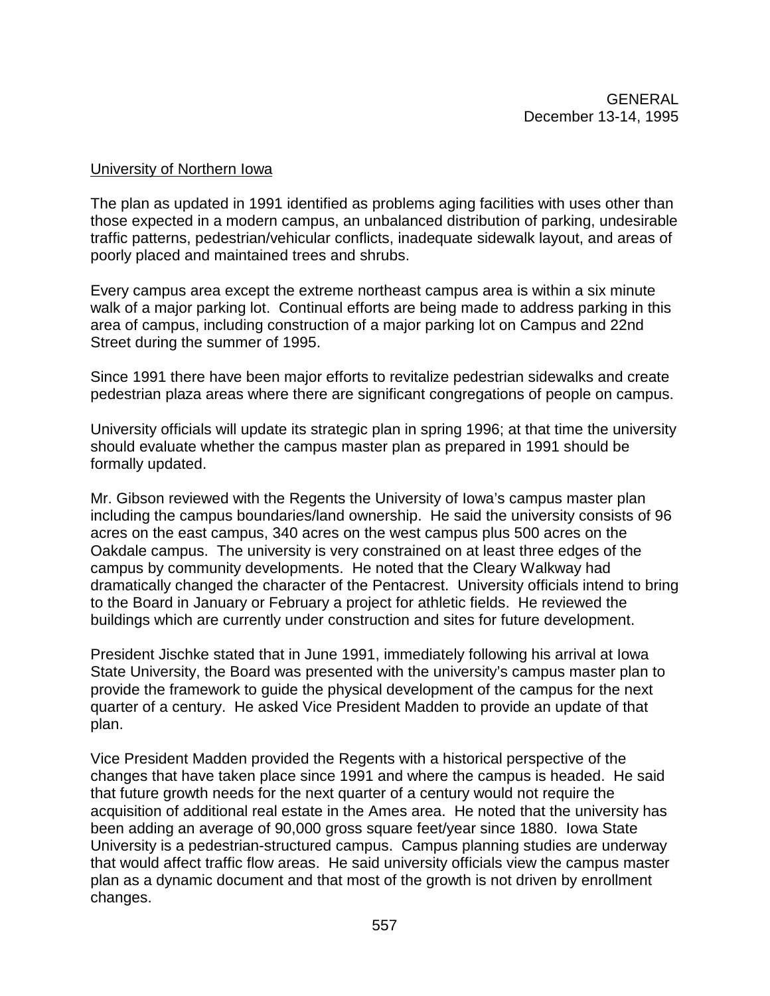#### University of Northern Iowa

The plan as updated in 1991 identified as problems aging facilities with uses other than those expected in a modern campus, an unbalanced distribution of parking, undesirable traffic patterns, pedestrian/vehicular conflicts, inadequate sidewalk layout, and areas of poorly placed and maintained trees and shrubs.

Every campus area except the extreme northeast campus area is within a six minute walk of a major parking lot. Continual efforts are being made to address parking in this area of campus, including construction of a major parking lot on Campus and 22nd Street during the summer of 1995.

Since 1991 there have been major efforts to revitalize pedestrian sidewalks and create pedestrian plaza areas where there are significant congregations of people on campus.

University officials will update its strategic plan in spring 1996; at that time the university should evaluate whether the campus master plan as prepared in 1991 should be formally updated.

Mr. Gibson reviewed with the Regents the University of Iowa's campus master plan including the campus boundaries/land ownership. He said the university consists of 96 acres on the east campus, 340 acres on the west campus plus 500 acres on the Oakdale campus. The university is very constrained on at least three edges of the campus by community developments. He noted that the Cleary Walkway had dramatically changed the character of the Pentacrest. University officials intend to bring to the Board in January or February a project for athletic fields. He reviewed the buildings which are currently under construction and sites for future development.

President Jischke stated that in June 1991, immediately following his arrival at Iowa State University, the Board was presented with the university's campus master plan to provide the framework to guide the physical development of the campus for the next quarter of a century. He asked Vice President Madden to provide an update of that plan.

Vice President Madden provided the Regents with a historical perspective of the changes that have taken place since 1991 and where the campus is headed. He said that future growth needs for the next quarter of a century would not require the acquisition of additional real estate in the Ames area. He noted that the university has been adding an average of 90,000 gross square feet/year since 1880. Iowa State University is a pedestrian-structured campus. Campus planning studies are underway that would affect traffic flow areas. He said university officials view the campus master plan as a dynamic document and that most of the growth is not driven by enrollment changes.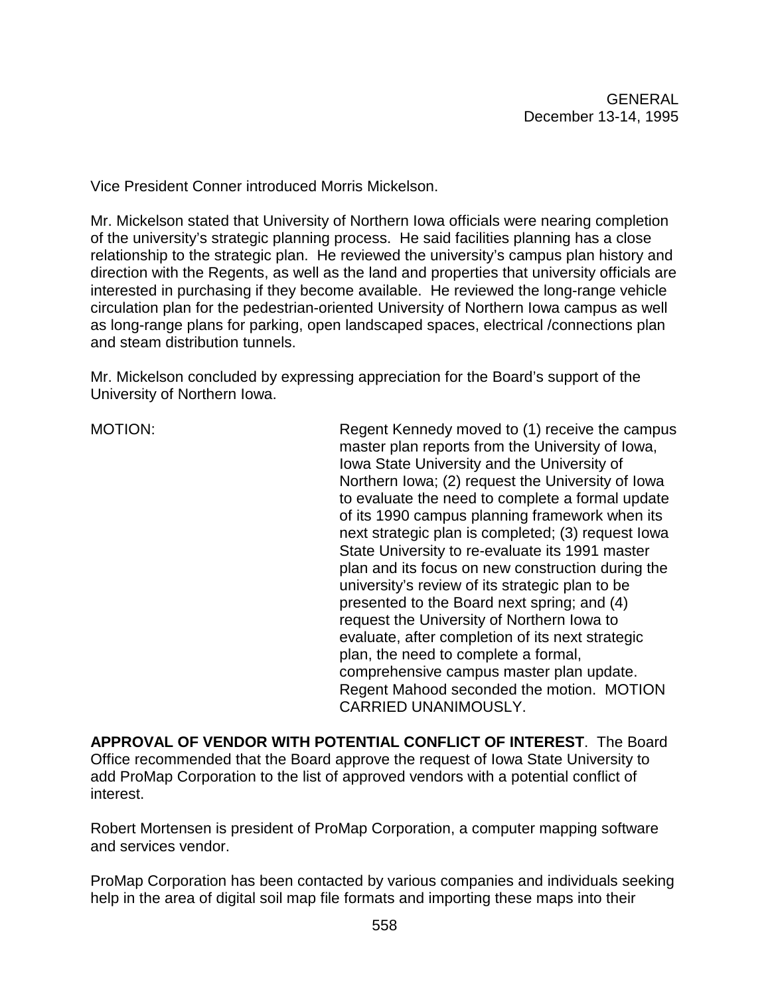Vice President Conner introduced Morris Mickelson.

Mr. Mickelson stated that University of Northern Iowa officials were nearing completion of the university's strategic planning process. He said facilities planning has a close relationship to the strategic plan. He reviewed the university's campus plan history and direction with the Regents, as well as the land and properties that university officials are interested in purchasing if they become available. He reviewed the long-range vehicle circulation plan for the pedestrian-oriented University of Northern Iowa campus as well as long-range plans for parking, open landscaped spaces, electrical /connections plan and steam distribution tunnels.

Mr. Mickelson concluded by expressing appreciation for the Board's support of the University of Northern Iowa.

MOTION: Regent Kennedy moved to (1) receive the campus master plan reports from the University of Iowa, Iowa State University and the University of Northern Iowa; (2) request the University of Iowa to evaluate the need to complete a formal update of its 1990 campus planning framework when its next strategic plan is completed; (3) request Iowa State University to re-evaluate its 1991 master plan and its focus on new construction during the university's review of its strategic plan to be presented to the Board next spring; and (4) request the University of Northern Iowa to evaluate, after completion of its next strategic plan, the need to complete a formal, comprehensive campus master plan update. Regent Mahood seconded the motion. MOTION CARRIED UNANIMOUSLY.

**APPROVAL OF VENDOR WITH POTENTIAL CONFLICT OF INTEREST**. The Board Office recommended that the Board approve the request of Iowa State University to add ProMap Corporation to the list of approved vendors with a potential conflict of interest.

Robert Mortensen is president of ProMap Corporation, a computer mapping software and services vendor.

ProMap Corporation has been contacted by various companies and individuals seeking help in the area of digital soil map file formats and importing these maps into their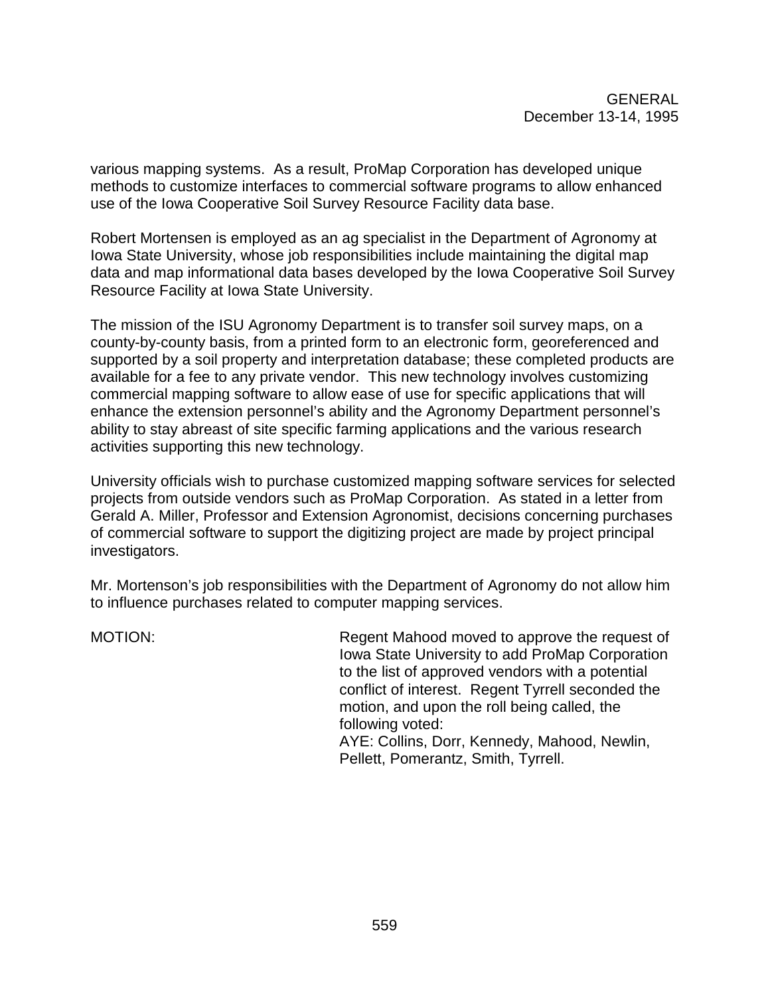various mapping systems. As a result, ProMap Corporation has developed unique methods to customize interfaces to commercial software programs to allow enhanced use of the Iowa Cooperative Soil Survey Resource Facility data base.

Robert Mortensen is employed as an ag specialist in the Department of Agronomy at Iowa State University, whose job responsibilities include maintaining the digital map data and map informational data bases developed by the Iowa Cooperative Soil Survey Resource Facility at Iowa State University.

The mission of the ISU Agronomy Department is to transfer soil survey maps, on a county-by-county basis, from a printed form to an electronic form, georeferenced and supported by a soil property and interpretation database; these completed products are available for a fee to any private vendor. This new technology involves customizing commercial mapping software to allow ease of use for specific applications that will enhance the extension personnel's ability and the Agronomy Department personnel's ability to stay abreast of site specific farming applications and the various research activities supporting this new technology.

University officials wish to purchase customized mapping software services for selected projects from outside vendors such as ProMap Corporation. As stated in a letter from Gerald A. Miller, Professor and Extension Agronomist, decisions concerning purchases of commercial software to support the digitizing project are made by project principal investigators.

Mr. Mortenson's job responsibilities with the Department of Agronomy do not allow him to influence purchases related to computer mapping services.

MOTION: Regent Mahood moved to approve the request of Iowa State University to add ProMap Corporation to the list of approved vendors with a potential conflict of interest. Regent Tyrrell seconded the motion, and upon the roll being called, the following voted: AYE: Collins, Dorr, Kennedy, Mahood, Newlin,

Pellett, Pomerantz, Smith, Tyrrell.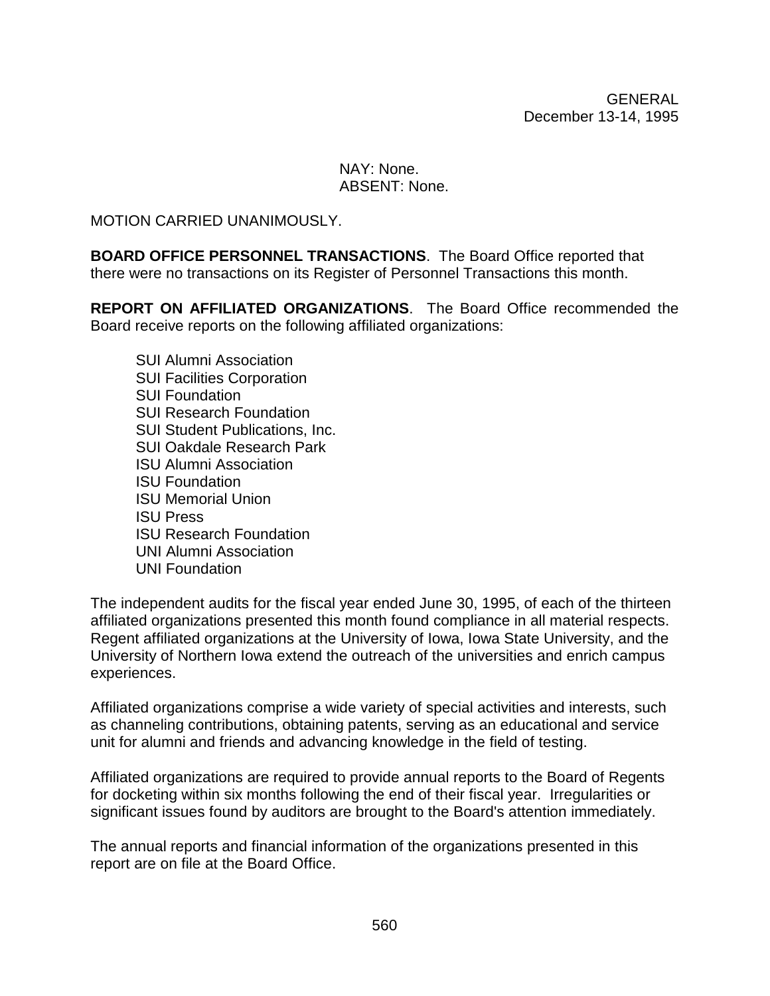GENERAL December 13-14, 1995

### NAY: None. ABSENT: None.

MOTION CARRIED UNANIMOUSLY.

**BOARD OFFICE PERSONNEL TRANSACTIONS**. The Board Office reported that there were no transactions on its Register of Personnel Transactions this month.

**REPORT ON AFFILIATED ORGANIZATIONS**. The Board Office recommended the Board receive reports on the following affiliated organizations:

SUI Alumni Association SUI Facilities Corporation SUI Foundation SUI Research Foundation SUI Student Publications, Inc. SUI Oakdale Research Park ISU Alumni Association ISU Foundation ISU Memorial Union ISU Press ISU Research Foundation UNI Alumni Association UNI Foundation

The independent audits for the fiscal year ended June 30, 1995, of each of the thirteen affiliated organizations presented this month found compliance in all material respects. Regent affiliated organizations at the University of Iowa, Iowa State University, and the University of Northern Iowa extend the outreach of the universities and enrich campus experiences.

Affiliated organizations comprise a wide variety of special activities and interests, such as channeling contributions, obtaining patents, serving as an educational and service unit for alumni and friends and advancing knowledge in the field of testing.

Affiliated organizations are required to provide annual reports to the Board of Regents for docketing within six months following the end of their fiscal year. Irregularities or significant issues found by auditors are brought to the Board's attention immediately.

The annual reports and financial information of the organizations presented in this report are on file at the Board Office.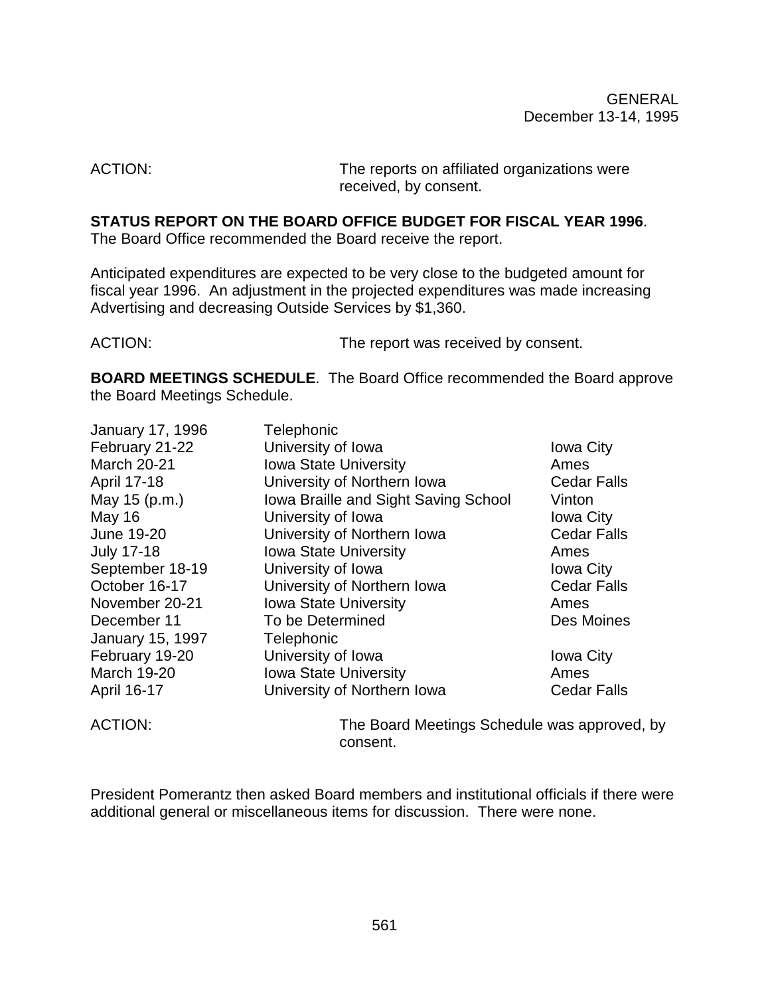ACTION: The reports on affiliated organizations were received, by consent.

### **STATUS REPORT ON THE BOARD OFFICE BUDGET FOR FISCAL YEAR 1996**.

The Board Office recommended the Board receive the report.

Anticipated expenditures are expected to be very close to the budgeted amount for fiscal year 1996. An adjustment in the projected expenditures was made increasing Advertising and decreasing Outside Services by \$1,360.

ACTION: The report was received by consent.

**BOARD MEETINGS SCHEDULE**. The Board Office recommended the Board approve the Board Meetings Schedule.

| January 17, 1996        | Telephonic                                   |                    |
|-------------------------|----------------------------------------------|--------------------|
| February 21-22          | University of Iowa                           | <b>Iowa City</b>   |
| <b>March 20-21</b>      | Iowa State University                        | Ames               |
| April 17-18             | University of Northern Iowa                  | <b>Cedar Falls</b> |
| May 15 (p.m.)           | Iowa Braille and Sight Saving School         | Vinton             |
| <b>May 16</b>           | University of Iowa                           | <b>Iowa City</b>   |
| June 19-20              | University of Northern Iowa                  | <b>Cedar Falls</b> |
| <b>July 17-18</b>       | <b>Iowa State University</b>                 | Ames               |
| September 18-19         | University of Iowa                           | <b>Iowa City</b>   |
| October 16-17           | University of Northern Iowa                  | <b>Cedar Falls</b> |
| November 20-21          | <b>Iowa State University</b>                 | Ames               |
| December 11             | To be Determined                             | Des Moines         |
| <b>January 15, 1997</b> | Telephonic                                   |                    |
| February 19-20          | University of Iowa                           | <b>Iowa City</b>   |
| March 19-20             | <b>Iowa State University</b>                 | Ames               |
| April 16-17             | University of Northern Iowa                  | <b>Cedar Falls</b> |
| <b>ACTION:</b>          | The Board Meetings Schedule was approved, by |                    |

consent.

President Pomerantz then asked Board members and institutional officials if there were additional general or miscellaneous items for discussion. There were none.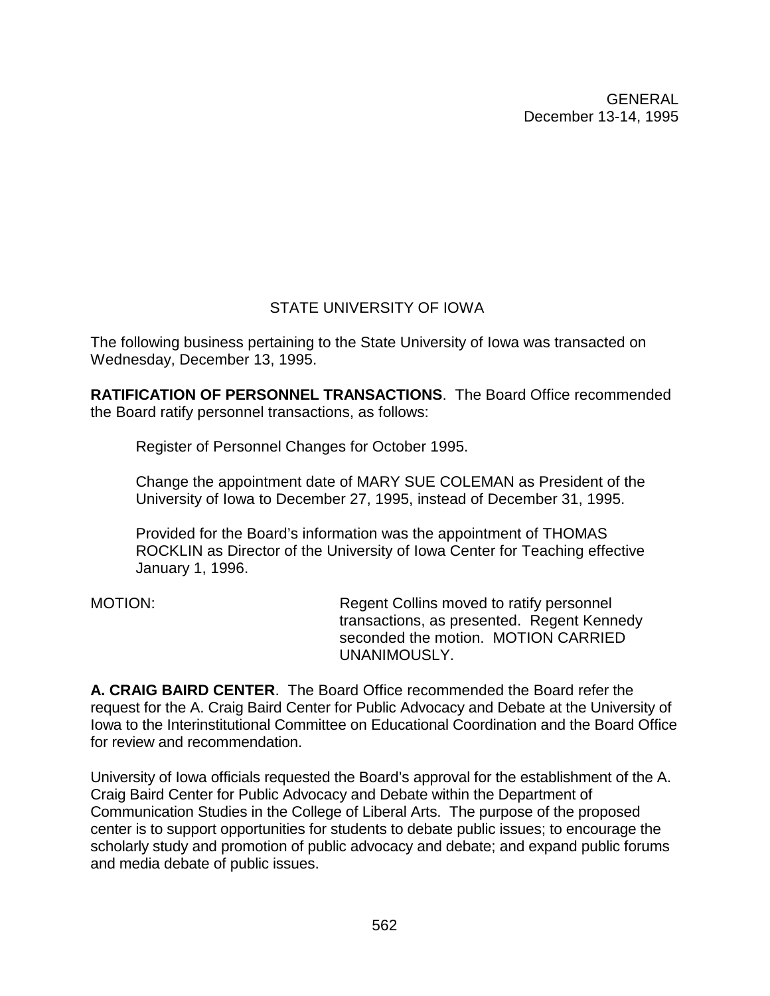GENERAL December 13-14, 1995

## STATE UNIVERSITY OF IOWA

The following business pertaining to the State University of Iowa was transacted on Wednesday, December 13, 1995.

**RATIFICATION OF PERSONNEL TRANSACTIONS**. The Board Office recommended the Board ratify personnel transactions, as follows:

Register of Personnel Changes for October 1995.

Change the appointment date of MARY SUE COLEMAN as President of the University of Iowa to December 27, 1995, instead of December 31, 1995.

Provided for the Board's information was the appointment of THOMAS ROCKLIN as Director of the University of Iowa Center for Teaching effective January 1, 1996.

MOTION: Regent Collins moved to ratify personnel transactions, as presented. Regent Kennedy seconded the motion. MOTION CARRIFD UNANIMOUSLY.

**A. CRAIG BAIRD CENTER**. The Board Office recommended the Board refer the request for the A. Craig Baird Center for Public Advocacy and Debate at the University of Iowa to the Interinstitutional Committee on Educational Coordination and the Board Office for review and recommendation.

University of Iowa officials requested the Board's approval for the establishment of the A. Craig Baird Center for Public Advocacy and Debate within the Department of Communication Studies in the College of Liberal Arts. The purpose of the proposed center is to support opportunities for students to debate public issues; to encourage the scholarly study and promotion of public advocacy and debate; and expand public forums and media debate of public issues.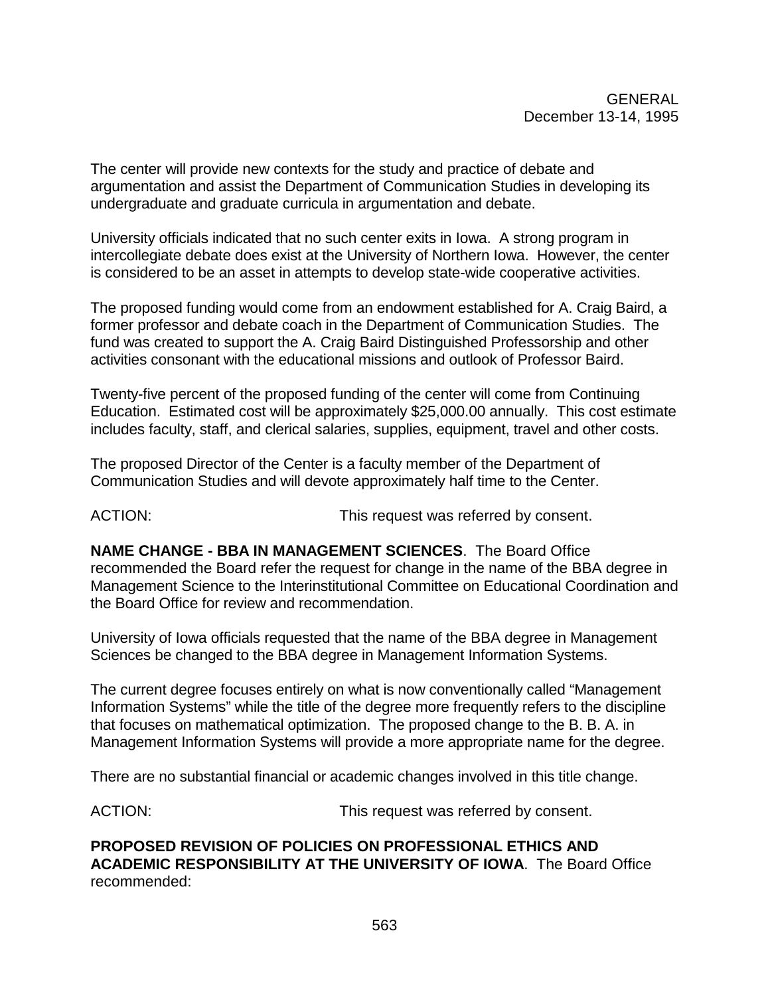The center will provide new contexts for the study and practice of debate and argumentation and assist the Department of Communication Studies in developing its undergraduate and graduate curricula in argumentation and debate.

University officials indicated that no such center exits in Iowa. A strong program in intercollegiate debate does exist at the University of Northern Iowa. However, the center is considered to be an asset in attempts to develop state-wide cooperative activities.

The proposed funding would come from an endowment established for A. Craig Baird, a former professor and debate coach in the Department of Communication Studies. The fund was created to support the A. Craig Baird Distinguished Professorship and other activities consonant with the educational missions and outlook of Professor Baird.

Twenty-five percent of the proposed funding of the center will come from Continuing Education. Estimated cost will be approximately \$25,000.00 annually. This cost estimate includes faculty, staff, and clerical salaries, supplies, equipment, travel and other costs.

The proposed Director of the Center is a faculty member of the Department of Communication Studies and will devote approximately half time to the Center.

ACTION: This request was referred by consent.

**NAME CHANGE - BBA IN MANAGEMENT SCIENCES**. The Board Office recommended the Board refer the request for change in the name of the BBA degree in Management Science to the Interinstitutional Committee on Educational Coordination and the Board Office for review and recommendation.

University of Iowa officials requested that the name of the BBA degree in Management Sciences be changed to the BBA degree in Management Information Systems.

The current degree focuses entirely on what is now conventionally called "Management Information Systems" while the title of the degree more frequently refers to the discipline that focuses on mathematical optimization. The proposed change to the B. B. A. in Management Information Systems will provide a more appropriate name for the degree.

There are no substantial financial or academic changes involved in this title change.

ACTION: This request was referred by consent.

**PROPOSED REVISION OF POLICIES ON PROFESSIONAL ETHICS AND ACADEMIC RESPONSIBILITY AT THE UNIVERSITY OF IOWA**. The Board Office recommended: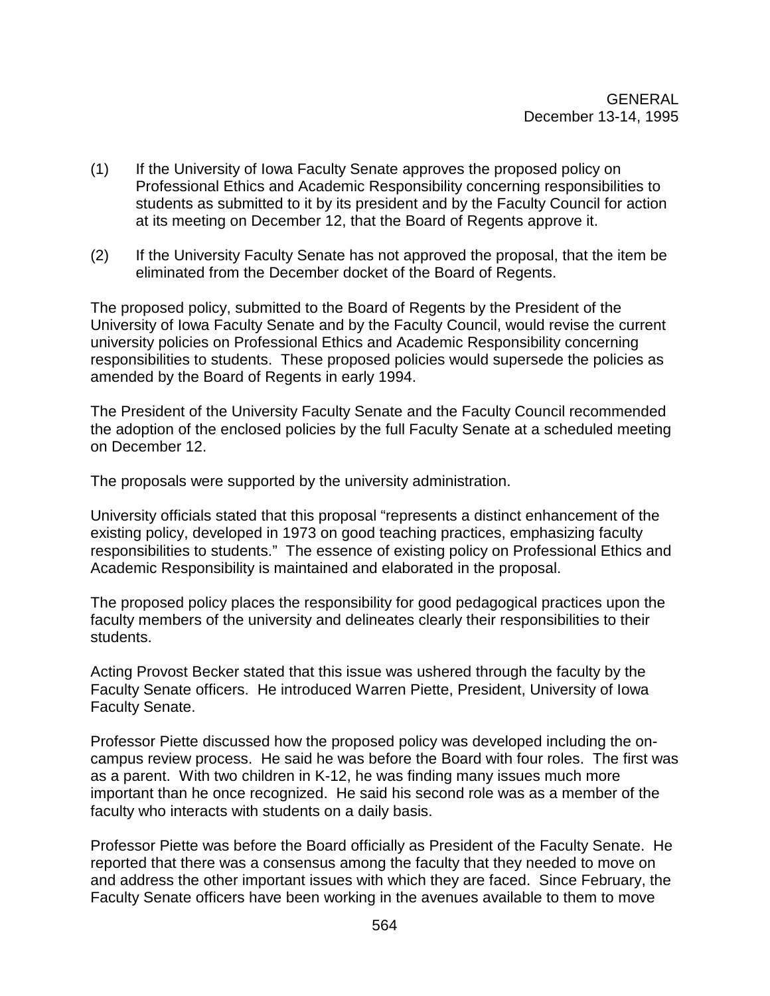- (1) If the University of Iowa Faculty Senate approves the proposed policy on Professional Ethics and Academic Responsibility concerning responsibilities to students as submitted to it by its president and by the Faculty Council for action at its meeting on December 12, that the Board of Regents approve it.
- (2) If the University Faculty Senate has not approved the proposal, that the item be eliminated from the December docket of the Board of Regents.

The proposed policy, submitted to the Board of Regents by the President of the University of Iowa Faculty Senate and by the Faculty Council, would revise the current university policies on Professional Ethics and Academic Responsibility concerning responsibilities to students. These proposed policies would supersede the policies as amended by the Board of Regents in early 1994.

The President of the University Faculty Senate and the Faculty Council recommended the adoption of the enclosed policies by the full Faculty Senate at a scheduled meeting on December 12.

The proposals were supported by the university administration.

University officials stated that this proposal "represents a distinct enhancement of the existing policy, developed in 1973 on good teaching practices, emphasizing faculty responsibilities to students." The essence of existing policy on Professional Ethics and Academic Responsibility is maintained and elaborated in the proposal.

The proposed policy places the responsibility for good pedagogical practices upon the faculty members of the university and delineates clearly their responsibilities to their students.

Acting Provost Becker stated that this issue was ushered through the faculty by the Faculty Senate officers. He introduced Warren Piette, President, University of Iowa Faculty Senate.

Professor Piette discussed how the proposed policy was developed including the oncampus review process. He said he was before the Board with four roles. The first was as a parent. With two children in K-12, he was finding many issues much more important than he once recognized. He said his second role was as a member of the faculty who interacts with students on a daily basis.

Professor Piette was before the Board officially as President of the Faculty Senate. He reported that there was a consensus among the faculty that they needed to move on and address the other important issues with which they are faced. Since February, the Faculty Senate officers have been working in the avenues available to them to move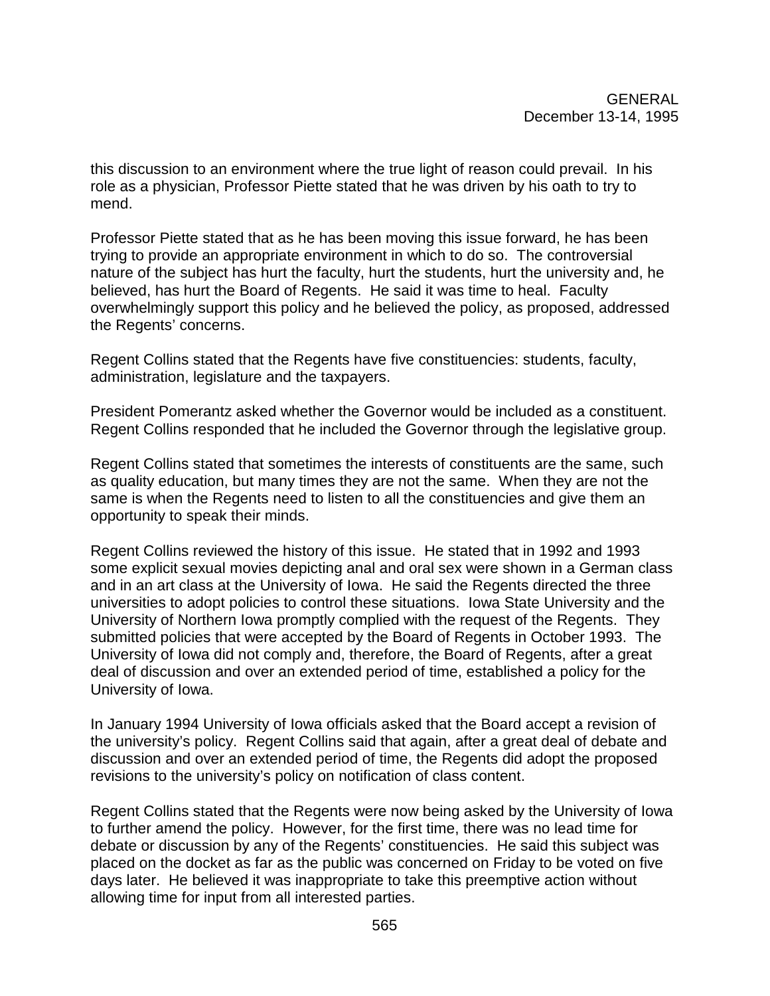this discussion to an environment where the true light of reason could prevail. In his role as a physician, Professor Piette stated that he was driven by his oath to try to mend.

Professor Piette stated that as he has been moving this issue forward, he has been trying to provide an appropriate environment in which to do so. The controversial nature of the subject has hurt the faculty, hurt the students, hurt the university and, he believed, has hurt the Board of Regents. He said it was time to heal. Faculty overwhelmingly support this policy and he believed the policy, as proposed, addressed the Regents' concerns.

Regent Collins stated that the Regents have five constituencies: students, faculty, administration, legislature and the taxpayers.

President Pomerantz asked whether the Governor would be included as a constituent. Regent Collins responded that he included the Governor through the legislative group.

Regent Collins stated that sometimes the interests of constituents are the same, such as quality education, but many times they are not the same. When they are not the same is when the Regents need to listen to all the constituencies and give them an opportunity to speak their minds.

Regent Collins reviewed the history of this issue. He stated that in 1992 and 1993 some explicit sexual movies depicting anal and oral sex were shown in a German class and in an art class at the University of Iowa. He said the Regents directed the three universities to adopt policies to control these situations. Iowa State University and the University of Northern Iowa promptly complied with the request of the Regents. They submitted policies that were accepted by the Board of Regents in October 1993. The University of Iowa did not comply and, therefore, the Board of Regents, after a great deal of discussion and over an extended period of time, established a policy for the University of Iowa.

In January 1994 University of Iowa officials asked that the Board accept a revision of the university's policy. Regent Collins said that again, after a great deal of debate and discussion and over an extended period of time, the Regents did adopt the proposed revisions to the university's policy on notification of class content.

Regent Collins stated that the Regents were now being asked by the University of Iowa to further amend the policy. However, for the first time, there was no lead time for debate or discussion by any of the Regents' constituencies. He said this subject was placed on the docket as far as the public was concerned on Friday to be voted on five days later. He believed it was inappropriate to take this preemptive action without allowing time for input from all interested parties.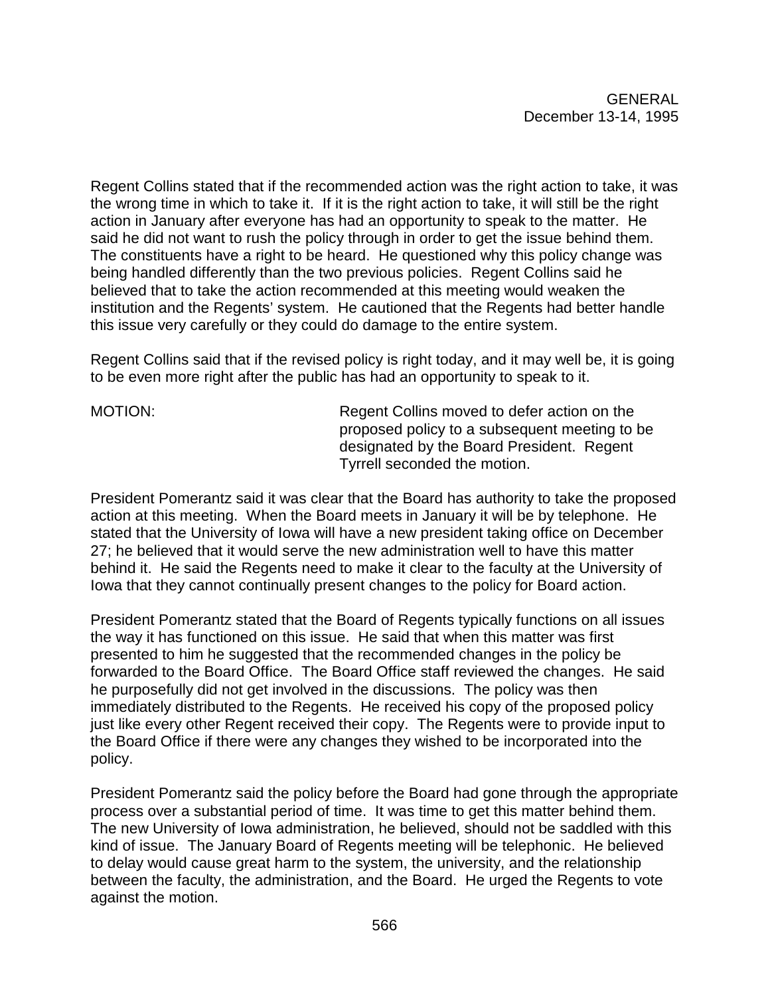Regent Collins stated that if the recommended action was the right action to take, it was the wrong time in which to take it. If it is the right action to take, it will still be the right action in January after everyone has had an opportunity to speak to the matter. He said he did not want to rush the policy through in order to get the issue behind them. The constituents have a right to be heard. He questioned why this policy change was being handled differently than the two previous policies. Regent Collins said he believed that to take the action recommended at this meeting would weaken the institution and the Regents' system. He cautioned that the Regents had better handle this issue very carefully or they could do damage to the entire system.

Regent Collins said that if the revised policy is right today, and it may well be, it is going to be even more right after the public has had an opportunity to speak to it.

MOTION: Regent Collins moved to defer action on the proposed policy to a subsequent meeting to be designated by the Board President. Regent Tyrrell seconded the motion.

President Pomerantz said it was clear that the Board has authority to take the proposed action at this meeting. When the Board meets in January it will be by telephone. He stated that the University of Iowa will have a new president taking office on December 27; he believed that it would serve the new administration well to have this matter behind it. He said the Regents need to make it clear to the faculty at the University of Iowa that they cannot continually present changes to the policy for Board action.

President Pomerantz stated that the Board of Regents typically functions on all issues the way it has functioned on this issue. He said that when this matter was first presented to him he suggested that the recommended changes in the policy be forwarded to the Board Office. The Board Office staff reviewed the changes. He said he purposefully did not get involved in the discussions. The policy was then immediately distributed to the Regents. He received his copy of the proposed policy just like every other Regent received their copy. The Regents were to provide input to the Board Office if there were any changes they wished to be incorporated into the policy.

President Pomerantz said the policy before the Board had gone through the appropriate process over a substantial period of time. It was time to get this matter behind them. The new University of Iowa administration, he believed, should not be saddled with this kind of issue. The January Board of Regents meeting will be telephonic. He believed to delay would cause great harm to the system, the university, and the relationship between the faculty, the administration, and the Board. He urged the Regents to vote against the motion.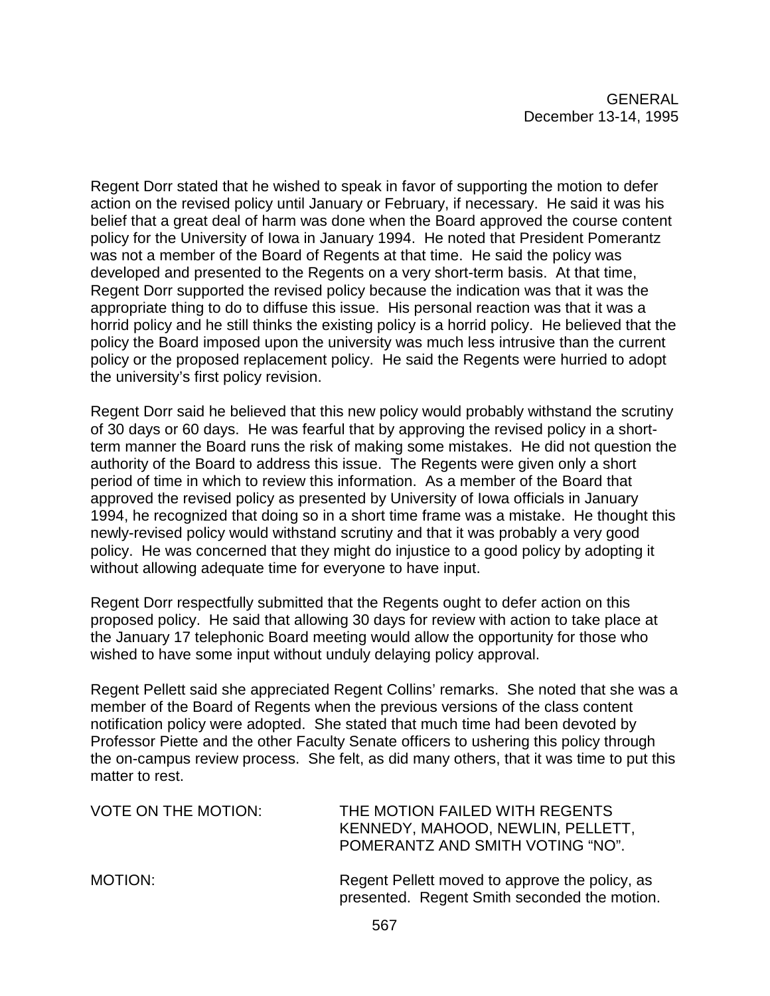Regent Dorr stated that he wished to speak in favor of supporting the motion to defer action on the revised policy until January or February, if necessary. He said it was his belief that a great deal of harm was done when the Board approved the course content policy for the University of Iowa in January 1994. He noted that President Pomerantz was not a member of the Board of Regents at that time. He said the policy was developed and presented to the Regents on a very short-term basis. At that time, Regent Dorr supported the revised policy because the indication was that it was the appropriate thing to do to diffuse this issue. His personal reaction was that it was a horrid policy and he still thinks the existing policy is a horrid policy. He believed that the policy the Board imposed upon the university was much less intrusive than the current policy or the proposed replacement policy. He said the Regents were hurried to adopt the university's first policy revision.

Regent Dorr said he believed that this new policy would probably withstand the scrutiny of 30 days or 60 days. He was fearful that by approving the revised policy in a shortterm manner the Board runs the risk of making some mistakes. He did not question the authority of the Board to address this issue. The Regents were given only a short period of time in which to review this information. As a member of the Board that approved the revised policy as presented by University of Iowa officials in January 1994, he recognized that doing so in a short time frame was a mistake. He thought this newly-revised policy would withstand scrutiny and that it was probably a very good policy. He was concerned that they might do injustice to a good policy by adopting it without allowing adequate time for everyone to have input.

Regent Dorr respectfully submitted that the Regents ought to defer action on this proposed policy. He said that allowing 30 days for review with action to take place at the January 17 telephonic Board meeting would allow the opportunity for those who wished to have some input without unduly delaying policy approval.

Regent Pellett said she appreciated Regent Collins' remarks. She noted that she was a member of the Board of Regents when the previous versions of the class content notification policy were adopted. She stated that much time had been devoted by Professor Piette and the other Faculty Senate officers to ushering this policy through the on-campus review process. She felt, as did many others, that it was time to put this matter to rest.

| <b>VOTE ON THE MOTION:</b> | THE MOTION FAILED WITH REGENTS<br>KENNEDY, MAHOOD, NEWLIN, PELLETT,<br>POMERANTZ AND SMITH VOTING "NO". |
|----------------------------|---------------------------------------------------------------------------------------------------------|
| MOTION:                    | Regent Pellett moved to approve the policy, as<br>presented. Regent Smith seconded the motion.          |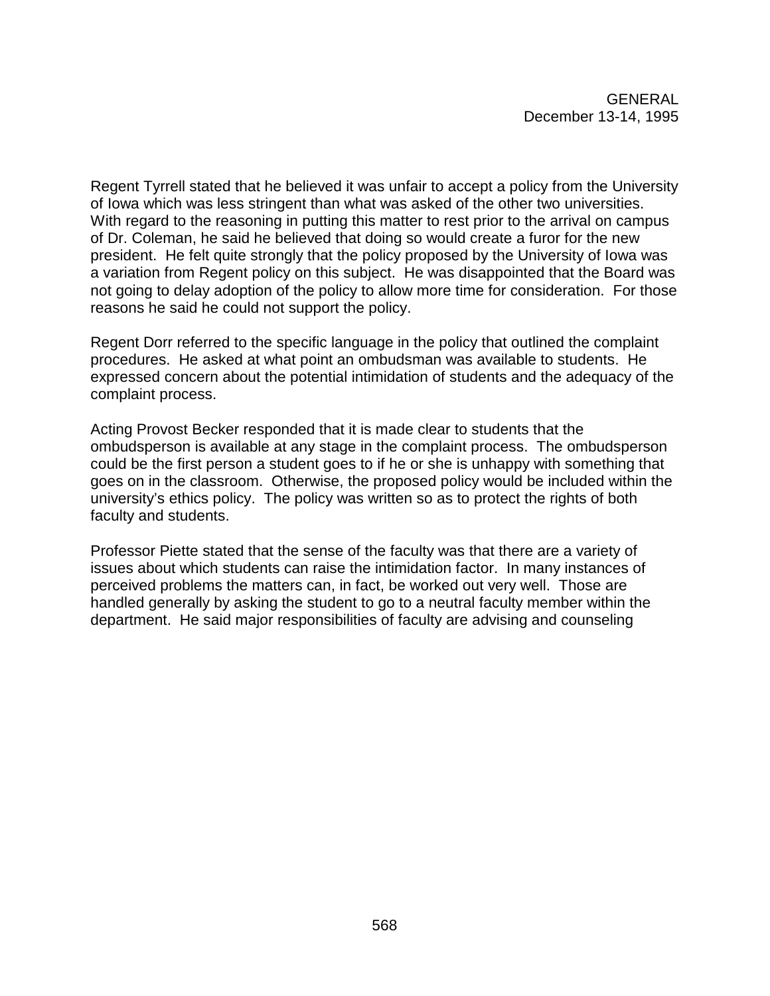Regent Tyrrell stated that he believed it was unfair to accept a policy from the University of Iowa which was less stringent than what was asked of the other two universities. With regard to the reasoning in putting this matter to rest prior to the arrival on campus of Dr. Coleman, he said he believed that doing so would create a furor for the new president. He felt quite strongly that the policy proposed by the University of Iowa was a variation from Regent policy on this subject. He was disappointed that the Board was not going to delay adoption of the policy to allow more time for consideration. For those reasons he said he could not support the policy.

Regent Dorr referred to the specific language in the policy that outlined the complaint procedures. He asked at what point an ombudsman was available to students. He expressed concern about the potential intimidation of students and the adequacy of the complaint process.

Acting Provost Becker responded that it is made clear to students that the ombudsperson is available at any stage in the complaint process. The ombudsperson could be the first person a student goes to if he or she is unhappy with something that goes on in the classroom. Otherwise, the proposed policy would be included within the university's ethics policy. The policy was written so as to protect the rights of both faculty and students.

Professor Piette stated that the sense of the faculty was that there are a variety of issues about which students can raise the intimidation factor. In many instances of perceived problems the matters can, in fact, be worked out very well. Those are handled generally by asking the student to go to a neutral faculty member within the department. He said major responsibilities of faculty are advising and counseling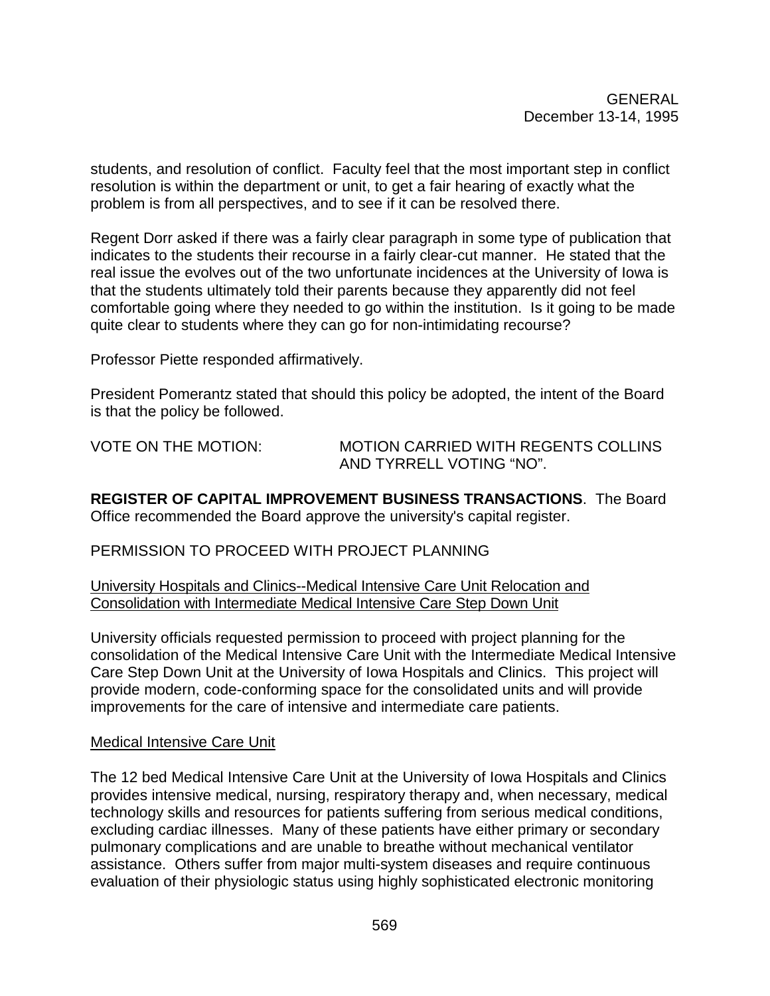students, and resolution of conflict. Faculty feel that the most important step in conflict resolution is within the department or unit, to get a fair hearing of exactly what the problem is from all perspectives, and to see if it can be resolved there.

Regent Dorr asked if there was a fairly clear paragraph in some type of publication that indicates to the students their recourse in a fairly clear-cut manner. He stated that the real issue the evolves out of the two unfortunate incidences at the University of Iowa is that the students ultimately told their parents because they apparently did not feel comfortable going where they needed to go within the institution. Is it going to be made quite clear to students where they can go for non-intimidating recourse?

Professor Piette responded affirmatively.

President Pomerantz stated that should this policy be adopted, the intent of the Board is that the policy be followed.

VOTE ON THE MOTION: MOTION CARRIED WITH REGENTS COLLINS AND TYRRELL VOTING "NO".

**REGISTER OF CAPITAL IMPROVEMENT BUSINESS TRANSACTIONS**. The Board Office recommended the Board approve the university's capital register.

PERMISSION TO PROCEED WITH PROJECT PLANNING

University Hospitals and Clinics--Medical Intensive Care Unit Relocation and Consolidation with Intermediate Medical Intensive Care Step Down Unit

University officials requested permission to proceed with project planning for the consolidation of the Medical Intensive Care Unit with the Intermediate Medical Intensive Care Step Down Unit at the University of Iowa Hospitals and Clinics. This project will provide modern, code-conforming space for the consolidated units and will provide improvements for the care of intensive and intermediate care patients.

#### Medical Intensive Care Unit

The 12 bed Medical Intensive Care Unit at the University of Iowa Hospitals and Clinics provides intensive medical, nursing, respiratory therapy and, when necessary, medical technology skills and resources for patients suffering from serious medical conditions, excluding cardiac illnesses. Many of these patients have either primary or secondary pulmonary complications and are unable to breathe without mechanical ventilator assistance. Others suffer from major multi-system diseases and require continuous evaluation of their physiologic status using highly sophisticated electronic monitoring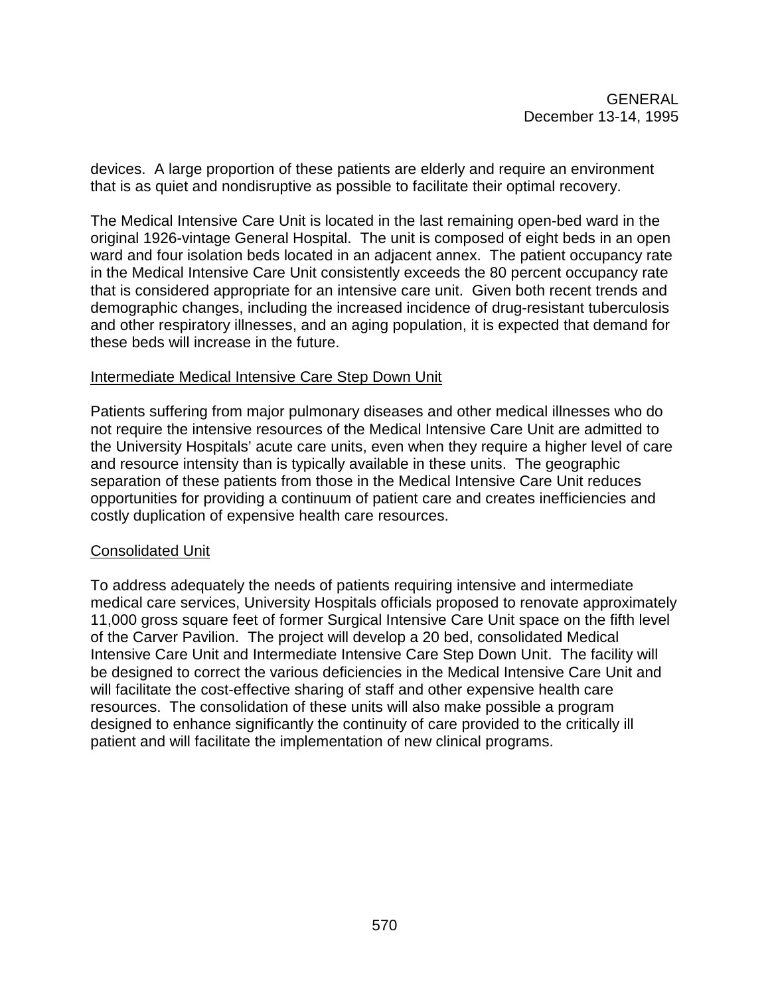devices. A large proportion of these patients are elderly and require an environment that is as quiet and nondisruptive as possible to facilitate their optimal recovery.

The Medical Intensive Care Unit is located in the last remaining open-bed ward in the original 1926-vintage General Hospital. The unit is composed of eight beds in an open ward and four isolation beds located in an adjacent annex. The patient occupancy rate in the Medical Intensive Care Unit consistently exceeds the 80 percent occupancy rate that is considered appropriate for an intensive care unit. Given both recent trends and demographic changes, including the increased incidence of drug-resistant tuberculosis and other respiratory illnesses, and an aging population, it is expected that demand for these beds will increase in the future.

#### Intermediate Medical Intensive Care Step Down Unit

Patients suffering from major pulmonary diseases and other medical illnesses who do not require the intensive resources of the Medical Intensive Care Unit are admitted to the University Hospitals' acute care units, even when they require a higher level of care and resource intensity than is typically available in these units. The geographic separation of these patients from those in the Medical Intensive Care Unit reduces opportunities for providing a continuum of patient care and creates inefficiencies and costly duplication of expensive health care resources.

#### Consolidated Unit

To address adequately the needs of patients requiring intensive and intermediate medical care services, University Hospitals officials proposed to renovate approximately 11,000 gross square feet of former Surgical Intensive Care Unit space on the fifth level of the Carver Pavilion. The project will develop a 20 bed, consolidated Medical Intensive Care Unit and Intermediate Intensive Care Step Down Unit. The facility will be designed to correct the various deficiencies in the Medical Intensive Care Unit and will facilitate the cost-effective sharing of staff and other expensive health care resources. The consolidation of these units will also make possible a program designed to enhance significantly the continuity of care provided to the critically ill patient and will facilitate the implementation of new clinical programs.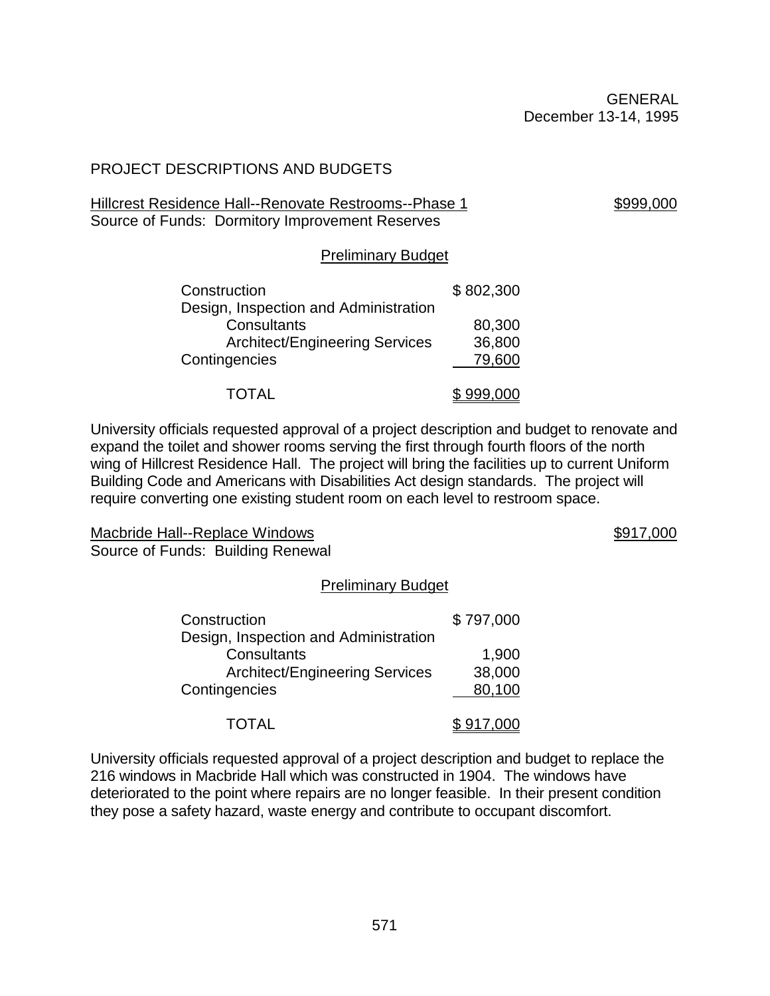## PROJECT DESCRIPTIONS AND BUDGETS

#### Hillcrest Residence Hall--Renovate Restrooms--Phase 1 \$999,000 Source of Funds: Dormitory Improvement Reserves

#### Preliminary Budget

| Construction                          | \$802,300 |
|---------------------------------------|-----------|
| Design, Inspection and Administration |           |
| Consultants                           | 80,300    |
| <b>Architect/Engineering Services</b> | 36,800    |
| Contingencies                         | 79,600    |
| TOTAL                                 | \$999,000 |

University officials requested approval of a project description and budget to renovate and expand the toilet and shower rooms serving the first through fourth floors of the north wing of Hillcrest Residence Hall. The project will bring the facilities up to current Uniform Building Code and Americans with Disabilities Act design standards. The project will require converting one existing student room on each level to restroom space.

Macbride Hall--Replace Windows **\$917,000** Nachara Annual Machael Structure and the Structure of the Structure of Structure and Structure of Structure and Structure and Structure and Structure and Structure and Structure an Source of Funds: Building Renewal

#### Preliminary Budget

| Construction                          | \$797,000 |
|---------------------------------------|-----------|
| Design, Inspection and Administration |           |
| Consultants                           | 1,900     |
| <b>Architect/Engineering Services</b> | 38,000    |
| Contingencies                         | 80,100    |
| <b>TOTAL</b>                          | \$917.000 |

University officials requested approval of a project description and budget to replace the 216 windows in Macbride Hall which was constructed in 1904. The windows have deteriorated to the point where repairs are no longer feasible. In their present condition they pose a safety hazard, waste energy and contribute to occupant discomfort.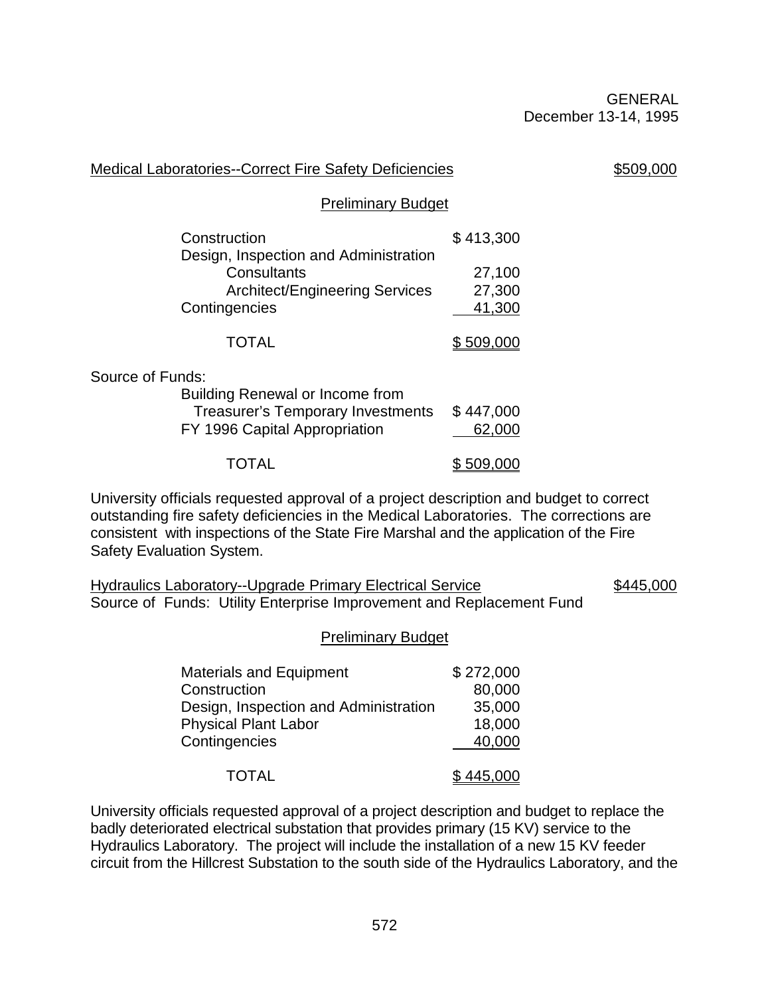| <b>Medical Laboratories--Correct Fire Safety Deficiencies</b>                                                                                                                   | \$509,000        |
|---------------------------------------------------------------------------------------------------------------------------------------------------------------------------------|------------------|
| <b>Preliminary Budget</b>                                                                                                                                                       |                  |
| Construction                                                                                                                                                                    | \$413,300        |
| Design, Inspection and Administration<br>Consultants                                                                                                                            | 27,100           |
| <b>Architect/Engineering Services</b>                                                                                                                                           | 27,300           |
| Contingencies                                                                                                                                                                   | 41,300           |
| <b>TOTAL</b>                                                                                                                                                                    | \$509,000        |
| Source of Funds:                                                                                                                                                                |                  |
| Building Renewal or Income from                                                                                                                                                 |                  |
| <b>Treasurer's Temporary Investments</b>                                                                                                                                        | \$447,000        |
| FY 1996 Capital Appropriation                                                                                                                                                   | 62,000           |
| TOTAL                                                                                                                                                                           | <u>\$509,000</u> |
| University officials requested approval of a project description and budget to correct<br>outstanding fire safety deficiencies in the Medical Laboratories. The corrections are |                  |

outstanding fire safety deficiencies in the Medical Laboratories. The corrections are consistent with inspections of the State Fire Marshal and the application of the Fire Safety Evaluation System.

Hydraulics Laboratory--Upgrade Primary Electrical Service \$445,000 Source of Funds: Utility Enterprise Improvement and Replacement Fund

#### Preliminary Budget

| <b>Materials and Equipment</b>        | \$272,000 |
|---------------------------------------|-----------|
| Construction                          | 80,000    |
| Design, Inspection and Administration | 35,000    |
| <b>Physical Plant Labor</b>           | 18,000    |
| Contingencies                         | 40,000    |
|                                       |           |
| <b>TOTAL</b>                          | \$445,000 |

University officials requested approval of a project description and budget to replace the badly deteriorated electrical substation that provides primary (15 KV) service to the Hydraulics Laboratory. The project will include the installation of a new 15 KV feeder circuit from the Hillcrest Substation to the south side of the Hydraulics Laboratory, and the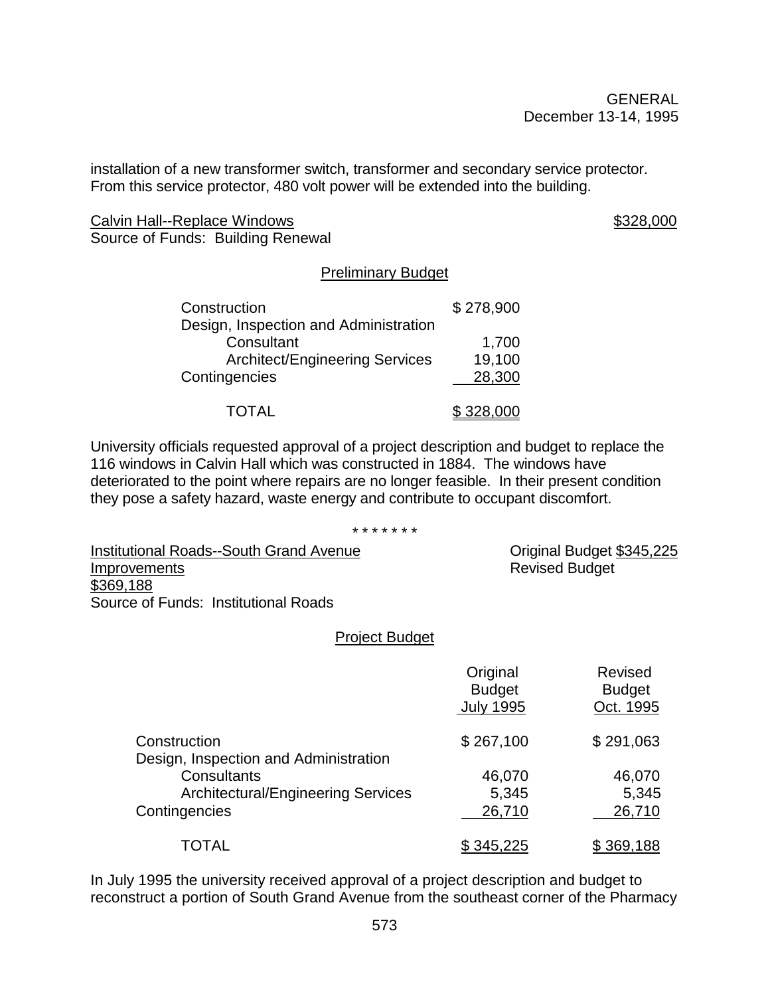installation of a new transformer switch, transformer and secondary service protector. From this service protector, 480 volt power will be extended into the building.

Calvin Hall--Replace Windows **\$328,000** \$328,000 Source of Funds: Building Renewal

#### Preliminary Budget

| Construction                          | \$278,900 |
|---------------------------------------|-----------|
| Design, Inspection and Administration |           |
| Consultant                            | 1,700     |
| <b>Architect/Engineering Services</b> | 19,100    |
| Contingencies                         | 28,300    |
| <b>TOTAL</b>                          | \$328,000 |

University officials requested approval of a project description and budget to replace the 116 windows in Calvin Hall which was constructed in 1884. The windows have deteriorated to the point where repairs are no longer feasible. In their present condition they pose a safety hazard, waste energy and contribute to occupant discomfort.

\* \* \* \* \* \* \*

Institutional Roads--South Grand Avenue **Communicational Budget** \$345,225 Improvements **Revised Budget** Revised Budget \$369,188 Source of Funds: Institutional Roads

#### Project Budget

|                                                       | Original<br><b>Budget</b><br><b>July 1995</b> | <b>Revised</b><br><b>Budget</b><br>Oct. 1995 |
|-------------------------------------------------------|-----------------------------------------------|----------------------------------------------|
| Construction<br>Design, Inspection and Administration | \$267,100                                     | \$291,063                                    |
| Consultants                                           | 46,070                                        | 46,070                                       |
| <b>Architectural/Engineering Services</b>             | 5,345                                         | 5,345                                        |
| Contingencies                                         | 26,710                                        | 26,710                                       |
| TOTAL                                                 | \$345,225                                     | \$369,188                                    |

In July 1995 the university received approval of a project description and budget to reconstruct a portion of South Grand Avenue from the southeast corner of the Pharmacy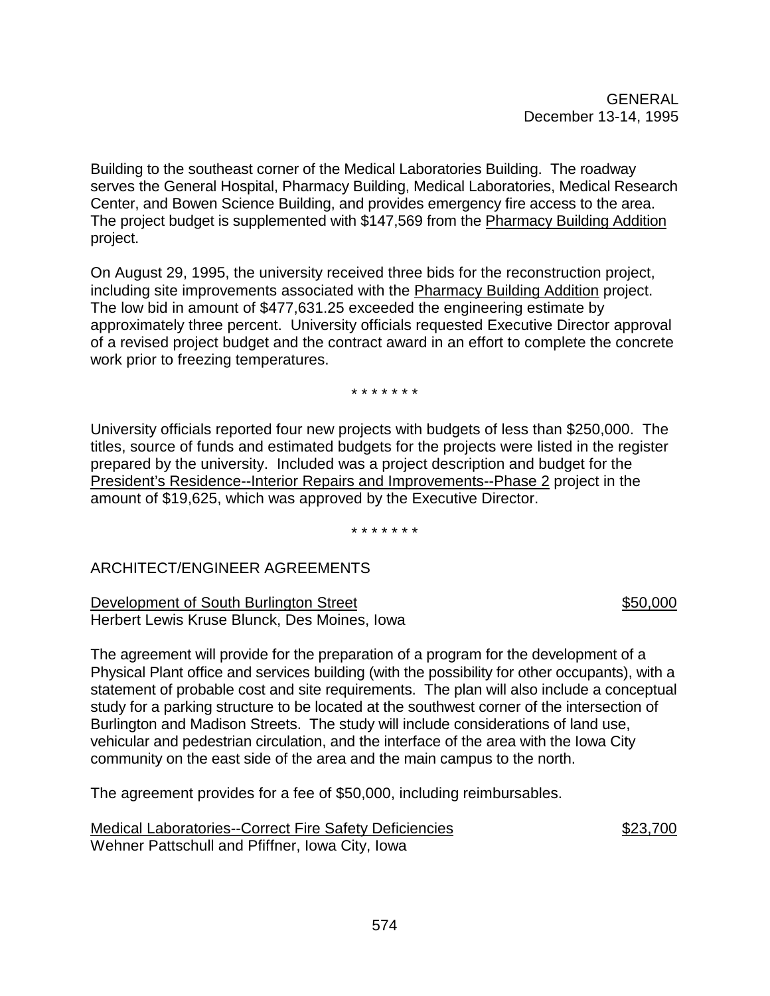Building to the southeast corner of the Medical Laboratories Building. The roadway serves the General Hospital, Pharmacy Building, Medical Laboratories, Medical Research Center, and Bowen Science Building, and provides emergency fire access to the area. The project budget is supplemented with \$147,569 from the Pharmacy Building Addition project.

On August 29, 1995, the university received three bids for the reconstruction project, including site improvements associated with the Pharmacy Building Addition project. The low bid in amount of \$477,631.25 exceeded the engineering estimate by approximately three percent. University officials requested Executive Director approval of a revised project budget and the contract award in an effort to complete the concrete work prior to freezing temperatures.

\* \* \* \* \* \* \*

University officials reported four new projects with budgets of less than \$250,000. The titles, source of funds and estimated budgets for the projects were listed in the register prepared by the university. Included was a project description and budget for the President's Residence--Interior Repairs and Improvements--Phase 2 project in the amount of \$19,625, which was approved by the Executive Director.

\* \* \* \* \* \* \*

# ARCHITECT/ENGINEER AGREEMENTS

Development of South Burlington Street **\$50,000** \$50,000 Herbert Lewis Kruse Blunck, Des Moines, Iowa

The agreement will provide for the preparation of a program for the development of a Physical Plant office and services building (with the possibility for other occupants), with a statement of probable cost and site requirements. The plan will also include a conceptual study for a parking structure to be located at the southwest corner of the intersection of Burlington and Madison Streets. The study will include considerations of land use, vehicular and pedestrian circulation, and the interface of the area with the Iowa City community on the east side of the area and the main campus to the north.

The agreement provides for a fee of \$50,000, including reimbursables.

Medical Laboratories--Correct Fire Safety Deficiencies  $$23,700$ Wehner Pattschull and Pfiffner, Iowa City, Iowa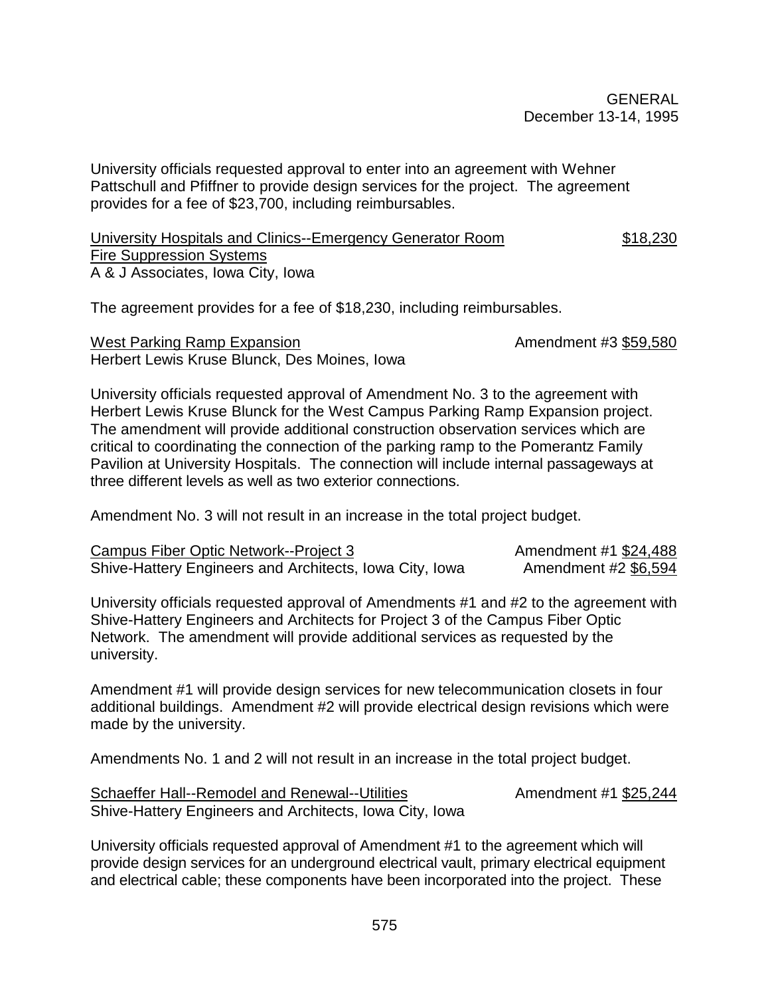University officials requested approval to enter into an agreement with Wehner Pattschull and Pfiffner to provide design services for the project. The agreement provides for a fee of \$23,700, including reimbursables.

#### University Hospitals and Clinics--Emergency Generator Room \$18,230 **Fire Suppression Systems** A & J Associates, Iowa City, Iowa

The agreement provides for a fee of \$18,230, including reimbursables.

West Parking Ramp Expansion Amendment #3 \$59,580 Herbert Lewis Kruse Blunck, Des Moines, Iowa

University officials requested approval of Amendment No. 3 to the agreement with Herbert Lewis Kruse Blunck for the West Campus Parking Ramp Expansion project. The amendment will provide additional construction observation services which are critical to coordinating the connection of the parking ramp to the Pomerantz Family Pavilion at University Hospitals. The connection will include internal passageways at three different levels as well as two exterior connections.

Amendment No. 3 will not result in an increase in the total project budget.

| Campus Fiber Optic Network--Project 3                   | Amendment #1 \$24,488 |
|---------------------------------------------------------|-----------------------|
| Shive-Hattery Engineers and Architects, Iowa City, Iowa | Amendment #2 \$6,594  |

University officials requested approval of Amendments #1 and #2 to the agreement with Shive-Hattery Engineers and Architects for Project 3 of the Campus Fiber Optic Network. The amendment will provide additional services as requested by the university.

Amendment #1 will provide design services for new telecommunication closets in four additional buildings. Amendment #2 will provide electrical design revisions which were made by the university.

Amendments No. 1 and 2 will not result in an increase in the total project budget.

Schaeffer Hall--Remodel and Renewal--Utilities Amendment #1 \$25,244 Shive-Hattery Engineers and Architects, Iowa City, Iowa

University officials requested approval of Amendment #1 to the agreement which will provide design services for an underground electrical vault, primary electrical equipment and electrical cable; these components have been incorporated into the project. These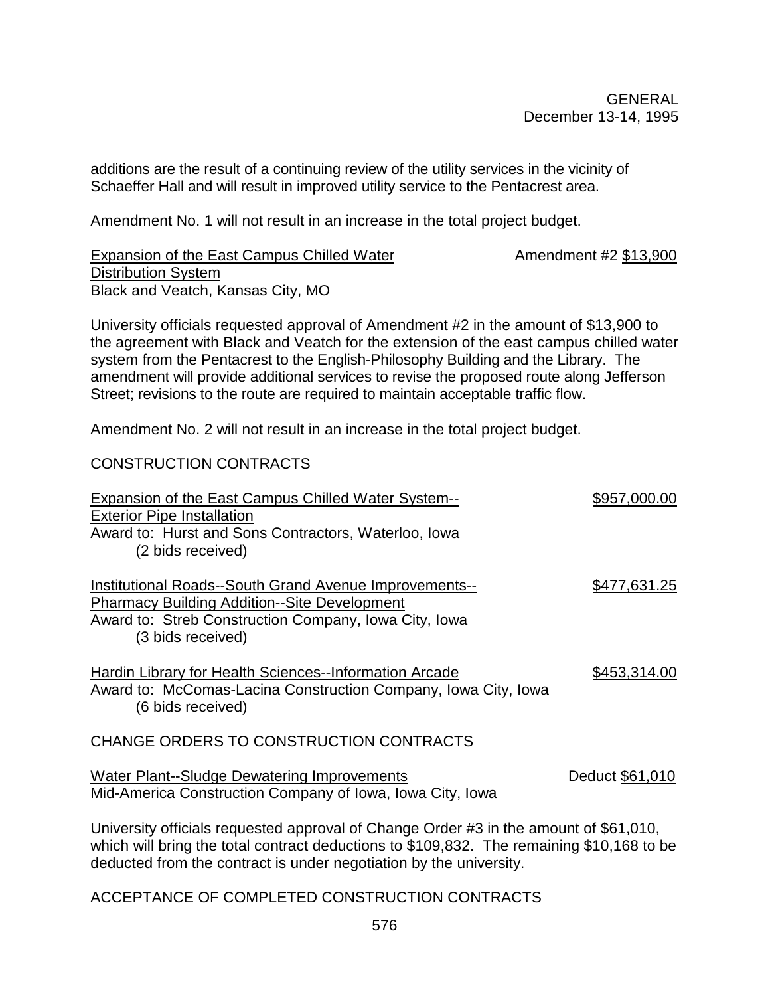additions are the result of a continuing review of the utility services in the vicinity of Schaeffer Hall and will result in improved utility service to the Pentacrest area.

Amendment No. 1 will not result in an increase in the total project budget.

Expansion of the East Campus Chilled Water **Amendment #2 \$13,900** Distribution System Black and Veatch, Kansas City, MO

University officials requested approval of Amendment #2 in the amount of \$13,900 to the agreement with Black and Veatch for the extension of the east campus chilled water system from the Pentacrest to the English-Philosophy Building and the Library. The amendment will provide additional services to revise the proposed route along Jefferson Street; revisions to the route are required to maintain acceptable traffic flow.

Amendment No. 2 will not result in an increase in the total project budget.

#### CONSTRUCTION CONTRACTS

| <b>Expansion of the East Campus Chilled Water System--</b><br><b>Exterior Pipe Installation</b><br>Award to: Hurst and Sons Contractors, Waterloo, Iowa<br>(2 bids received)                                                                             | \$957,000.00        |  |
|----------------------------------------------------------------------------------------------------------------------------------------------------------------------------------------------------------------------------------------------------------|---------------------|--|
| Institutional Roads--South Grand Avenue Improvements--<br><b>Pharmacy Building Addition--Site Development</b><br>Award to: Streb Construction Company, Iowa City, Iowa<br>(3 bids received)                                                              | <u>\$477,631.25</u> |  |
| Hardin Library for Health Sciences--Information Arcade<br>Award to: McComas-Lacina Construction Company, Iowa City, Iowa<br>(6 bids received)                                                                                                            | \$453,314.00        |  |
| CHANGE ORDERS TO CONSTRUCTION CONTRACTS                                                                                                                                                                                                                  |                     |  |
| <b>Water Plant--Sludge Dewatering Improvements</b><br>Mid-America Construction Company of Iowa, Iowa City, Iowa                                                                                                                                          | Deduct \$61,010     |  |
| University officials requested approval of Change Order #3 in the amount of \$61,010,<br>which will bring the total contract deductions to \$109,832. The remaining \$10,168 to be<br>deducted from the contract is under negotiation by the university. |                     |  |

ACCEPTANCE OF COMPLETED CONSTRUCTION CONTRACTS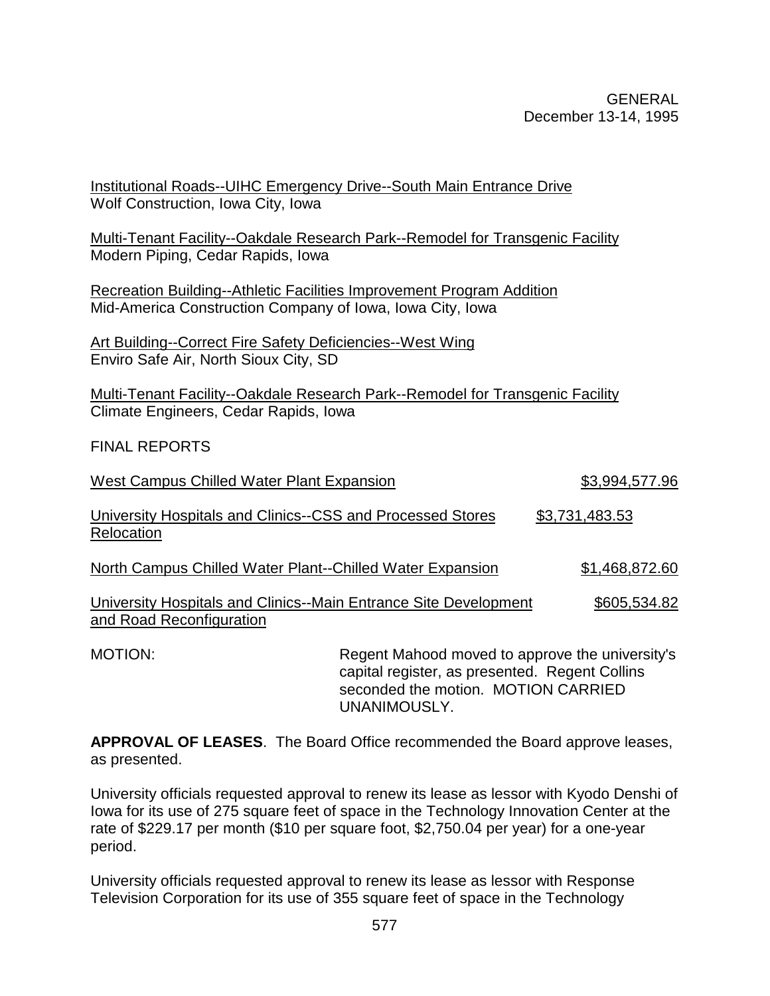| Institutional Roads--UIHC Emergency Drive--South Main Entrance Drive<br>Wolf Construction, Iowa City, Iowa                                |                                                 |                       |
|-------------------------------------------------------------------------------------------------------------------------------------------|-------------------------------------------------|-----------------------|
| Multi-Tenant Facility--Oakdale Research Park--Remodel for Transgenic Facility<br>Modern Piping, Cedar Rapids, Iowa                        |                                                 |                       |
| <b>Recreation Building--Athletic Facilities Improvement Program Addition</b><br>Mid-America Construction Company of Iowa, Iowa City, Iowa |                                                 |                       |
| <b>Art Building--Correct Fire Safety Deficiencies--West Wing</b><br>Enviro Safe Air, North Sioux City, SD                                 |                                                 |                       |
| Multi-Tenant Facility--Oakdale Research Park--Remodel for Transgenic Facility<br>Climate Engineers, Cedar Rapids, Iowa                    |                                                 |                       |
| <b>FINAL REPORTS</b>                                                                                                                      |                                                 |                       |
| <b>West Campus Chilled Water Plant Expansion</b>                                                                                          |                                                 | \$3,994,577.96        |
| University Hospitals and Clinics--CSS and Processed Stores<br>Relocation                                                                  |                                                 | <u>\$3,731,483.53</u> |
| North Campus Chilled Water Plant--Chilled Water Expansion                                                                                 |                                                 | \$1,468,872.60        |
| University Hospitals and Clinics--Main Entrance Site Development<br>and Road Reconfiguration                                              |                                                 | \$605,534.82          |
| MOTION:                                                                                                                                   | Regent Mahood moved to approve the university's |                       |

capital register, as presented. Regent Collins seconded the motion. MOTION CARRIED UNANIMOUSLY.

**APPROVAL OF LEASES**. The Board Office recommended the Board approve leases, as presented.

University officials requested approval to renew its lease as lessor with Kyodo Denshi of Iowa for its use of 275 square feet of space in the Technology Innovation Center at the rate of \$229.17 per month (\$10 per square foot, \$2,750.04 per year) for a one-year period.

University officials requested approval to renew its lease as lessor with Response Television Corporation for its use of 355 square feet of space in the Technology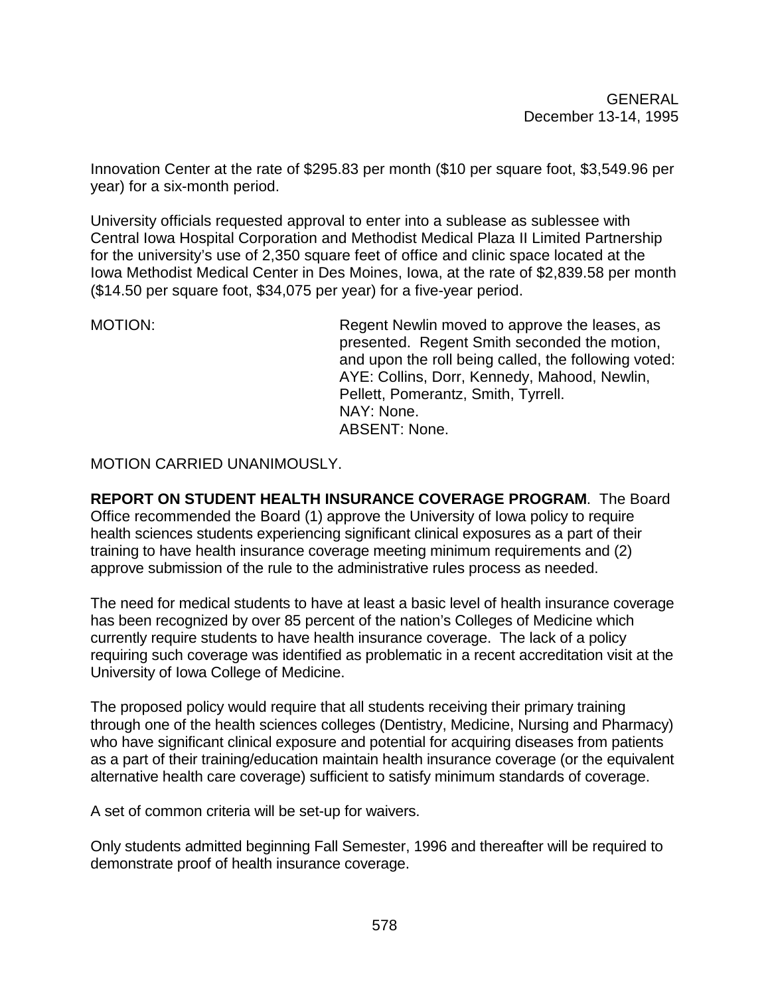Innovation Center at the rate of \$295.83 per month (\$10 per square foot, \$3,549.96 per year) for a six-month period.

University officials requested approval to enter into a sublease as sublessee with Central Iowa Hospital Corporation and Methodist Medical Plaza II Limited Partnership for the university's use of 2,350 square feet of office and clinic space located at the Iowa Methodist Medical Center in Des Moines, Iowa, at the rate of \$2,839.58 per month (\$14.50 per square foot, \$34,075 per year) for a five-year period.

MOTION: MOTION: Regent Newlin moved to approve the leases, as presented. Regent Smith seconded the motion, and upon the roll being called, the following voted: AYE: Collins, Dorr, Kennedy, Mahood, Newlin, Pellett, Pomerantz, Smith, Tyrrell. NAY: None. ABSENT: None.

MOTION CARRIED UNANIMOUSLY.

**REPORT ON STUDENT HEALTH INSURANCE COVERAGE PROGRAM**. The Board Office recommended the Board (1) approve the University of Iowa policy to require health sciences students experiencing significant clinical exposures as a part of their training to have health insurance coverage meeting minimum requirements and (2) approve submission of the rule to the administrative rules process as needed.

The need for medical students to have at least a basic level of health insurance coverage has been recognized by over 85 percent of the nation's Colleges of Medicine which currently require students to have health insurance coverage. The lack of a policy requiring such coverage was identified as problematic in a recent accreditation visit at the University of Iowa College of Medicine.

The proposed policy would require that all students receiving their primary training through one of the health sciences colleges (Dentistry, Medicine, Nursing and Pharmacy) who have significant clinical exposure and potential for acquiring diseases from patients as a part of their training/education maintain health insurance coverage (or the equivalent alternative health care coverage) sufficient to satisfy minimum standards of coverage.

A set of common criteria will be set-up for waivers.

Only students admitted beginning Fall Semester, 1996 and thereafter will be required to demonstrate proof of health insurance coverage.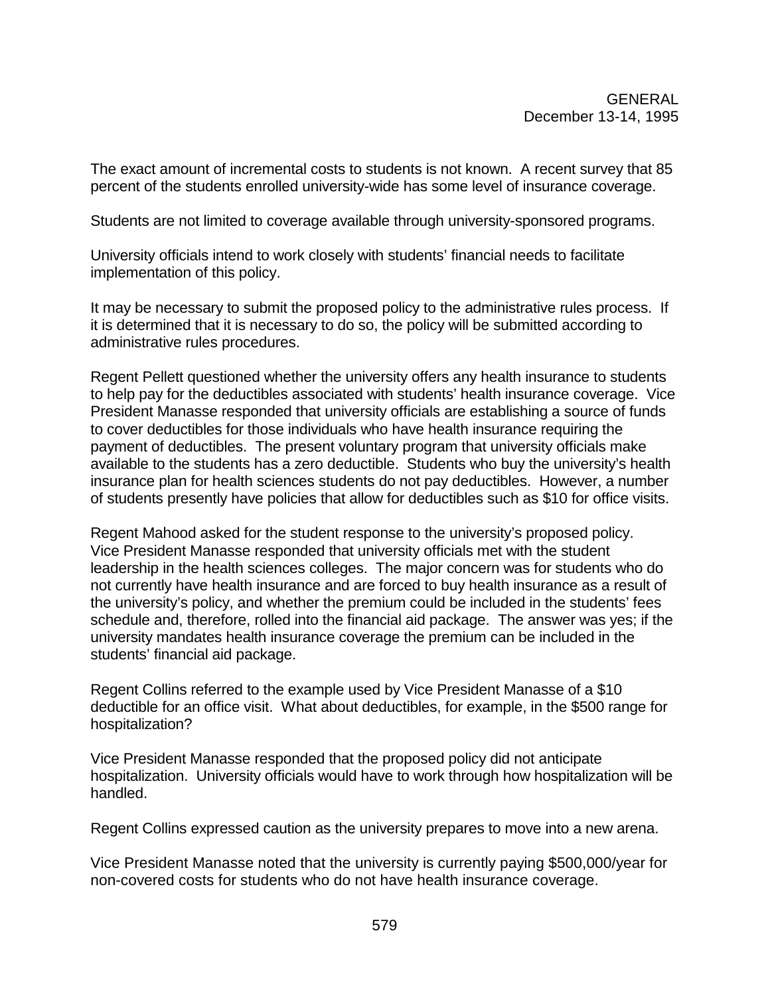The exact amount of incremental costs to students is not known. A recent survey that 85 percent of the students enrolled university-wide has some level of insurance coverage.

Students are not limited to coverage available through university-sponsored programs.

University officials intend to work closely with students' financial needs to facilitate implementation of this policy.

It may be necessary to submit the proposed policy to the administrative rules process. If it is determined that it is necessary to do so, the policy will be submitted according to administrative rules procedures.

Regent Pellett questioned whether the university offers any health insurance to students to help pay for the deductibles associated with students' health insurance coverage. Vice President Manasse responded that university officials are establishing a source of funds to cover deductibles for those individuals who have health insurance requiring the payment of deductibles. The present voluntary program that university officials make available to the students has a zero deductible. Students who buy the university's health insurance plan for health sciences students do not pay deductibles. However, a number of students presently have policies that allow for deductibles such as \$10 for office visits.

Regent Mahood asked for the student response to the university's proposed policy. Vice President Manasse responded that university officials met with the student leadership in the health sciences colleges. The major concern was for students who do not currently have health insurance and are forced to buy health insurance as a result of the university's policy, and whether the premium could be included in the students' fees schedule and, therefore, rolled into the financial aid package. The answer was yes; if the university mandates health insurance coverage the premium can be included in the students' financial aid package.

Regent Collins referred to the example used by Vice President Manasse of a \$10 deductible for an office visit. What about deductibles, for example, in the \$500 range for hospitalization?

Vice President Manasse responded that the proposed policy did not anticipate hospitalization. University officials would have to work through how hospitalization will be handled.

Regent Collins expressed caution as the university prepares to move into a new arena.

Vice President Manasse noted that the university is currently paying \$500,000/year for non-covered costs for students who do not have health insurance coverage.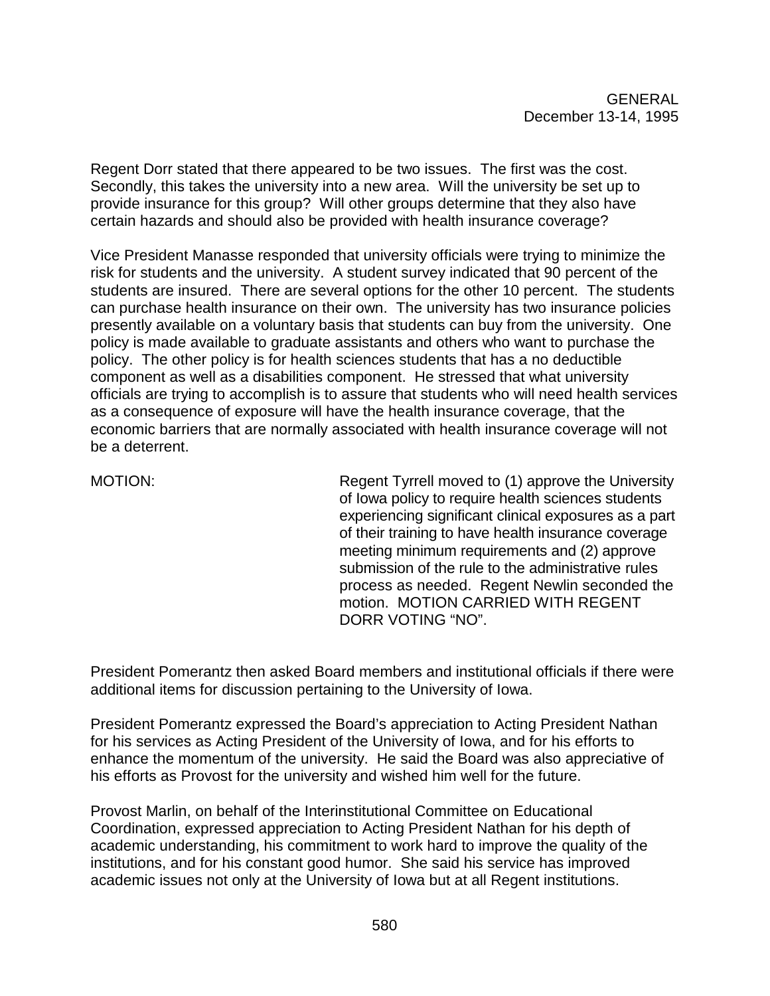Regent Dorr stated that there appeared to be two issues. The first was the cost. Secondly, this takes the university into a new area. Will the university be set up to provide insurance for this group? Will other groups determine that they also have certain hazards and should also be provided with health insurance coverage?

Vice President Manasse responded that university officials were trying to minimize the risk for students and the university. A student survey indicated that 90 percent of the students are insured. There are several options for the other 10 percent. The students can purchase health insurance on their own. The university has two insurance policies presently available on a voluntary basis that students can buy from the university. One policy is made available to graduate assistants and others who want to purchase the policy. The other policy is for health sciences students that has a no deductible component as well as a disabilities component. He stressed that what university officials are trying to accomplish is to assure that students who will need health services as a consequence of exposure will have the health insurance coverage, that the economic barriers that are normally associated with health insurance coverage will not be a deterrent.

MOTION: Regent Tyrrell moved to (1) approve the University of Iowa policy to require health sciences students experiencing significant clinical exposures as a part of their training to have health insurance coverage meeting minimum requirements and (2) approve submission of the rule to the administrative rules process as needed. Regent Newlin seconded the motion. MOTION CARRIED WITH REGENT DORR VOTING "NO".

President Pomerantz then asked Board members and institutional officials if there were additional items for discussion pertaining to the University of Iowa.

President Pomerantz expressed the Board's appreciation to Acting President Nathan for his services as Acting President of the University of Iowa, and for his efforts to enhance the momentum of the university. He said the Board was also appreciative of his efforts as Provost for the university and wished him well for the future.

Provost Marlin, on behalf of the Interinstitutional Committee on Educational Coordination, expressed appreciation to Acting President Nathan for his depth of academic understanding, his commitment to work hard to improve the quality of the institutions, and for his constant good humor. She said his service has improved academic issues not only at the University of Iowa but at all Regent institutions.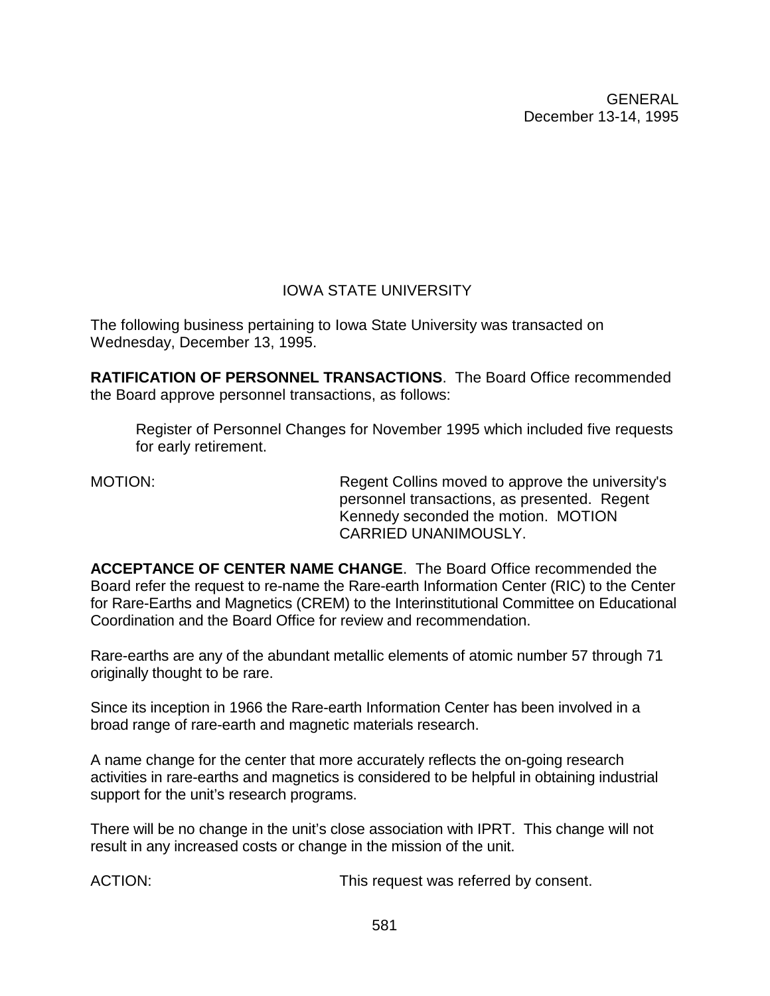# IOWA STATE UNIVERSITY

The following business pertaining to Iowa State University was transacted on Wednesday, December 13, 1995.

**RATIFICATION OF PERSONNEL TRANSACTIONS**. The Board Office recommended the Board approve personnel transactions, as follows:

Register of Personnel Changes for November 1995 which included five requests for early retirement.

MOTION: Regent Collins moved to approve the university's personnel transactions, as presented. Regent Kennedy seconded the motion. MOTION CARRIED UNANIMOUSLY.

**ACCEPTANCE OF CENTER NAME CHANGE**. The Board Office recommended the Board refer the request to re-name the Rare-earth Information Center (RIC) to the Center for Rare-Earths and Magnetics (CREM) to the Interinstitutional Committee on Educational Coordination and the Board Office for review and recommendation.

Rare-earths are any of the abundant metallic elements of atomic number 57 through 71 originally thought to be rare.

Since its inception in 1966 the Rare-earth Information Center has been involved in a broad range of rare-earth and magnetic materials research.

A name change for the center that more accurately reflects the on-going research activities in rare-earths and magnetics is considered to be helpful in obtaining industrial support for the unit's research programs.

There will be no change in the unit's close association with IPRT. This change will not result in any increased costs or change in the mission of the unit.

ACTION: This request was referred by consent.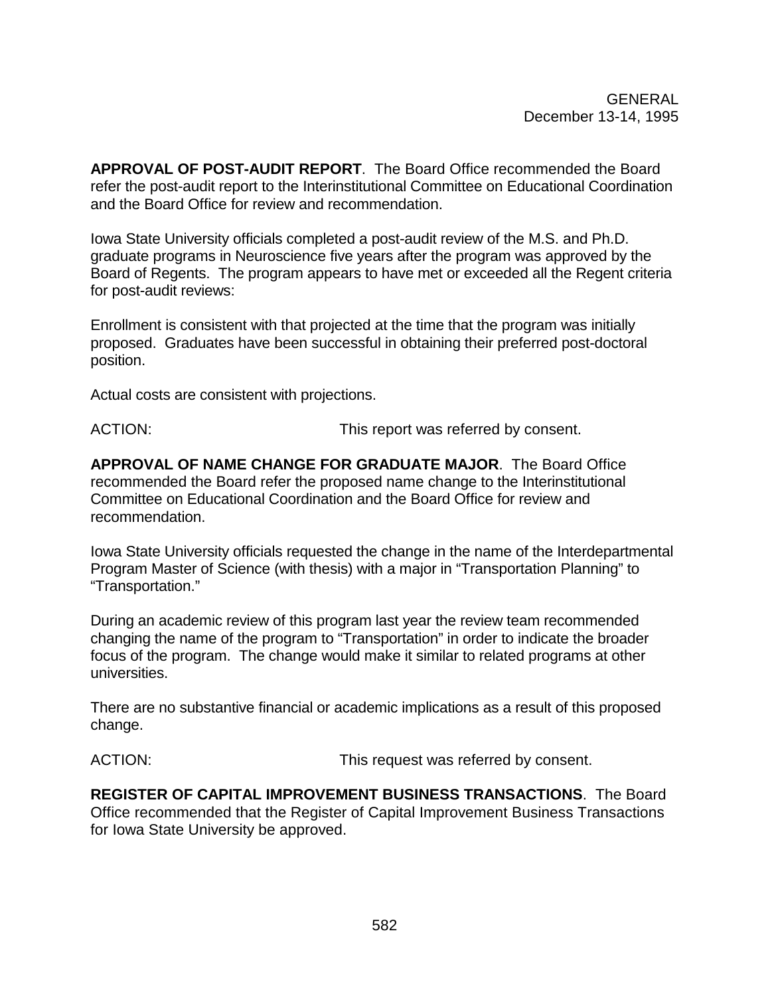**APPROVAL OF POST-AUDIT REPORT**. The Board Office recommended the Board refer the post-audit report to the Interinstitutional Committee on Educational Coordination and the Board Office for review and recommendation.

Iowa State University officials completed a post-audit review of the M.S. and Ph.D. graduate programs in Neuroscience five years after the program was approved by the Board of Regents. The program appears to have met or exceeded all the Regent criteria for post-audit reviews:

Enrollment is consistent with that projected at the time that the program was initially proposed. Graduates have been successful in obtaining their preferred post-doctoral position.

Actual costs are consistent with projections.

ACTION:  $\blacksquare$  This report was referred by consent.

**APPROVAL OF NAME CHANGE FOR GRADUATE MAJOR**. The Board Office recommended the Board refer the proposed name change to the Interinstitutional Committee on Educational Coordination and the Board Office for review and recommendation.

Iowa State University officials requested the change in the name of the Interdepartmental Program Master of Science (with thesis) with a major in "Transportation Planning" to "Transportation."

During an academic review of this program last year the review team recommended changing the name of the program to "Transportation" in order to indicate the broader focus of the program. The change would make it similar to related programs at other universities.

There are no substantive financial or academic implications as a result of this proposed change.

ACTION: This request was referred by consent.

**REGISTER OF CAPITAL IMPROVEMENT BUSINESS TRANSACTIONS**. The Board Office recommended that the Register of Capital Improvement Business Transactions for Iowa State University be approved.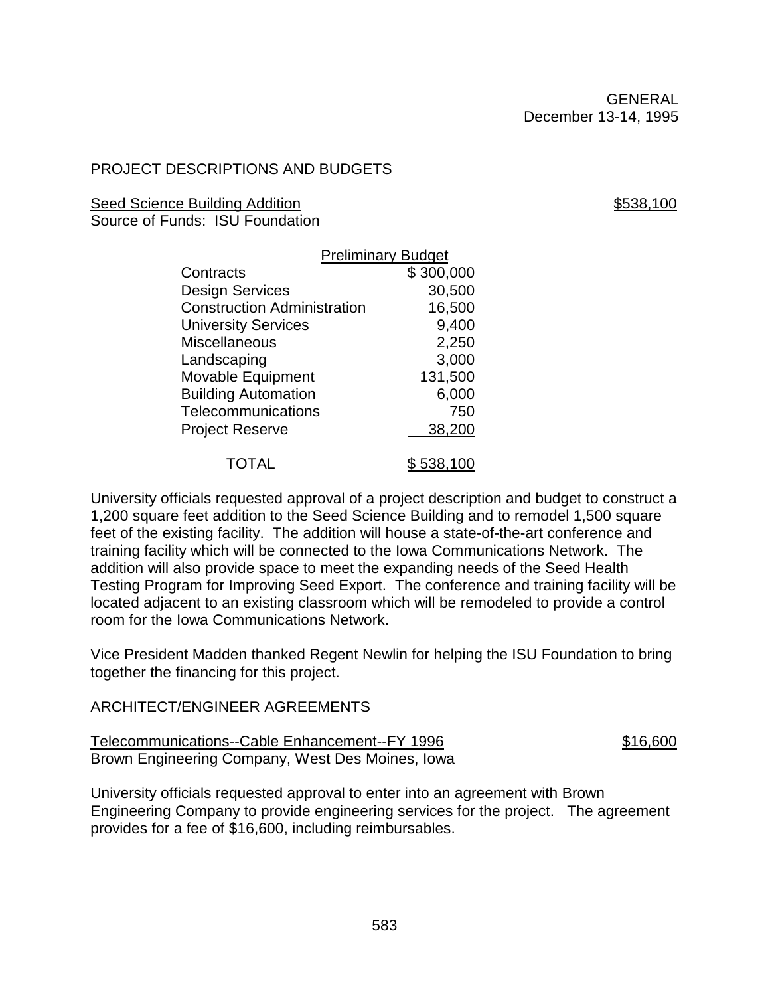# PROJECT DESCRIPTIONS AND BUDGETS

#### Seed Science Building Addition \$538,100

Source of Funds: ISU Foundation

|                                    | <b>Preliminary Budget</b> |                  |  |
|------------------------------------|---------------------------|------------------|--|
| Contracts                          |                           | \$300,000        |  |
| Design Services                    |                           | 30,500           |  |
| <b>Construction Administration</b> |                           | 16,500           |  |
| <b>University Services</b>         |                           | 9,400            |  |
| Miscellaneous                      |                           | 2,250            |  |
| Landscaping                        |                           | 3,000            |  |
| <b>Movable Equipment</b>           |                           | 131,500          |  |
| <b>Building Automation</b>         |                           | 6,000            |  |
| <b>Telecommunications</b>          |                           | 750              |  |
| <b>Project Reserve</b>             |                           | 38,200           |  |
| TOTAL                              |                           | <u>\$538,100</u> |  |

University officials requested approval of a project description and budget to construct a 1,200 square feet addition to the Seed Science Building and to remodel 1,500 square feet of the existing facility. The addition will house a state-of-the-art conference and training facility which will be connected to the Iowa Communications Network. The addition will also provide space to meet the expanding needs of the Seed Health Testing Program for Improving Seed Export. The conference and training facility will be located adjacent to an existing classroom which will be remodeled to provide a control room for the Iowa Communications Network.

Vice President Madden thanked Regent Newlin for helping the ISU Foundation to bring together the financing for this project.

#### ARCHITECT/ENGINEER AGREEMENTS

| Telecommunications--Cable Enhancement--FY 1996   | \$16,600 |
|--------------------------------------------------|----------|
| Brown Engineering Company, West Des Moines, Iowa |          |

University officials requested approval to enter into an agreement with Brown Engineering Company to provide engineering services for the project. The agreement provides for a fee of \$16,600, including reimbursables.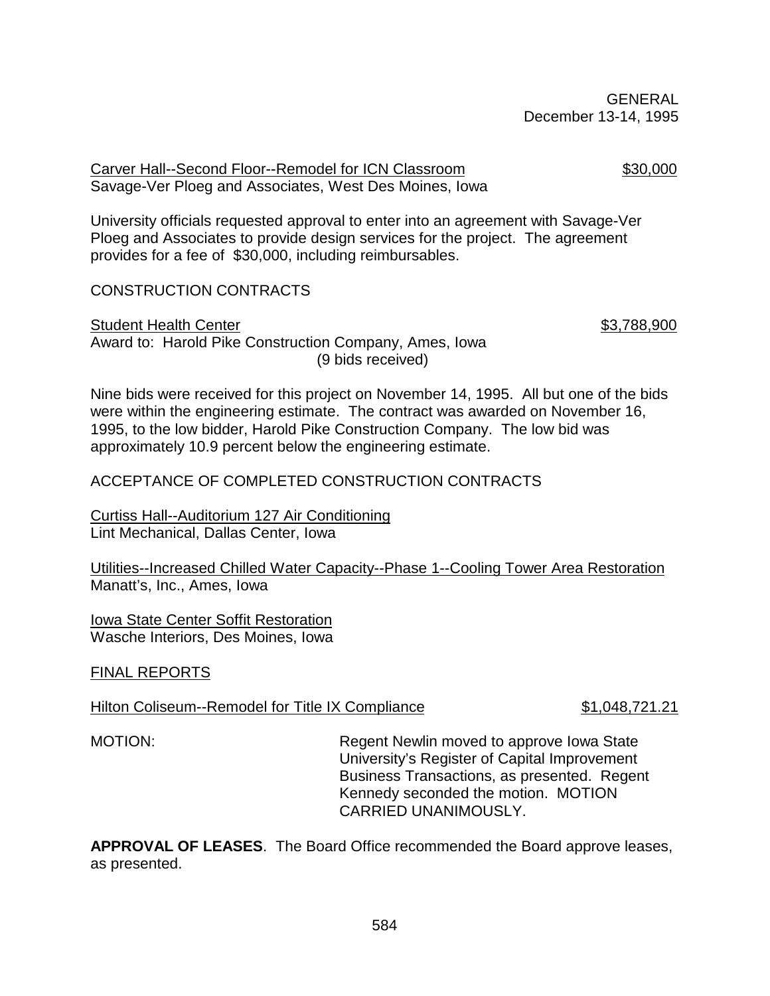Carver Hall--Second Floor--Remodel for ICN Classroom \$30,000 Savage-Ver Ploeg and Associates, West Des Moines, Iowa

University officials requested approval to enter into an agreement with Savage-Ver Ploeg and Associates to provide design services for the project. The agreement provides for a fee of \$30,000, including reimbursables.

#### CONSTRUCTION CONTRACTS

# Student Health Center **\$3,788,900**

Award to: Harold Pike Construction Company, Ames, Iowa (9 bids received)

Nine bids were received for this project on November 14, 1995. All but one of the bids were within the engineering estimate. The contract was awarded on November 16, 1995, to the low bidder, Harold Pike Construction Company. The low bid was approximately 10.9 percent below the engineering estimate.

### ACCEPTANCE OF COMPLETED CONSTRUCTION CONTRACTS

Curtiss Hall--Auditorium 127 Air Conditioning Lint Mechanical, Dallas Center, Iowa

Utilities--Increased Chilled Water Capacity--Phase 1--Cooling Tower Area Restoration Manatt's, Inc., Ames, Iowa

Iowa State Center Soffit Restoration Wasche Interiors, Des Moines, Iowa

#### FINAL REPORTS

#### Hilton Coliseum--Remodel for Title IX Compliance \$1,048,721.21

MOTION: Regent Newlin moved to approve Iowa State University's Register of Capital Improvement Business Transactions, as presented. Regent Kennedy seconded the motion. MOTION CARRIED UNANIMOUSLY.

**APPROVAL OF LEASES**. The Board Office recommended the Board approve leases, as presented.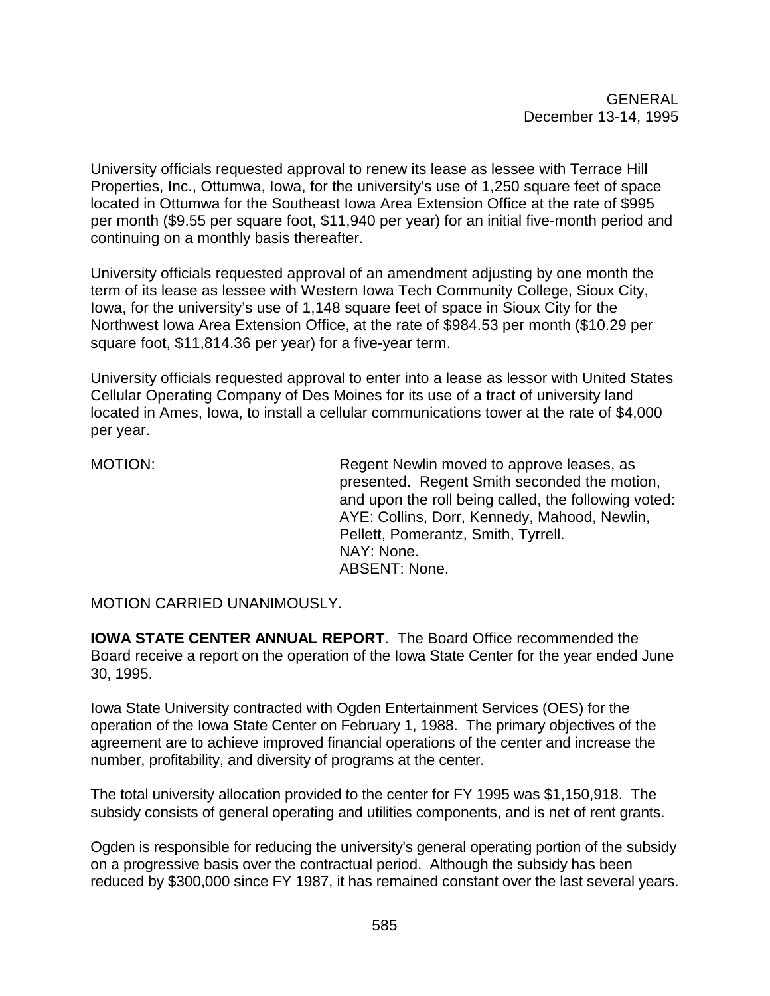University officials requested approval to renew its lease as lessee with Terrace Hill Properties, Inc., Ottumwa, Iowa, for the university's use of 1,250 square feet of space located in Ottumwa for the Southeast Iowa Area Extension Office at the rate of \$995 per month (\$9.55 per square foot, \$11,940 per year) for an initial five-month period and continuing on a monthly basis thereafter.

University officials requested approval of an amendment adjusting by one month the term of its lease as lessee with Western Iowa Tech Community College, Sioux City, Iowa, for the university's use of 1,148 square feet of space in Sioux City for the Northwest Iowa Area Extension Office, at the rate of \$984.53 per month (\$10.29 per square foot, \$11,814.36 per year) for a five-year term.

University officials requested approval to enter into a lease as lessor with United States Cellular Operating Company of Des Moines for its use of a tract of university land located in Ames, Iowa, to install a cellular communications tower at the rate of \$4,000 per year.

MOTION: Regent Newlin moved to approve leases, as presented. Regent Smith seconded the motion, and upon the roll being called, the following voted: AYE: Collins, Dorr, Kennedy, Mahood, Newlin, Pellett, Pomerantz, Smith, Tyrrell. NAY: None. ABSENT: None.

MOTION CARRIED UNANIMOUSLY.

**IOWA STATE CENTER ANNUAL REPORT**. The Board Office recommended the Board receive a report on the operation of the Iowa State Center for the year ended June 30, 1995.

Iowa State University contracted with Ogden Entertainment Services (OES) for the operation of the Iowa State Center on February 1, 1988. The primary objectives of the agreement are to achieve improved financial operations of the center and increase the number, profitability, and diversity of programs at the center.

The total university allocation provided to the center for FY 1995 was \$1,150,918. The subsidy consists of general operating and utilities components, and is net of rent grants.

Ogden is responsible for reducing the university's general operating portion of the subsidy on a progressive basis over the contractual period. Although the subsidy has been reduced by \$300,000 since FY 1987, it has remained constant over the last several years.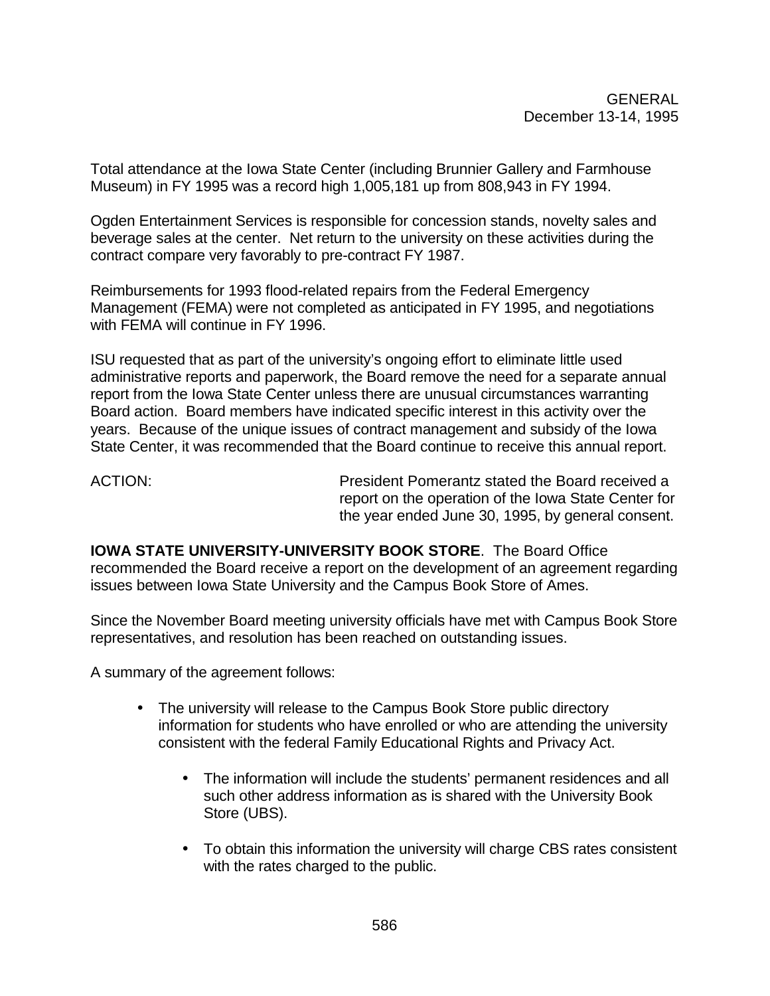Total attendance at the Iowa State Center (including Brunnier Gallery and Farmhouse Museum) in FY 1995 was a record high 1,005,181 up from 808,943 in FY 1994.

Ogden Entertainment Services is responsible for concession stands, novelty sales and beverage sales at the center. Net return to the university on these activities during the contract compare very favorably to pre-contract FY 1987.

Reimbursements for 1993 flood-related repairs from the Federal Emergency Management (FEMA) were not completed as anticipated in FY 1995, and negotiations with FEMA will continue in FY 1996.

ISU requested that as part of the university's ongoing effort to eliminate little used administrative reports and paperwork, the Board remove the need for a separate annual report from the Iowa State Center unless there are unusual circumstances warranting Board action. Board members have indicated specific interest in this activity over the years. Because of the unique issues of contract management and subsidy of the Iowa State Center, it was recommended that the Board continue to receive this annual report.

ACTION: President Pomerantz stated the Board received a report on the operation of the Iowa State Center for the year ended June 30, 1995, by general consent.

**IOWA STATE UNIVERSITY-UNIVERSITY BOOK STORE**. The Board Office recommended the Board receive a report on the development of an agreement regarding issues between Iowa State University and the Campus Book Store of Ames.

Since the November Board meeting university officials have met with Campus Book Store representatives, and resolution has been reached on outstanding issues.

A summary of the agreement follows:

- The university will release to the Campus Book Store public directory information for students who have enrolled or who are attending the university consistent with the federal Family Educational Rights and Privacy Act.
	- The information will include the students' permanent residences and all such other address information as is shared with the University Book Store (UBS).
	- To obtain this information the university will charge CBS rates consistent with the rates charged to the public.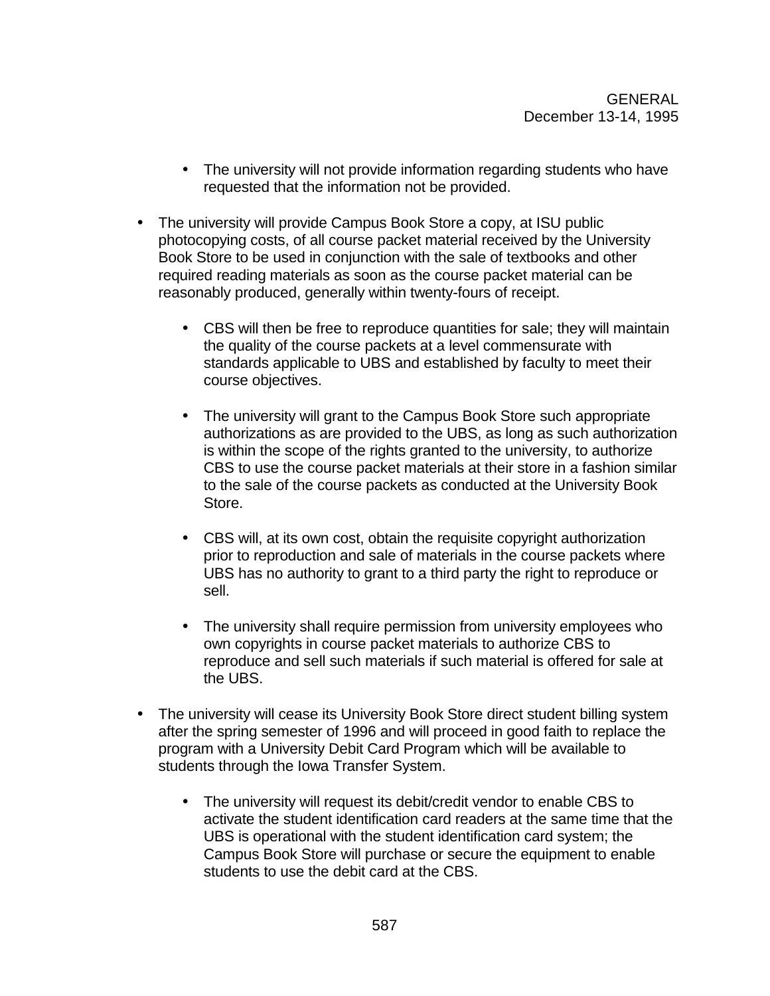- The university will not provide information regarding students who have requested that the information not be provided.
- The university will provide Campus Book Store a copy, at ISU public photocopying costs, of all course packet material received by the University Book Store to be used in conjunction with the sale of textbooks and other required reading materials as soon as the course packet material can be reasonably produced, generally within twenty-fours of receipt.
	- CBS will then be free to reproduce quantities for sale; they will maintain the quality of the course packets at a level commensurate with standards applicable to UBS and established by faculty to meet their course objectives.
	- The university will grant to the Campus Book Store such appropriate authorizations as are provided to the UBS, as long as such authorization is within the scope of the rights granted to the university, to authorize CBS to use the course packet materials at their store in a fashion similar to the sale of the course packets as conducted at the University Book Store.
	- CBS will, at its own cost, obtain the requisite copyright authorization prior to reproduction and sale of materials in the course packets where UBS has no authority to grant to a third party the right to reproduce or sell.
	- The university shall require permission from university employees who own copyrights in course packet materials to authorize CBS to reproduce and sell such materials if such material is offered for sale at the UBS.
- The university will cease its University Book Store direct student billing system after the spring semester of 1996 and will proceed in good faith to replace the program with a University Debit Card Program which will be available to students through the Iowa Transfer System.
	- The university will request its debit/credit vendor to enable CBS to activate the student identification card readers at the same time that the UBS is operational with the student identification card system; the Campus Book Store will purchase or secure the equipment to enable students to use the debit card at the CBS.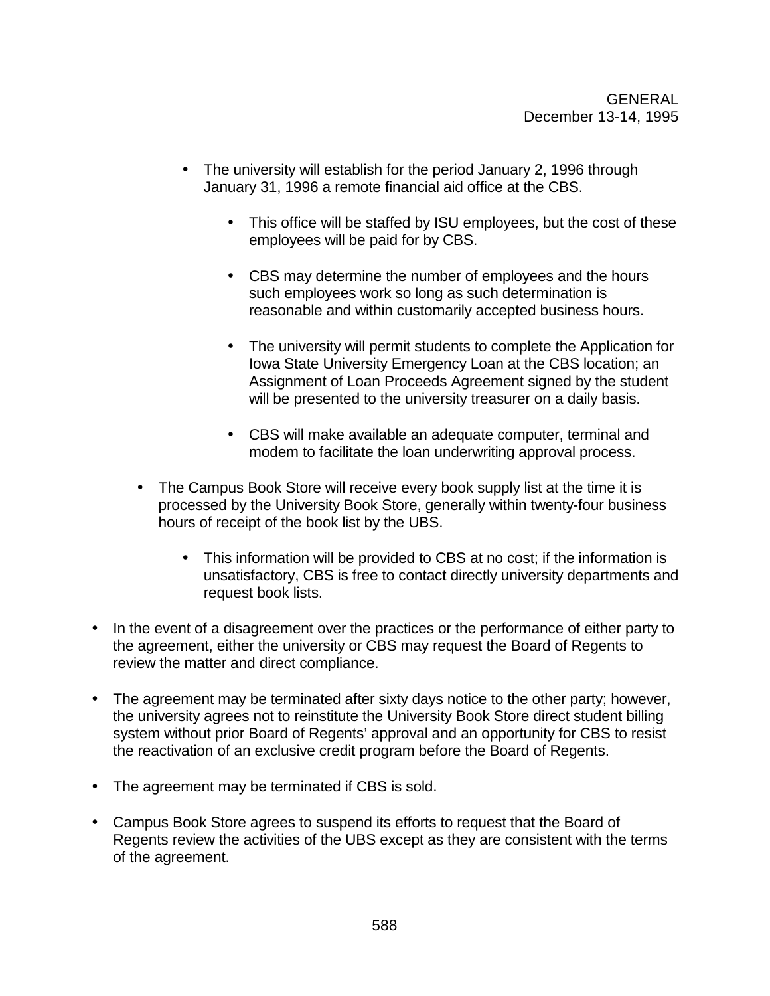- The university will establish for the period January 2, 1996 through January 31, 1996 a remote financial aid office at the CBS.
	- This office will be staffed by ISU employees, but the cost of these employees will be paid for by CBS.
	- CBS may determine the number of employees and the hours such employees work so long as such determination is reasonable and within customarily accepted business hours.
	- The university will permit students to complete the Application for Iowa State University Emergency Loan at the CBS location; an Assignment of Loan Proceeds Agreement signed by the student will be presented to the university treasurer on a daily basis.
	- CBS will make available an adequate computer, terminal and modem to facilitate the loan underwriting approval process.
- The Campus Book Store will receive every book supply list at the time it is processed by the University Book Store, generally within twenty-four business hours of receipt of the book list by the UBS.
	- This information will be provided to CBS at no cost; if the information is unsatisfactory, CBS is free to contact directly university departments and request book lists.
- In the event of a disagreement over the practices or the performance of either party to the agreement, either the university or CBS may request the Board of Regents to review the matter and direct compliance.
- The agreement may be terminated after sixty days notice to the other party; however, the university agrees not to reinstitute the University Book Store direct student billing system without prior Board of Regents' approval and an opportunity for CBS to resist the reactivation of an exclusive credit program before the Board of Regents.
- The agreement may be terminated if CBS is sold.
- Campus Book Store agrees to suspend its efforts to request that the Board of Regents review the activities of the UBS except as they are consistent with the terms of the agreement.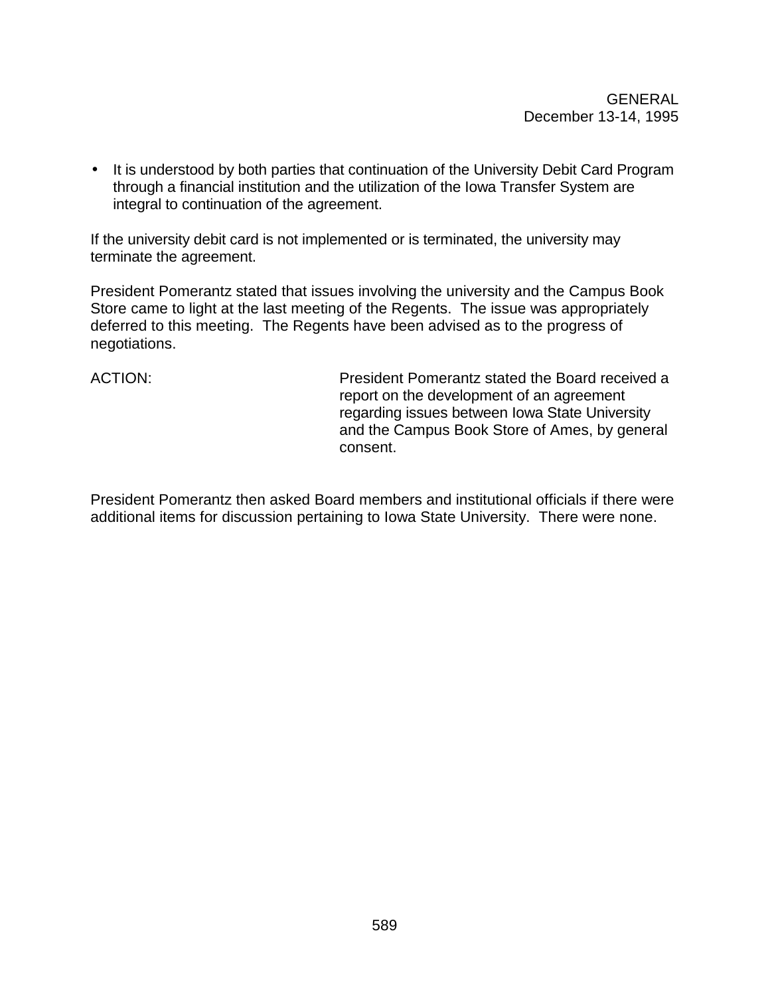• It is understood by both parties that continuation of the University Debit Card Program through a financial institution and the utilization of the Iowa Transfer System are integral to continuation of the agreement.

If the university debit card is not implemented or is terminated, the university may terminate the agreement.

President Pomerantz stated that issues involving the university and the Campus Book Store came to light at the last meeting of the Regents. The issue was appropriately deferred to this meeting. The Regents have been advised as to the progress of negotiations.

ACTION: President Pomerantz stated the Board received a report on the development of an agreement regarding issues between Iowa State University and the Campus Book Store of Ames, by general consent.

President Pomerantz then asked Board members and institutional officials if there were additional items for discussion pertaining to Iowa State University. There were none.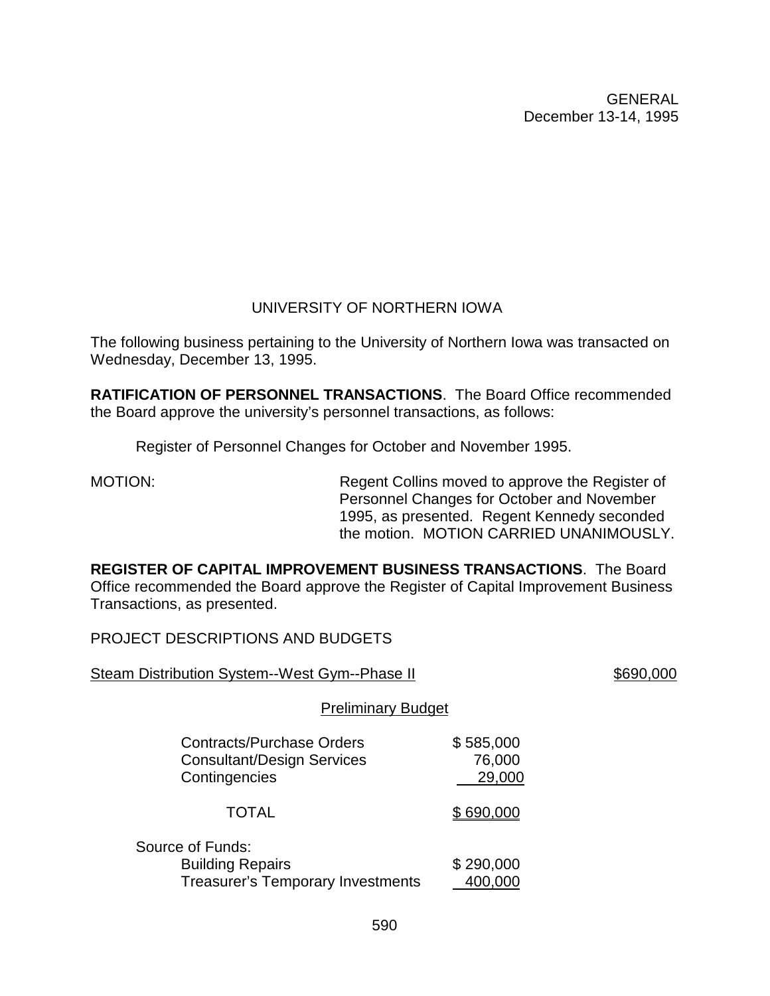# UNIVERSITY OF NORTHERN IOWA

The following business pertaining to the University of Northern Iowa was transacted on Wednesday, December 13, 1995.

**RATIFICATION OF PERSONNEL TRANSACTIONS**. The Board Office recommended the Board approve the university's personnel transactions, as follows:

Register of Personnel Changes for October and November 1995.

MOTION: Regent Collins moved to approve the Register of Personnel Changes for October and November 1995, as presented. Regent Kennedy seconded the motion. MOTION CARRIED UNANIMOUSLY.

**REGISTER OF CAPITAL IMPROVEMENT BUSINESS TRANSACTIONS**. The Board Office recommended the Board approve the Register of Capital Improvement Business Transactions, as presented.

PROJECT DESCRIPTIONS AND BUDGETS

| Steam Distribution System--West Gym--Phase II                                           |                               | \$690,000 |
|-----------------------------------------------------------------------------------------|-------------------------------|-----------|
| <b>Preliminary Budget</b>                                                               |                               |           |
| <b>Contracts/Purchase Orders</b><br><b>Consultant/Design Services</b><br>Contingencies  | \$585,000<br>76,000<br>29,000 |           |
| <b>TOTAL</b>                                                                            | \$690,000                     |           |
| Source of Funds:<br><b>Building Repairs</b><br><b>Treasurer's Temporary Investments</b> | \$290,000<br>400,000          |           |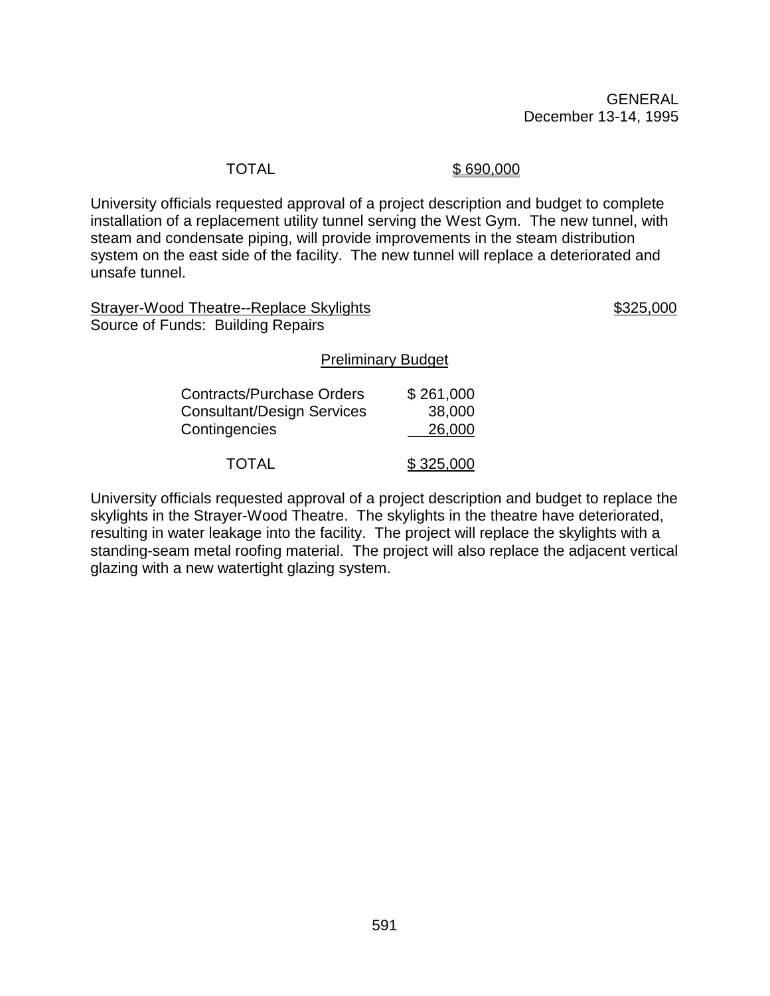#### TOTAL \$690,000

University officials requested approval of a project description and budget to complete installation of a replacement utility tunnel serving the West Gym. The new tunnel, with steam and condensate piping, will provide improvements in the steam distribution system on the east side of the facility. The new tunnel will replace a deteriorated and unsafe tunnel.

Strayer-Wood Theatre--Replace Skylights  $$325,000$ Source of Funds: Building Repairs

#### Preliminary Budget

| <b>Contracts/Purchase Orders</b>  | \$261,000 |
|-----------------------------------|-----------|
| <b>Consultant/Design Services</b> | 38,000    |
| Contingencies                     | 26,000    |
| <b>TOTAL</b>                      | \$325,000 |

University officials requested approval of a project description and budget to replace the skylights in the Strayer-Wood Theatre. The skylights in the theatre have deteriorated, resulting in water leakage into the facility. The project will replace the skylights with a standing-seam metal roofing material. The project will also replace the adjacent vertical glazing with a new watertight glazing system.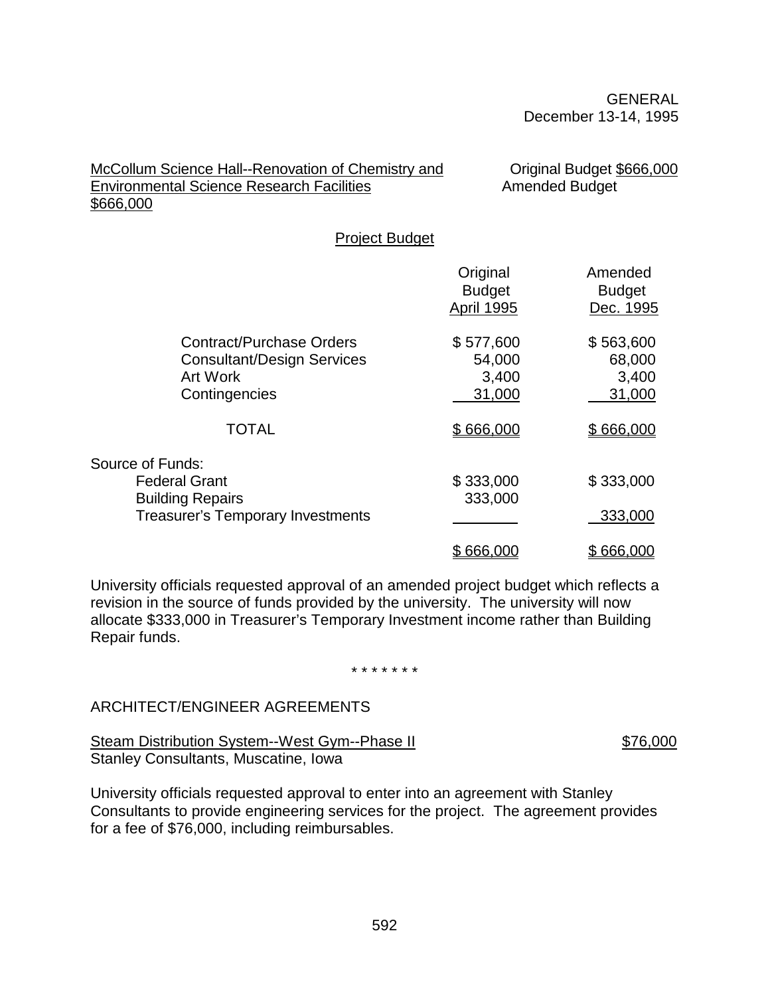#### McCollum Science Hall--Renovation of Chemistry and **Original Budget \$666,000** Environmental Science Research Facilities **Amended Budget** \$666,000

Project Budget

|                                                                                                                 | Original<br><b>Budget</b><br><b>April 1995</b> | Amended<br><b>Budget</b><br>Dec. 1995  |
|-----------------------------------------------------------------------------------------------------------------|------------------------------------------------|----------------------------------------|
| <b>Contract/Purchase Orders</b><br><b>Consultant/Design Services</b><br><b>Art Work</b><br>Contingencies        | \$577,600<br>54,000<br>3,400<br>31,000         | \$563,600<br>68,000<br>3,400<br>31,000 |
| <b>TOTAL</b>                                                                                                    | \$666,000                                      | \$666,000                              |
| Source of Funds:<br><b>Federal Grant</b><br><b>Building Repairs</b><br><b>Treasurer's Temporary Investments</b> | \$333,000<br>333,000                           | \$333,000<br>333,000                   |
|                                                                                                                 | \$666,000                                      | \$666,000                              |

University officials requested approval of an amended project budget which reflects a revision in the source of funds provided by the university. The university will now allocate \$333,000 in Treasurer's Temporary Investment income rather than Building Repair funds.

\* \* \* \* \* \* \*

#### ARCHITECT/ENGINEER AGREEMENTS

Steam Distribution System--West Gym--Phase II \$76,000 Stanley Consultants, Muscatine, Iowa

University officials requested approval to enter into an agreement with Stanley Consultants to provide engineering services for the project. The agreement provides for a fee of \$76,000, including reimbursables.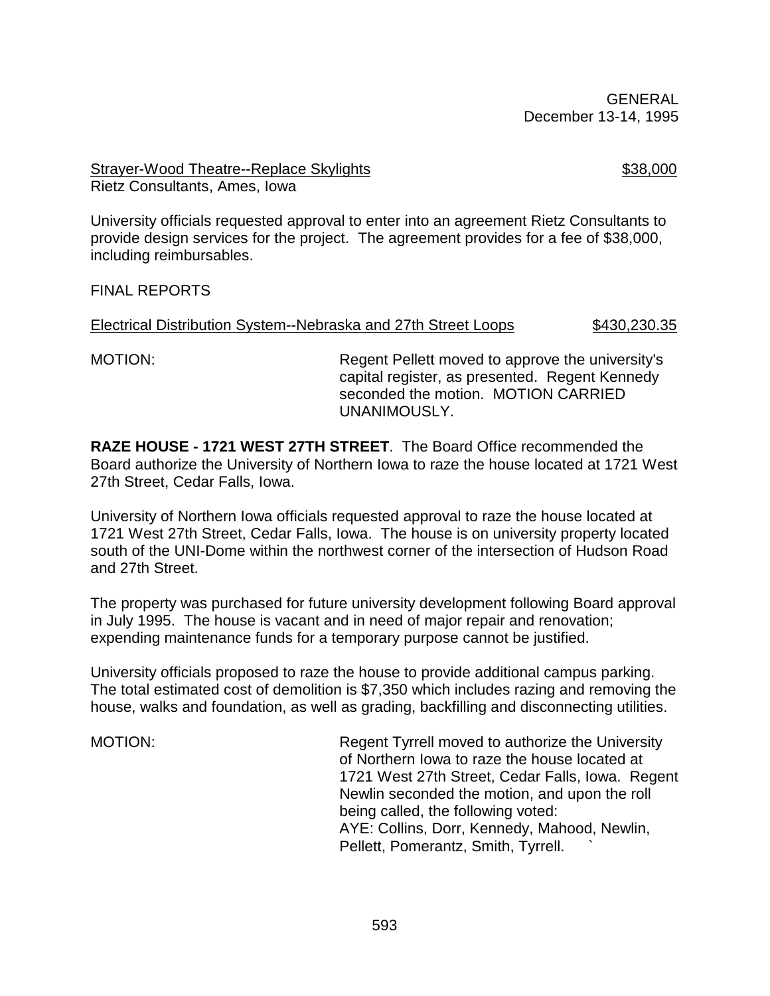#### Strayer-Wood Theatre--Replace Skylights **\$38,000** Rietz Consultants, Ames, Iowa

University officials requested approval to enter into an agreement Rietz Consultants to provide design services for the project. The agreement provides for a fee of \$38,000, including reimbursables.

#### FINAL REPORTS

#### Electrical Distribution System--Nebraska and 27th Street Loops \$430,230.35

MOTION: Regent Pellett moved to approve the university's capital register, as presented. Regent Kennedy seconded the motion. MOTION CARRIED UNANIMOUSLY.

**RAZE HOUSE - 1721 WEST 27TH STREET**. The Board Office recommended the Board authorize the University of Northern Iowa to raze the house located at 1721 West 27th Street, Cedar Falls, Iowa.

University of Northern Iowa officials requested approval to raze the house located at 1721 West 27th Street, Cedar Falls, Iowa. The house is on university property located south of the UNI-Dome within the northwest corner of the intersection of Hudson Road and 27th Street.

The property was purchased for future university development following Board approval in July 1995. The house is vacant and in need of major repair and renovation; expending maintenance funds for a temporary purpose cannot be justified.

University officials proposed to raze the house to provide additional campus parking. The total estimated cost of demolition is \$7,350 which includes razing and removing the house, walks and foundation, as well as grading, backfilling and disconnecting utilities.

MOTION: Regent Tyrrell moved to authorize the University of Northern Iowa to raze the house located at 1721 West 27th Street, Cedar Falls, Iowa. Regent Newlin seconded the motion, and upon the roll being called, the following voted: AYE: Collins, Dorr, Kennedy, Mahood, Newlin, Pellett, Pomerantz, Smith, Tyrrell. `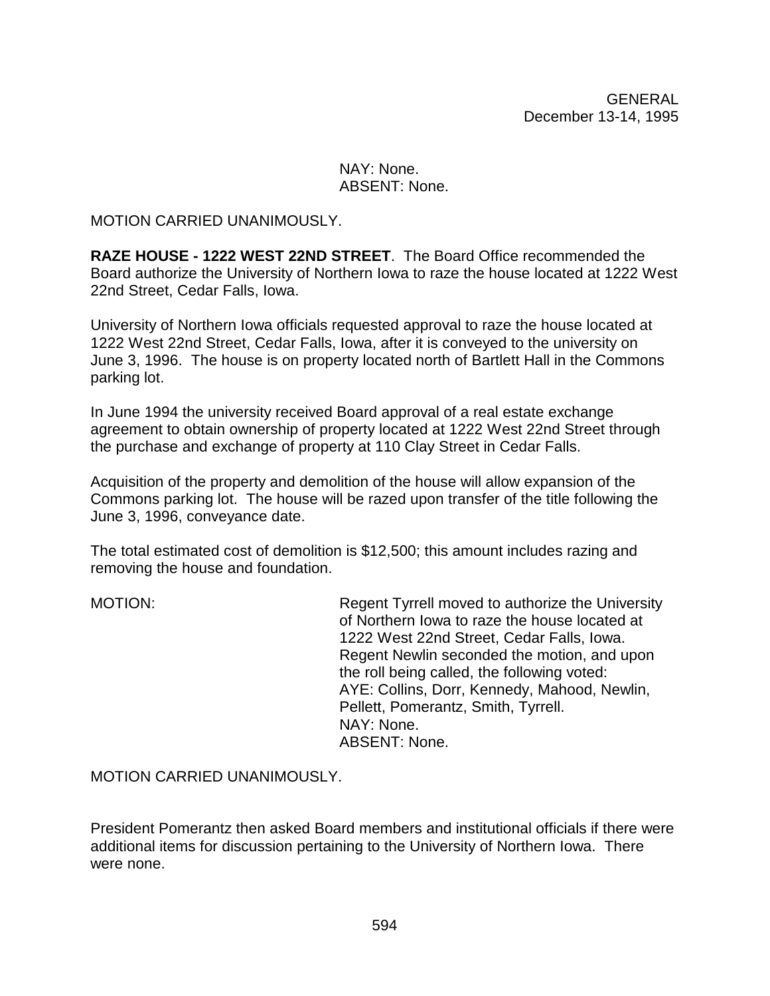#### NAY: None. ABSENT: None.

#### MOTION CARRIED UNANIMOUSLY.

**RAZE HOUSE - 1222 WEST 22ND STREET**. The Board Office recommended the Board authorize the University of Northern Iowa to raze the house located at 1222 West 22nd Street, Cedar Falls, Iowa.

University of Northern Iowa officials requested approval to raze the house located at 1222 West 22nd Street, Cedar Falls, Iowa, after it is conveyed to the university on June 3, 1996. The house is on property located north of Bartlett Hall in the Commons parking lot.

In June 1994 the university received Board approval of a real estate exchange agreement to obtain ownership of property located at 1222 West 22nd Street through the purchase and exchange of property at 110 Clay Street in Cedar Falls.

Acquisition of the property and demolition of the house will allow expansion of the Commons parking lot. The house will be razed upon transfer of the title following the June 3, 1996, conveyance date.

The total estimated cost of demolition is \$12,500; this amount includes razing and removing the house and foundation.

MOTION: Regent Tyrrell moved to authorize the University of Northern Iowa to raze the house located at 1222 West 22nd Street, Cedar Falls, Iowa. Regent Newlin seconded the motion, and upon the roll being called, the following voted: AYE: Collins, Dorr, Kennedy, Mahood, Newlin, Pellett, Pomerantz, Smith, Tyrrell. NAY: None. ABSENT: None.

MOTION CARRIED UNANIMOUSLY.

President Pomerantz then asked Board members and institutional officials if there were additional items for discussion pertaining to the University of Northern Iowa. There were none.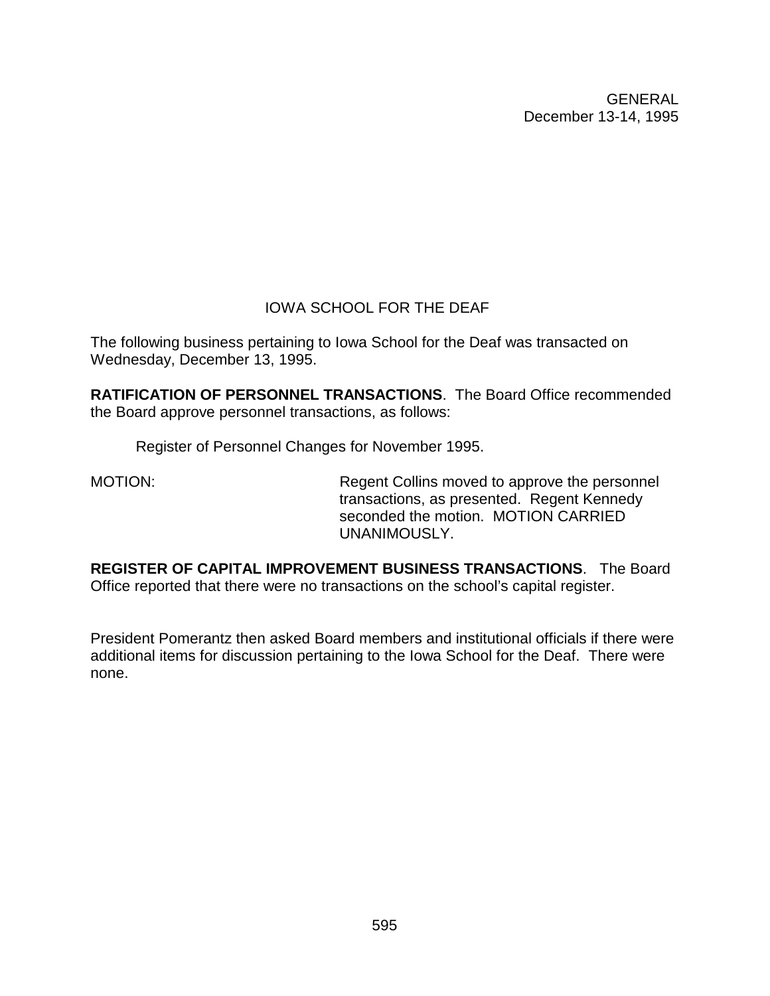# IOWA SCHOOL FOR THE DEAF

The following business pertaining to Iowa School for the Deaf was transacted on Wednesday, December 13, 1995.

**RATIFICATION OF PERSONNEL TRANSACTIONS**. The Board Office recommended the Board approve personnel transactions, as follows:

Register of Personnel Changes for November 1995.

MOTION: Regent Collins moved to approve the personnel transactions, as presented. Regent Kennedy seconded the motion. MOTION CARRIED UNANIMOUSLY.

**REGISTER OF CAPITAL IMPROVEMENT BUSINESS TRANSACTIONS**. The Board Office reported that there were no transactions on the school's capital register.

President Pomerantz then asked Board members and institutional officials if there were additional items for discussion pertaining to the Iowa School for the Deaf. There were none.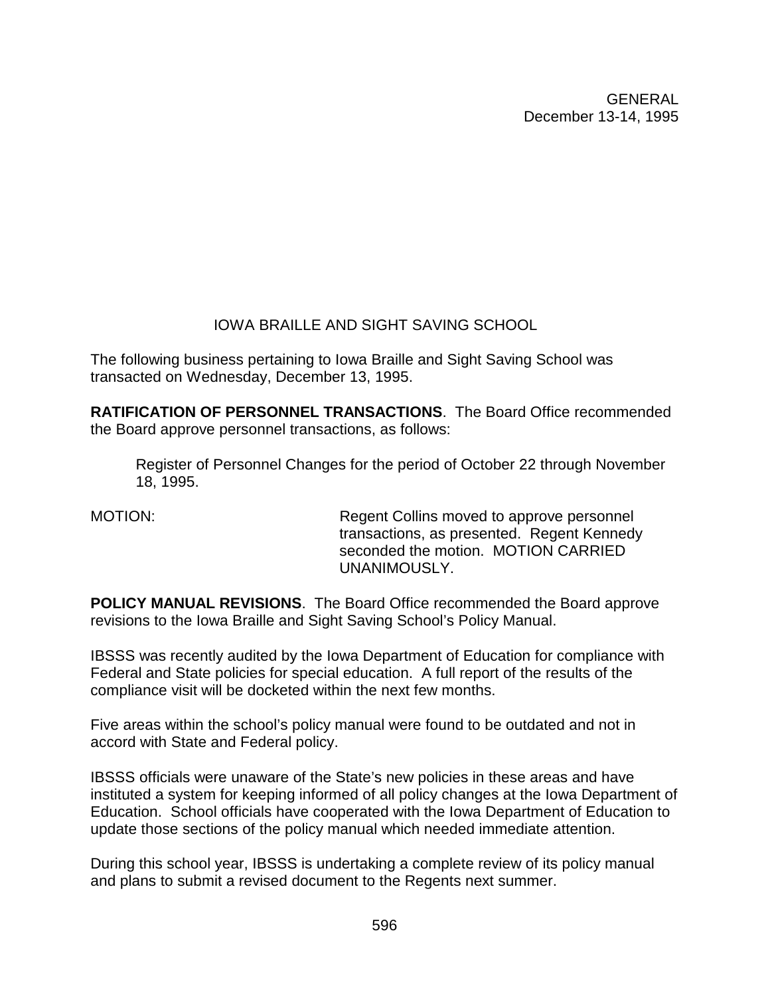# IOWA BRAILLE AND SIGHT SAVING SCHOOL

The following business pertaining to Iowa Braille and Sight Saving School was transacted on Wednesday, December 13, 1995.

**RATIFICATION OF PERSONNEL TRANSACTIONS**. The Board Office recommended the Board approve personnel transactions, as follows:

Register of Personnel Changes for the period of October 22 through November 18, 1995.

MOTION: Regent Collins moved to approve personnel transactions, as presented. Regent Kennedy seconded the motion. MOTION CARRIED UNANIMOUSLY.

**POLICY MANUAL REVISIONS**. The Board Office recommended the Board approve revisions to the Iowa Braille and Sight Saving School's Policy Manual.

IBSSS was recently audited by the Iowa Department of Education for compliance with Federal and State policies for special education. A full report of the results of the compliance visit will be docketed within the next few months.

Five areas within the school's policy manual were found to be outdated and not in accord with State and Federal policy.

IBSSS officials were unaware of the State's new policies in these areas and have instituted a system for keeping informed of all policy changes at the Iowa Department of Education. School officials have cooperated with the Iowa Department of Education to update those sections of the policy manual which needed immediate attention.

During this school year, IBSSS is undertaking a complete review of its policy manual and plans to submit a revised document to the Regents next summer.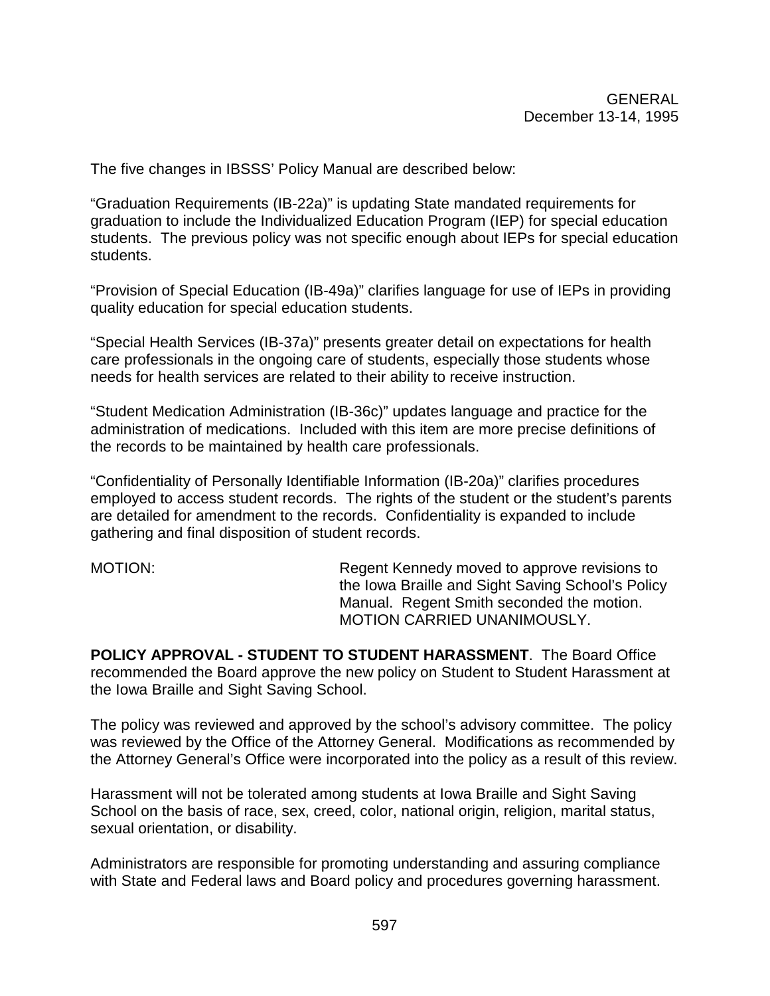The five changes in IBSSS' Policy Manual are described below:

"Graduation Requirements (IB-22a)" is updating State mandated requirements for graduation to include the Individualized Education Program (IEP) for special education students. The previous policy was not specific enough about IEPs for special education students.

"Provision of Special Education (IB-49a)" clarifies language for use of IEPs in providing quality education for special education students.

"Special Health Services (IB-37a)" presents greater detail on expectations for health care professionals in the ongoing care of students, especially those students whose needs for health services are related to their ability to receive instruction.

"Student Medication Administration (IB-36c)" updates language and practice for the administration of medications. Included with this item are more precise definitions of the records to be maintained by health care professionals.

"Confidentiality of Personally Identifiable Information (IB-20a)" clarifies procedures employed to access student records. The rights of the student or the student's parents are detailed for amendment to the records. Confidentiality is expanded to include gathering and final disposition of student records.

MOTION: Regent Kennedy moved to approve revisions to the Iowa Braille and Sight Saving School's Policy Manual. Regent Smith seconded the motion. MOTION CARRIED UNANIMOUSLY.

**POLICY APPROVAL - STUDENT TO STUDENT HARASSMENT**. The Board Office recommended the Board approve the new policy on Student to Student Harassment at the Iowa Braille and Sight Saving School.

The policy was reviewed and approved by the school's advisory committee. The policy was reviewed by the Office of the Attorney General. Modifications as recommended by the Attorney General's Office were incorporated into the policy as a result of this review.

Harassment will not be tolerated among students at Iowa Braille and Sight Saving School on the basis of race, sex, creed, color, national origin, religion, marital status, sexual orientation, or disability.

Administrators are responsible for promoting understanding and assuring compliance with State and Federal laws and Board policy and procedures governing harassment.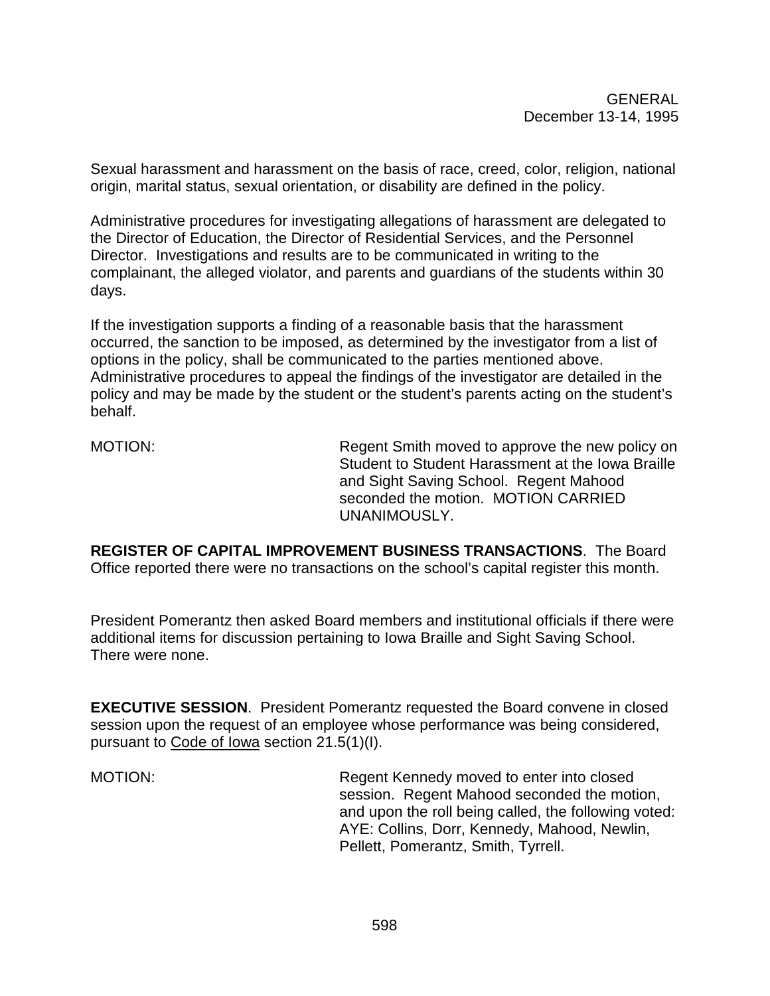Sexual harassment and harassment on the basis of race, creed, color, religion, national origin, marital status, sexual orientation, or disability are defined in the policy.

Administrative procedures for investigating allegations of harassment are delegated to the Director of Education, the Director of Residential Services, and the Personnel Director. Investigations and results are to be communicated in writing to the complainant, the alleged violator, and parents and guardians of the students within 30 days.

If the investigation supports a finding of a reasonable basis that the harassment occurred, the sanction to be imposed, as determined by the investigator from a list of options in the policy, shall be communicated to the parties mentioned above. Administrative procedures to appeal the findings of the investigator are detailed in the policy and may be made by the student or the student's parents acting on the student's behalf.

MOTION: Regent Smith moved to approve the new policy on Student to Student Harassment at the Iowa Braille and Sight Saving School. Regent Mahood seconded the motion. MOTION CARRIED UNANIMOUSLY.

**REGISTER OF CAPITAL IMPROVEMENT BUSINESS TRANSACTIONS**. The Board Office reported there were no transactions on the school's capital register this month.

President Pomerantz then asked Board members and institutional officials if there were additional items for discussion pertaining to Iowa Braille and Sight Saving School. There were none.

**EXECUTIVE SESSION**. President Pomerantz requested the Board convene in closed session upon the request of an employee whose performance was being considered, pursuant to Code of Iowa section 21.5(1)(I).

MOTION: Regent Kennedy moved to enter into closed session. Regent Mahood seconded the motion, and upon the roll being called, the following voted: AYE: Collins, Dorr, Kennedy, Mahood, Newlin, Pellett, Pomerantz, Smith, Tyrrell.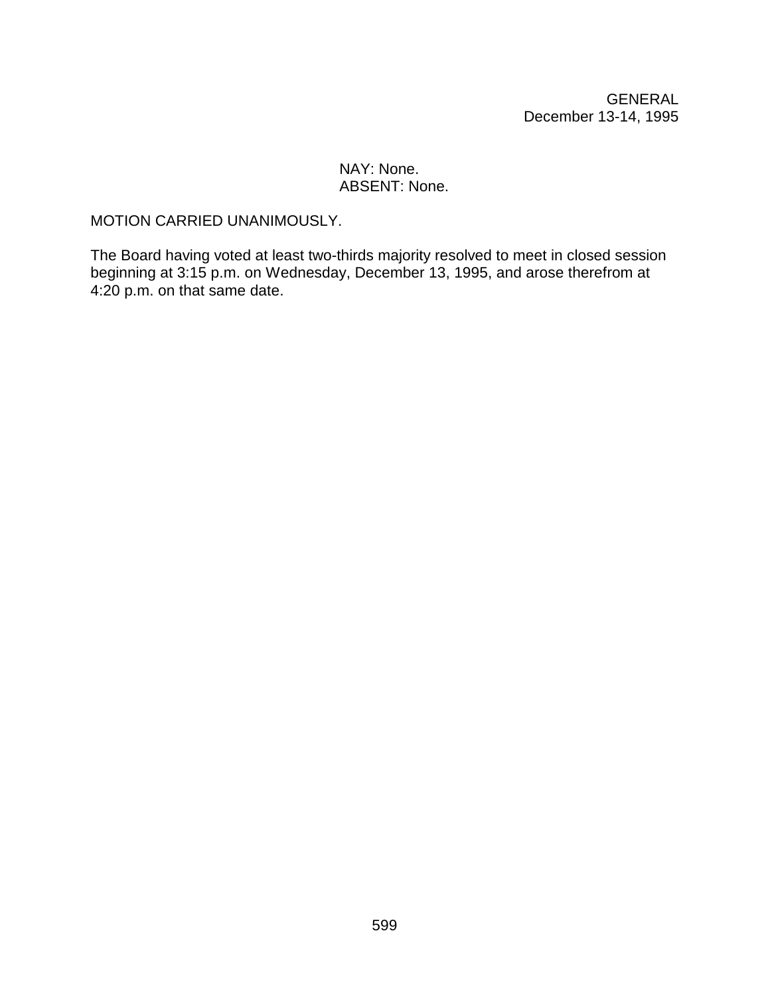#### NAY: None. ABSENT: None.

#### MOTION CARRIED UNANIMOUSLY.

The Board having voted at least two-thirds majority resolved to meet in closed session beginning at 3:15 p.m. on Wednesday, December 13, 1995, and arose therefrom at 4:20 p.m. on that same date.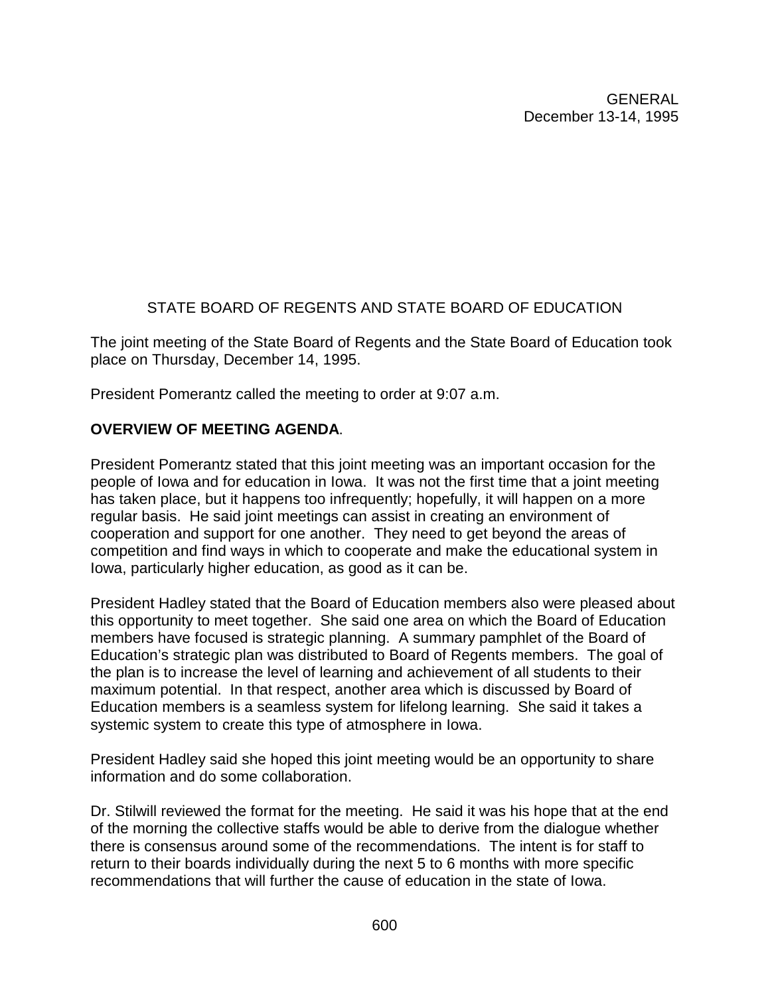# STATE BOARD OF REGENTS AND STATE BOARD OF EDUCATION

The joint meeting of the State Board of Regents and the State Board of Education took place on Thursday, December 14, 1995.

President Pomerantz called the meeting to order at 9:07 a.m.

# **OVERVIEW OF MEETING AGENDA**.

President Pomerantz stated that this joint meeting was an important occasion for the people of Iowa and for education in Iowa. It was not the first time that a joint meeting has taken place, but it happens too infrequently; hopefully, it will happen on a more regular basis. He said joint meetings can assist in creating an environment of cooperation and support for one another. They need to get beyond the areas of competition and find ways in which to cooperate and make the educational system in Iowa, particularly higher education, as good as it can be.

President Hadley stated that the Board of Education members also were pleased about this opportunity to meet together. She said one area on which the Board of Education members have focused is strategic planning. A summary pamphlet of the Board of Education's strategic plan was distributed to Board of Regents members. The goal of the plan is to increase the level of learning and achievement of all students to their maximum potential. In that respect, another area which is discussed by Board of Education members is a seamless system for lifelong learning. She said it takes a systemic system to create this type of atmosphere in Iowa.

President Hadley said she hoped this joint meeting would be an opportunity to share information and do some collaboration.

Dr. Stilwill reviewed the format for the meeting. He said it was his hope that at the end of the morning the collective staffs would be able to derive from the dialogue whether there is consensus around some of the recommendations. The intent is for staff to return to their boards individually during the next 5 to 6 months with more specific recommendations that will further the cause of education in the state of Iowa.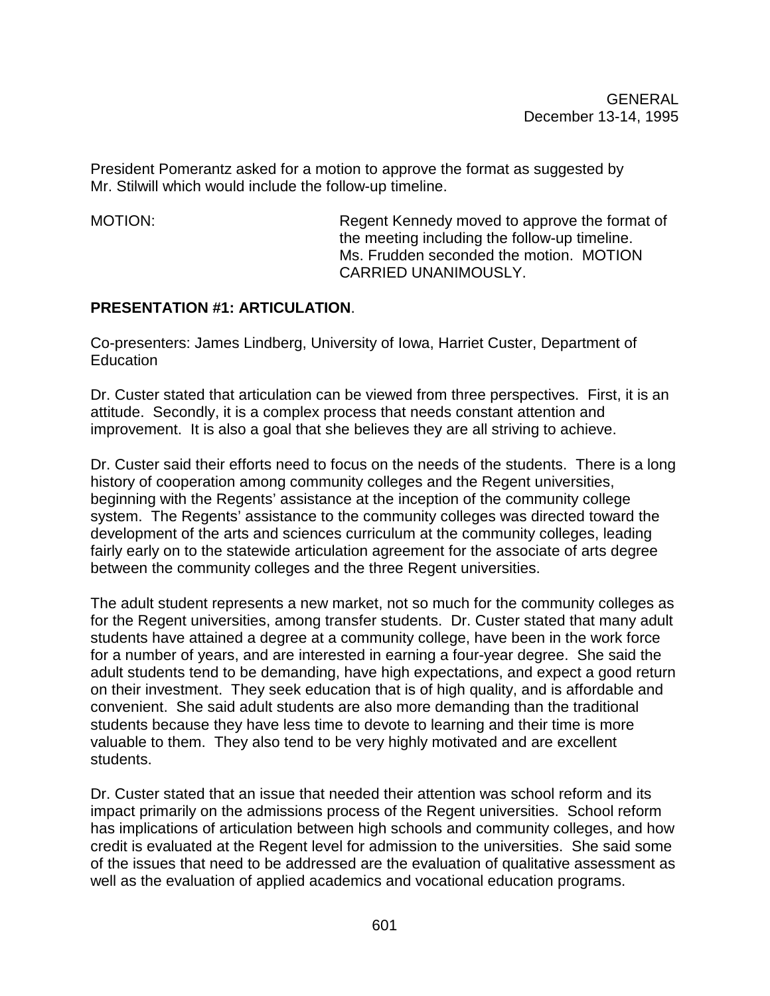President Pomerantz asked for a motion to approve the format as suggested by Mr. Stilwill which would include the follow-up timeline.

MOTION: Regent Kennedy moved to approve the format of the meeting including the follow-up timeline. Ms. Frudden seconded the motion. MOTION CARRIED UNANIMOUSLY.

### **PRESENTATION #1: ARTICULATION**.

Co-presenters: James Lindberg, University of Iowa, Harriet Custer, Department of Education

Dr. Custer stated that articulation can be viewed from three perspectives. First, it is an attitude. Secondly, it is a complex process that needs constant attention and improvement. It is also a goal that she believes they are all striving to achieve.

Dr. Custer said their efforts need to focus on the needs of the students. There is a long history of cooperation among community colleges and the Regent universities, beginning with the Regents' assistance at the inception of the community college system. The Regents' assistance to the community colleges was directed toward the development of the arts and sciences curriculum at the community colleges, leading fairly early on to the statewide articulation agreement for the associate of arts degree between the community colleges and the three Regent universities.

The adult student represents a new market, not so much for the community colleges as for the Regent universities, among transfer students. Dr. Custer stated that many adult students have attained a degree at a community college, have been in the work force for a number of years, and are interested in earning a four-year degree. She said the adult students tend to be demanding, have high expectations, and expect a good return on their investment. They seek education that is of high quality, and is affordable and convenient. She said adult students are also more demanding than the traditional students because they have less time to devote to learning and their time is more valuable to them. They also tend to be very highly motivated and are excellent students.

Dr. Custer stated that an issue that needed their attention was school reform and its impact primarily on the admissions process of the Regent universities. School reform has implications of articulation between high schools and community colleges, and how credit is evaluated at the Regent level for admission to the universities. She said some of the issues that need to be addressed are the evaluation of qualitative assessment as well as the evaluation of applied academics and vocational education programs.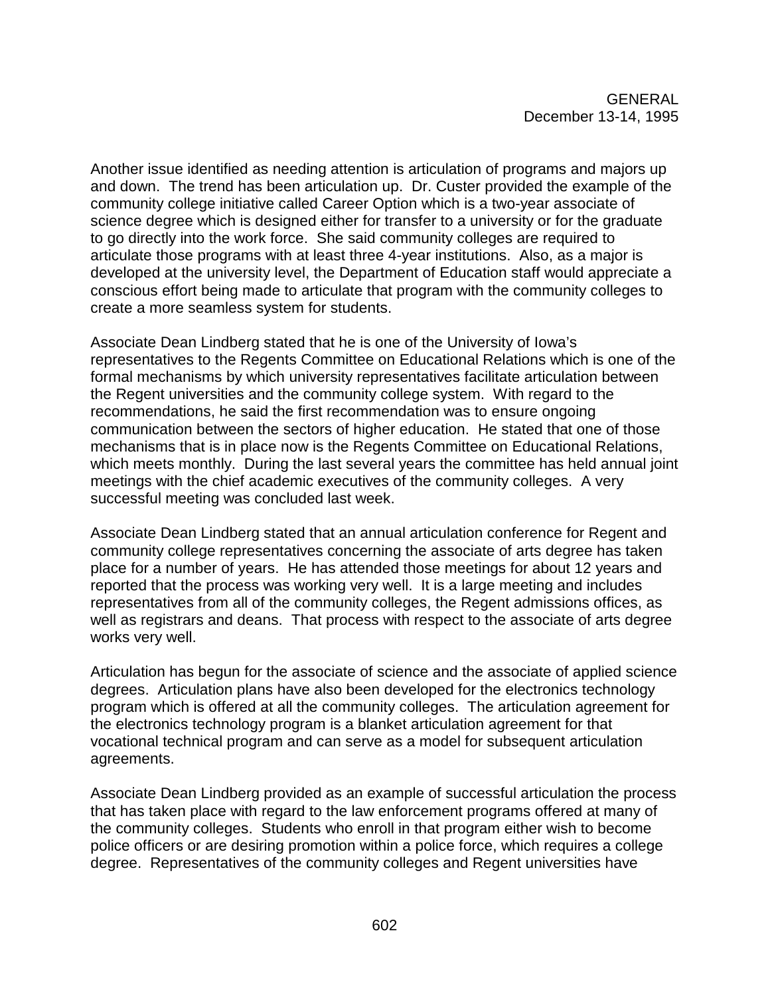Another issue identified as needing attention is articulation of programs and majors up and down. The trend has been articulation up. Dr. Custer provided the example of the community college initiative called Career Option which is a two-year associate of science degree which is designed either for transfer to a university or for the graduate to go directly into the work force. She said community colleges are required to articulate those programs with at least three 4-year institutions. Also, as a major is developed at the university level, the Department of Education staff would appreciate a conscious effort being made to articulate that program with the community colleges to create a more seamless system for students.

Associate Dean Lindberg stated that he is one of the University of Iowa's representatives to the Regents Committee on Educational Relations which is one of the formal mechanisms by which university representatives facilitate articulation between the Regent universities and the community college system. With regard to the recommendations, he said the first recommendation was to ensure ongoing communication between the sectors of higher education. He stated that one of those mechanisms that is in place now is the Regents Committee on Educational Relations, which meets monthly. During the last several years the committee has held annual joint meetings with the chief academic executives of the community colleges. A very successful meeting was concluded last week.

Associate Dean Lindberg stated that an annual articulation conference for Regent and community college representatives concerning the associate of arts degree has taken place for a number of years. He has attended those meetings for about 12 years and reported that the process was working very well. It is a large meeting and includes representatives from all of the community colleges, the Regent admissions offices, as well as registrars and deans. That process with respect to the associate of arts degree works very well.

Articulation has begun for the associate of science and the associate of applied science degrees. Articulation plans have also been developed for the electronics technology program which is offered at all the community colleges. The articulation agreement for the electronics technology program is a blanket articulation agreement for that vocational technical program and can serve as a model for subsequent articulation agreements.

Associate Dean Lindberg provided as an example of successful articulation the process that has taken place with regard to the law enforcement programs offered at many of the community colleges. Students who enroll in that program either wish to become police officers or are desiring promotion within a police force, which requires a college degree. Representatives of the community colleges and Regent universities have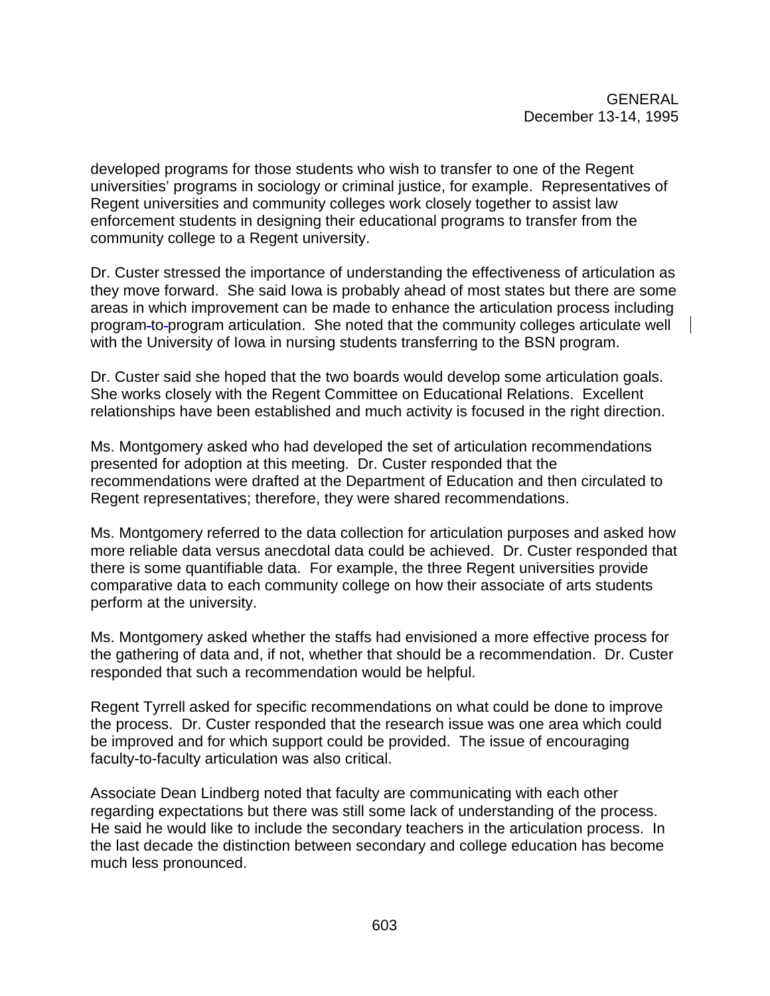developed programs for those students who wish to transfer to one of the Regent universities' programs in sociology or criminal justice, for example. Representatives of Regent universities and community colleges work closely together to assist law enforcement students in designing their educational programs to transfer from the community college to a Regent university.

Dr. Custer stressed the importance of understanding the effectiveness of articulation as they move forward. She said Iowa is probably ahead of most states but there are some areas in which improvement can be made to enhance the articulation process including program to program articulation. She noted that the community colleges articulate well with the University of Iowa in nursing students transferring to the BSN program.

Dr. Custer said she hoped that the two boards would develop some articulation goals. She works closely with the Regent Committee on Educational Relations. Excellent relationships have been established and much activity is focused in the right direction.

Ms. Montgomery asked who had developed the set of articulation recommendations presented for adoption at this meeting. Dr. Custer responded that the recommendations were drafted at the Department of Education and then circulated to Regent representatives; therefore, they were shared recommendations.

Ms. Montgomery referred to the data collection for articulation purposes and asked how more reliable data versus anecdotal data could be achieved. Dr. Custer responded that there is some quantifiable data. For example, the three Regent universities provide comparative data to each community college on how their associate of arts students perform at the university.

Ms. Montgomery asked whether the staffs had envisioned a more effective process for the gathering of data and, if not, whether that should be a recommendation. Dr. Custer responded that such a recommendation would be helpful.

Regent Tyrrell asked for specific recommendations on what could be done to improve the process. Dr. Custer responded that the research issue was one area which could be improved and for which support could be provided. The issue of encouraging faculty-to-faculty articulation was also critical.

Associate Dean Lindberg noted that faculty are communicating with each other regarding expectations but there was still some lack of understanding of the process. He said he would like to include the secondary teachers in the articulation process. In the last decade the distinction between secondary and college education has become much less pronounced.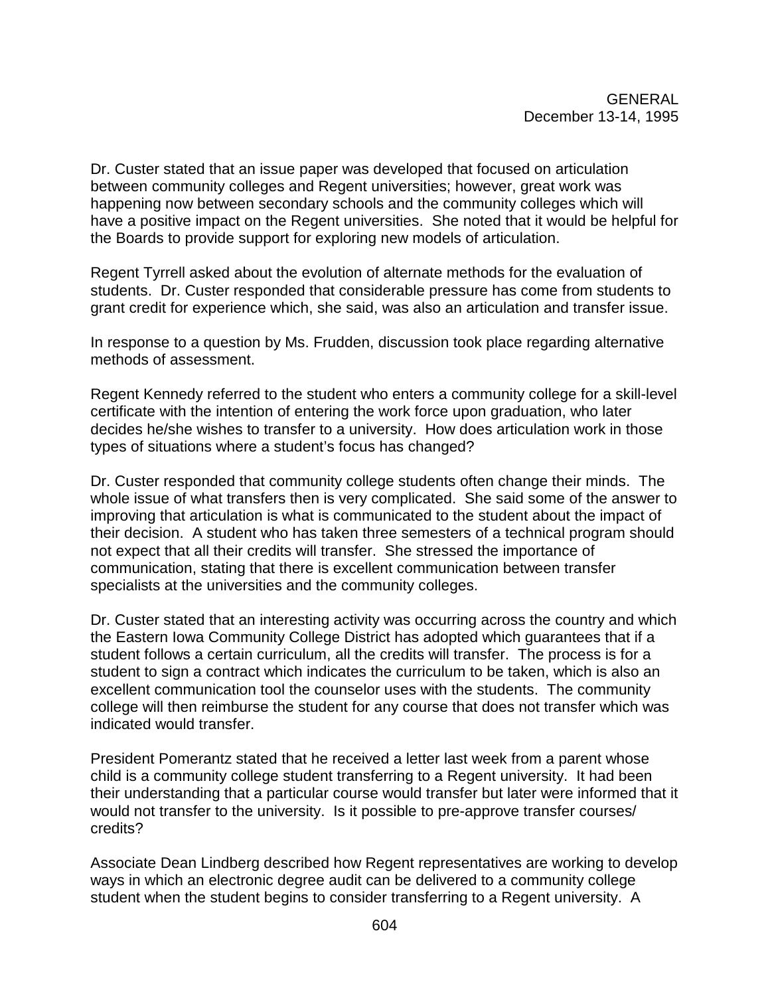Dr. Custer stated that an issue paper was developed that focused on articulation between community colleges and Regent universities; however, great work was happening now between secondary schools and the community colleges which will have a positive impact on the Regent universities. She noted that it would be helpful for the Boards to provide support for exploring new models of articulation.

Regent Tyrrell asked about the evolution of alternate methods for the evaluation of students. Dr. Custer responded that considerable pressure has come from students to grant credit for experience which, she said, was also an articulation and transfer issue.

In response to a question by Ms. Frudden, discussion took place regarding alternative methods of assessment.

Regent Kennedy referred to the student who enters a community college for a skill-level certificate with the intention of entering the work force upon graduation, who later decides he/she wishes to transfer to a university. How does articulation work in those types of situations where a student's focus has changed?

Dr. Custer responded that community college students often change their minds. The whole issue of what transfers then is very complicated. She said some of the answer to improving that articulation is what is communicated to the student about the impact of their decision. A student who has taken three semesters of a technical program should not expect that all their credits will transfer. She stressed the importance of communication, stating that there is excellent communication between transfer specialists at the universities and the community colleges.

Dr. Custer stated that an interesting activity was occurring across the country and which the Eastern Iowa Community College District has adopted which guarantees that if a student follows a certain curriculum, all the credits will transfer. The process is for a student to sign a contract which indicates the curriculum to be taken, which is also an excellent communication tool the counselor uses with the students. The community college will then reimburse the student for any course that does not transfer which was indicated would transfer.

President Pomerantz stated that he received a letter last week from a parent whose child is a community college student transferring to a Regent university. It had been their understanding that a particular course would transfer but later were informed that it would not transfer to the university. Is it possible to pre-approve transfer courses/ credits?

Associate Dean Lindberg described how Regent representatives are working to develop ways in which an electronic degree audit can be delivered to a community college student when the student begins to consider transferring to a Regent university. A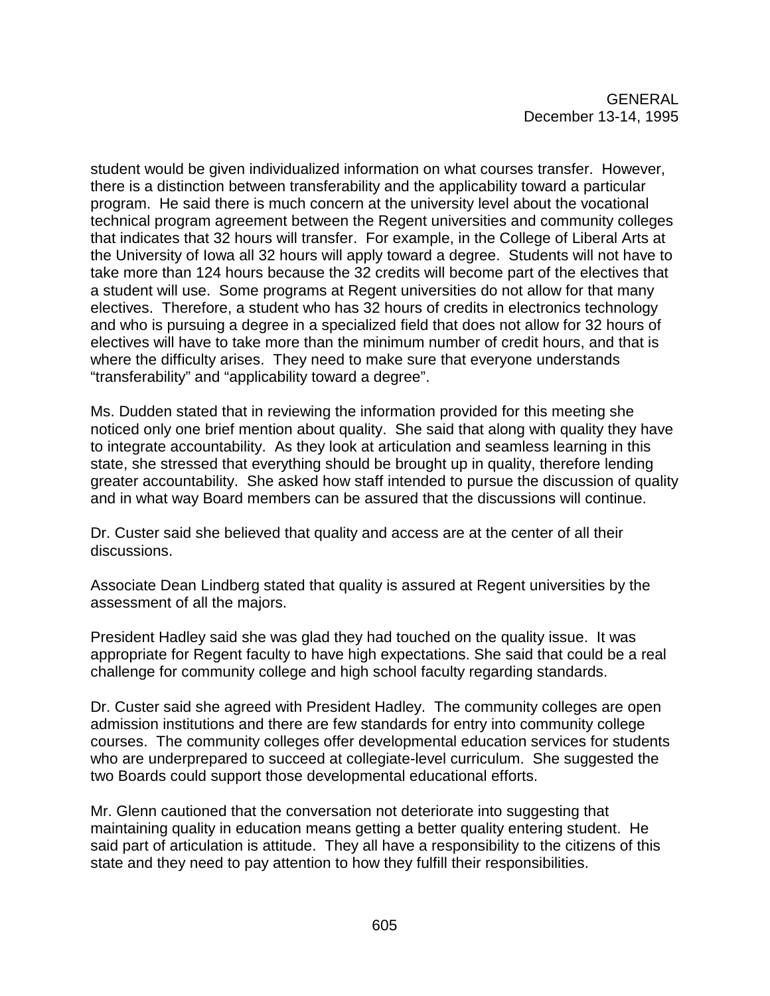student would be given individualized information on what courses transfer. However, there is a distinction between transferability and the applicability toward a particular program. He said there is much concern at the university level about the vocational technical program agreement between the Regent universities and community colleges that indicates that 32 hours will transfer. For example, in the College of Liberal Arts at the University of Iowa all 32 hours will apply toward a degree. Students will not have to take more than 124 hours because the 32 credits will become part of the electives that a student will use. Some programs at Regent universities do not allow for that many electives. Therefore, a student who has 32 hours of credits in electronics technology and who is pursuing a degree in a specialized field that does not allow for 32 hours of electives will have to take more than the minimum number of credit hours, and that is where the difficulty arises. They need to make sure that everyone understands "transferability" and "applicability toward a degree".

Ms. Dudden stated that in reviewing the information provided for this meeting she noticed only one brief mention about quality. She said that along with quality they have to integrate accountability. As they look at articulation and seamless learning in this state, she stressed that everything should be brought up in quality, therefore lending greater accountability. She asked how staff intended to pursue the discussion of quality and in what way Board members can be assured that the discussions will continue.

Dr. Custer said she believed that quality and access are at the center of all their discussions.

Associate Dean Lindberg stated that quality is assured at Regent universities by the assessment of all the majors.

President Hadley said she was glad they had touched on the quality issue. It was appropriate for Regent faculty to have high expectations. She said that could be a real challenge for community college and high school faculty regarding standards.

Dr. Custer said she agreed with President Hadley. The community colleges are open admission institutions and there are few standards for entry into community college courses. The community colleges offer developmental education services for students who are underprepared to succeed at collegiate-level curriculum. She suggested the two Boards could support those developmental educational efforts.

Mr. Glenn cautioned that the conversation not deteriorate into suggesting that maintaining quality in education means getting a better quality entering student. He said part of articulation is attitude. They all have a responsibility to the citizens of this state and they need to pay attention to how they fulfill their responsibilities.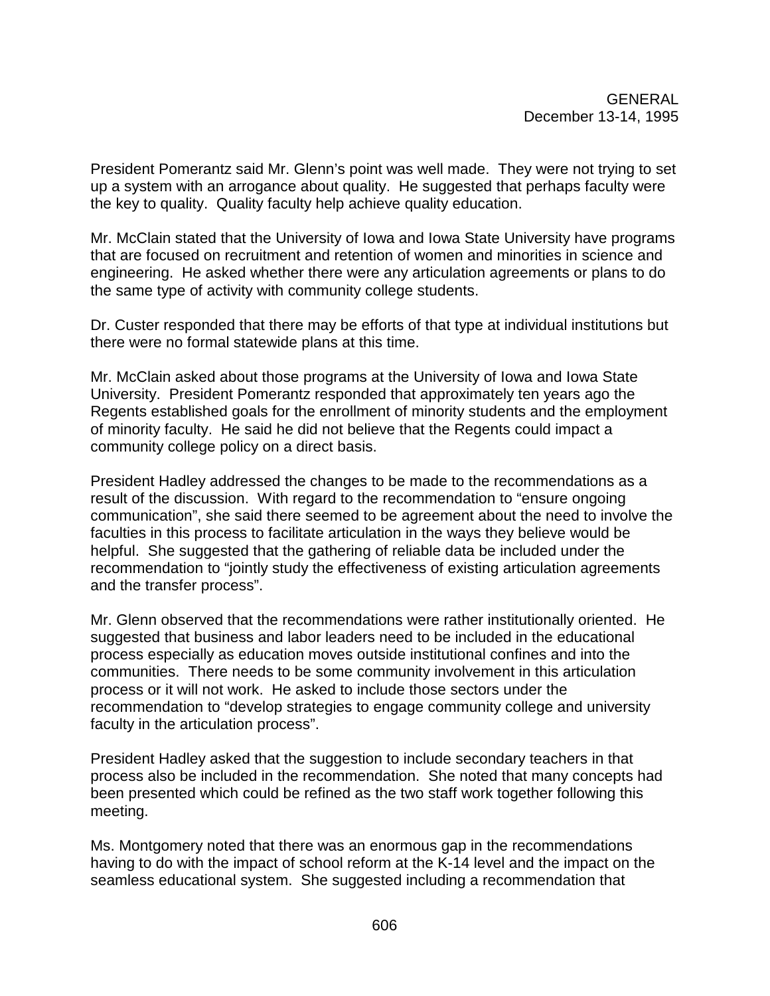President Pomerantz said Mr. Glenn's point was well made. They were not trying to set up a system with an arrogance about quality. He suggested that perhaps faculty were the key to quality. Quality faculty help achieve quality education.

Mr. McClain stated that the University of Iowa and Iowa State University have programs that are focused on recruitment and retention of women and minorities in science and engineering. He asked whether there were any articulation agreements or plans to do the same type of activity with community college students.

Dr. Custer responded that there may be efforts of that type at individual institutions but there were no formal statewide plans at this time.

Mr. McClain asked about those programs at the University of Iowa and Iowa State University. President Pomerantz responded that approximately ten years ago the Regents established goals for the enrollment of minority students and the employment of minority faculty. He said he did not believe that the Regents could impact a community college policy on a direct basis.

President Hadley addressed the changes to be made to the recommendations as a result of the discussion. With regard to the recommendation to "ensure ongoing communication", she said there seemed to be agreement about the need to involve the faculties in this process to facilitate articulation in the ways they believe would be helpful. She suggested that the gathering of reliable data be included under the recommendation to "jointly study the effectiveness of existing articulation agreements and the transfer process".

Mr. Glenn observed that the recommendations were rather institutionally oriented. He suggested that business and labor leaders need to be included in the educational process especially as education moves outside institutional confines and into the communities. There needs to be some community involvement in this articulation process or it will not work. He asked to include those sectors under the recommendation to "develop strategies to engage community college and university faculty in the articulation process".

President Hadley asked that the suggestion to include secondary teachers in that process also be included in the recommendation. She noted that many concepts had been presented which could be refined as the two staff work together following this meeting.

Ms. Montgomery noted that there was an enormous gap in the recommendations having to do with the impact of school reform at the K-14 level and the impact on the seamless educational system. She suggested including a recommendation that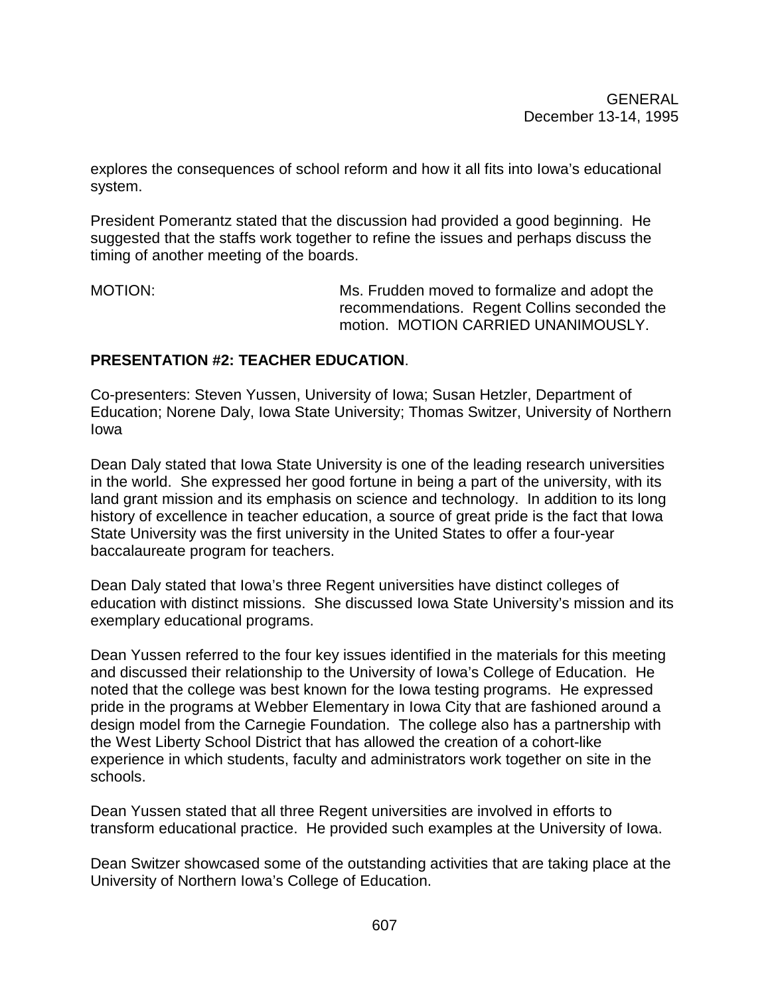explores the consequences of school reform and how it all fits into Iowa's educational system.

President Pomerantz stated that the discussion had provided a good beginning. He suggested that the staffs work together to refine the issues and perhaps discuss the timing of another meeting of the boards.

MOTION: MOTION: MS. Frudden moved to formalize and adopt the recommendations. Regent Collins seconded the motion. MOTION CARRIED UNANIMOUSLY.

## **PRESENTATION #2: TEACHER EDUCATION**.

Co-presenters: Steven Yussen, University of Iowa; Susan Hetzler, Department of Education; Norene Daly, Iowa State University; Thomas Switzer, University of Northern Iowa

Dean Daly stated that Iowa State University is one of the leading research universities in the world. She expressed her good fortune in being a part of the university, with its land grant mission and its emphasis on science and technology. In addition to its long history of excellence in teacher education, a source of great pride is the fact that Iowa State University was the first university in the United States to offer a four-year baccalaureate program for teachers.

Dean Daly stated that Iowa's three Regent universities have distinct colleges of education with distinct missions. She discussed Iowa State University's mission and its exemplary educational programs.

Dean Yussen referred to the four key issues identified in the materials for this meeting and discussed their relationship to the University of Iowa's College of Education. He noted that the college was best known for the Iowa testing programs. He expressed pride in the programs at Webber Elementary in Iowa City that are fashioned around a design model from the Carnegie Foundation. The college also has a partnership with the West Liberty School District that has allowed the creation of a cohort-like experience in which students, faculty and administrators work together on site in the schools.

Dean Yussen stated that all three Regent universities are involved in efforts to transform educational practice. He provided such examples at the University of Iowa.

Dean Switzer showcased some of the outstanding activities that are taking place at the University of Northern Iowa's College of Education.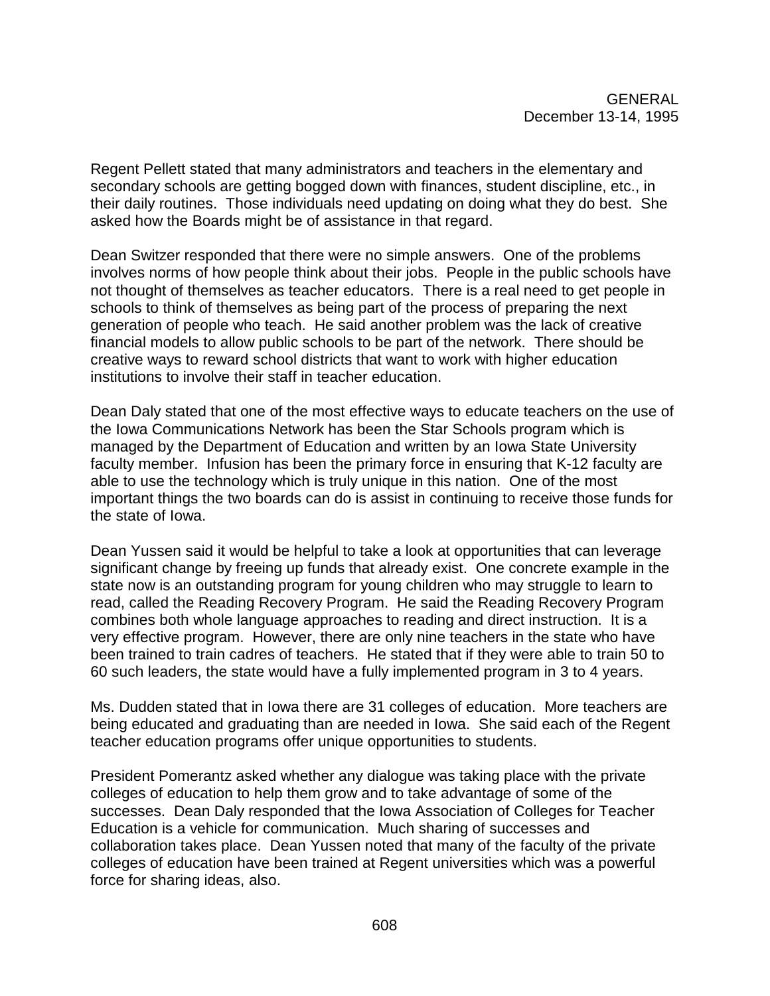Regent Pellett stated that many administrators and teachers in the elementary and secondary schools are getting bogged down with finances, student discipline, etc., in their daily routines. Those individuals need updating on doing what they do best. She asked how the Boards might be of assistance in that regard.

Dean Switzer responded that there were no simple answers. One of the problems involves norms of how people think about their jobs. People in the public schools have not thought of themselves as teacher educators. There is a real need to get people in schools to think of themselves as being part of the process of preparing the next generation of people who teach. He said another problem was the lack of creative financial models to allow public schools to be part of the network. There should be creative ways to reward school districts that want to work with higher education institutions to involve their staff in teacher education.

Dean Daly stated that one of the most effective ways to educate teachers on the use of the Iowa Communications Network has been the Star Schools program which is managed by the Department of Education and written by an Iowa State University faculty member. Infusion has been the primary force in ensuring that K-12 faculty are able to use the technology which is truly unique in this nation. One of the most important things the two boards can do is assist in continuing to receive those funds for the state of Iowa.

Dean Yussen said it would be helpful to take a look at opportunities that can leverage significant change by freeing up funds that already exist. One concrete example in the state now is an outstanding program for young children who may struggle to learn to read, called the Reading Recovery Program. He said the Reading Recovery Program combines both whole language approaches to reading and direct instruction. It is a very effective program. However, there are only nine teachers in the state who have been trained to train cadres of teachers. He stated that if they were able to train 50 to 60 such leaders, the state would have a fully implemented program in 3 to 4 years.

Ms. Dudden stated that in Iowa there are 31 colleges of education. More teachers are being educated and graduating than are needed in Iowa. She said each of the Regent teacher education programs offer unique opportunities to students.

President Pomerantz asked whether any dialogue was taking place with the private colleges of education to help them grow and to take advantage of some of the successes. Dean Daly responded that the Iowa Association of Colleges for Teacher Education is a vehicle for communication. Much sharing of successes and collaboration takes place. Dean Yussen noted that many of the faculty of the private colleges of education have been trained at Regent universities which was a powerful force for sharing ideas, also.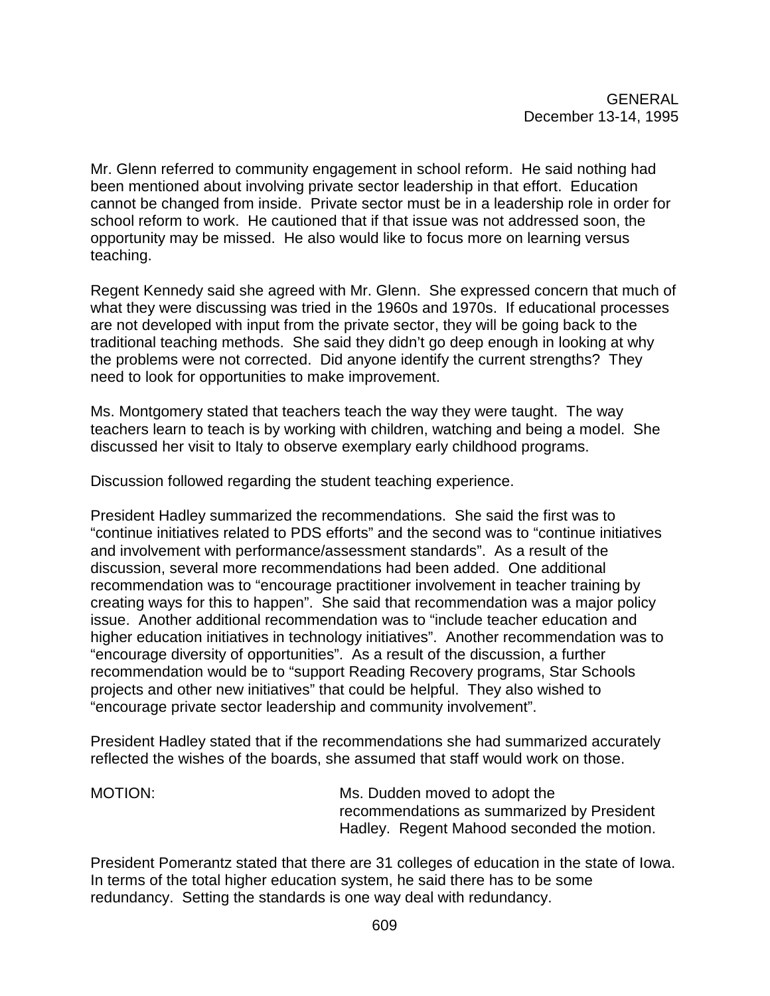Mr. Glenn referred to community engagement in school reform. He said nothing had been mentioned about involving private sector leadership in that effort. Education cannot be changed from inside. Private sector must be in a leadership role in order for school reform to work. He cautioned that if that issue was not addressed soon, the opportunity may be missed. He also would like to focus more on learning versus teaching.

Regent Kennedy said she agreed with Mr. Glenn. She expressed concern that much of what they were discussing was tried in the 1960s and 1970s. If educational processes are not developed with input from the private sector, they will be going back to the traditional teaching methods. She said they didn't go deep enough in looking at why the problems were not corrected. Did anyone identify the current strengths? They need to look for opportunities to make improvement.

Ms. Montgomery stated that teachers teach the way they were taught. The way teachers learn to teach is by working with children, watching and being a model. She discussed her visit to Italy to observe exemplary early childhood programs.

Discussion followed regarding the student teaching experience.

President Hadley summarized the recommendations. She said the first was to "continue initiatives related to PDS efforts" and the second was to "continue initiatives and involvement with performance/assessment standards". As a result of the discussion, several more recommendations had been added. One additional recommendation was to "encourage practitioner involvement in teacher training by creating ways for this to happen". She said that recommendation was a major policy issue. Another additional recommendation was to "include teacher education and higher education initiatives in technology initiatives". Another recommendation was to "encourage diversity of opportunities". As a result of the discussion, a further recommendation would be to "support Reading Recovery programs, Star Schools projects and other new initiatives" that could be helpful. They also wished to "encourage private sector leadership and community involvement".

President Hadley stated that if the recommendations she had summarized accurately reflected the wishes of the boards, she assumed that staff would work on those.

MOTION: MOTION: Ms. Dudden moved to adopt the recommendations as summarized by President Hadley. Regent Mahood seconded the motion.

President Pomerantz stated that there are 31 colleges of education in the state of Iowa. In terms of the total higher education system, he said there has to be some redundancy. Setting the standards is one way deal with redundancy.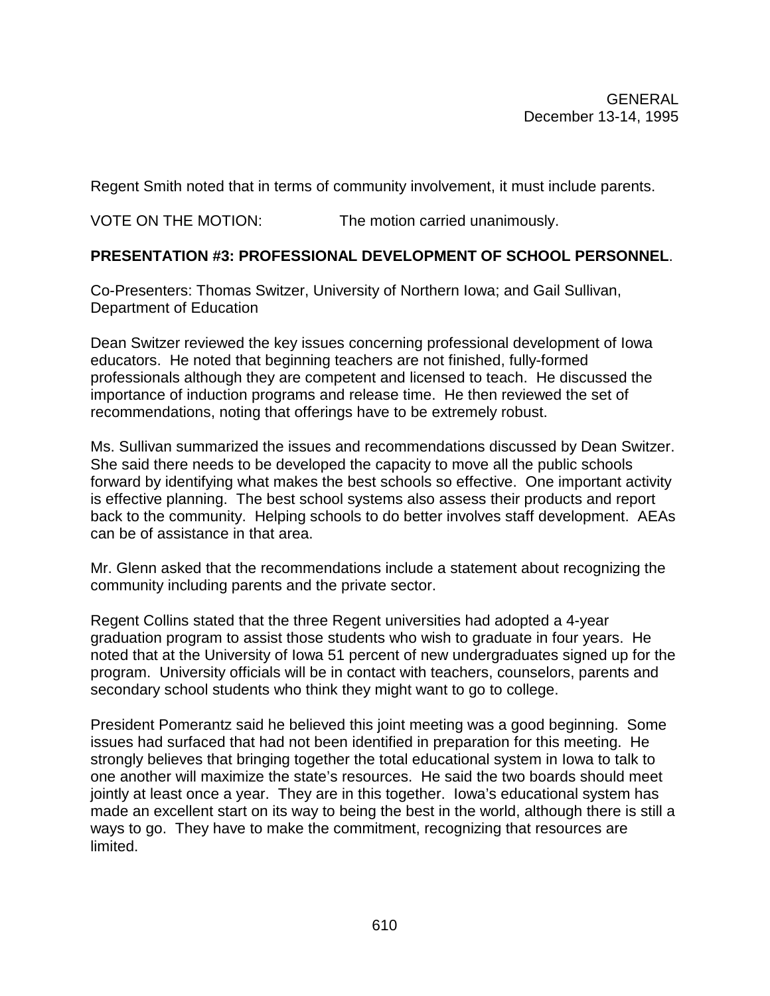Regent Smith noted that in terms of community involvement, it must include parents.

VOTE ON THE MOTION: The motion carried unanimously.

## **PRESENTATION #3: PROFESSIONAL DEVELOPMENT OF SCHOOL PERSONNEL**.

Co-Presenters: Thomas Switzer, University of Northern Iowa; and Gail Sullivan, Department of Education

Dean Switzer reviewed the key issues concerning professional development of Iowa educators. He noted that beginning teachers are not finished, fully-formed professionals although they are competent and licensed to teach. He discussed the importance of induction programs and release time. He then reviewed the set of recommendations, noting that offerings have to be extremely robust.

Ms. Sullivan summarized the issues and recommendations discussed by Dean Switzer. She said there needs to be developed the capacity to move all the public schools forward by identifying what makes the best schools so effective. One important activity is effective planning. The best school systems also assess their products and report back to the community. Helping schools to do better involves staff development. AEAs can be of assistance in that area.

Mr. Glenn asked that the recommendations include a statement about recognizing the community including parents and the private sector.

Regent Collins stated that the three Regent universities had adopted a 4-year graduation program to assist those students who wish to graduate in four years. He noted that at the University of Iowa 51 percent of new undergraduates signed up for the program. University officials will be in contact with teachers, counselors, parents and secondary school students who think they might want to go to college.

President Pomerantz said he believed this joint meeting was a good beginning. Some issues had surfaced that had not been identified in preparation for this meeting. He strongly believes that bringing together the total educational system in Iowa to talk to one another will maximize the state's resources. He said the two boards should meet jointly at least once a year. They are in this together. Iowa's educational system has made an excellent start on its way to being the best in the world, although there is still a ways to go. They have to make the commitment, recognizing that resources are limited.